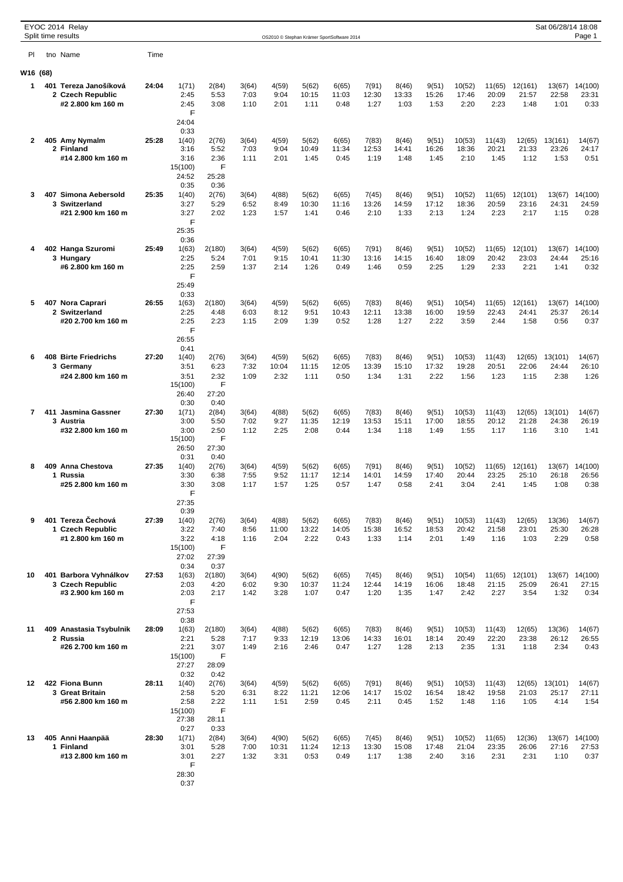|                      | EYOC 2014 Relay<br>Split time results                          |       |                                                            |                                             |                       |                        |                        | OS2010 © Stephan Krämer SportSoftware 2014 |                        |                        |                        |                         |                         |                          | Sat 06/28/14 18:08       | Page 1                   |
|----------------------|----------------------------------------------------------------|-------|------------------------------------------------------------|---------------------------------------------|-----------------------|------------------------|------------------------|--------------------------------------------|------------------------|------------------------|------------------------|-------------------------|-------------------------|--------------------------|--------------------------|--------------------------|
| PI                   | tno Name                                                       | Time  |                                                            |                                             |                       |                        |                        |                                            |                        |                        |                        |                         |                         |                          |                          |                          |
| W <sub>16</sub> (68) |                                                                |       |                                                            |                                             |                       |                        |                        |                                            |                        |                        |                        |                         |                         |                          |                          |                          |
| 1                    | 401 Tereza Janošíková<br>2 Czech Republic<br>#2 2.800 km 160 m | 24:04 | 1(71)<br>2:45<br>2:45<br>F                                 | 2(84)<br>5:53<br>3:08                       | 3(64)<br>7:03<br>1:10 | 4(59)<br>9:04<br>2:01  | 5(62)<br>10:15<br>1:11 | 6(65)<br>11:03<br>0:48                     | 7(91)<br>12:30<br>1:27 | 8(46)<br>13:33<br>1:03 | 9(51)<br>15:26<br>1:53 | 10(52)<br>17:46<br>2:20 | 11(65)<br>20:09<br>2:23 | 12(161)<br>21:57<br>1:48 | 13(67)<br>22:58<br>1:01  | 14(100)<br>23:31<br>0:33 |
| 2                    | 405 Amy Nymalm<br>2 Finland<br>#14 2.800 km 160 m              | 25:28 | 24:04<br>0:33<br>1(40)<br>3:16<br>3:16<br>15(100)<br>24:52 | 2(76)<br>5:52<br>2:36<br>F<br>25:28         | 3(64)<br>7:03<br>1:11 | 4(59)<br>9:04<br>2:01  | 5(62)<br>10:49<br>1:45 | 6(65)<br>11:34<br>0:45                     | 7(83)<br>12:53<br>1:19 | 8(46)<br>14:41<br>1:48 | 9(51)<br>16:26<br>1:45 | 10(53)<br>18:36<br>2:10 | 11(43)<br>20:21<br>1:45 | 12(65)<br>21:33<br>1:12  | 13(161)<br>23:26<br>1:53 | 14(67)<br>24:17<br>0:51  |
| 3                    | 407 Simona Aebersold<br>3 Switzerland<br>#21 2.900 km 160 m    | 25:35 | 0:35<br>1(40)<br>3:27<br>3:27<br>F<br>25:35                | 0:36<br>2(76)<br>5:29<br>2:02               | 3(64)<br>6:52<br>1:23 | 4(88)<br>8:49<br>1:57  | 5(62)<br>10:30<br>1:41 | 6(65)<br>11:16<br>0:46                     | 7(45)<br>13:26<br>2:10 | 8(46)<br>14:59<br>1:33 | 9(51)<br>17:12<br>2:13 | 10(52)<br>18:36<br>1:24 | 11(65)<br>20:59<br>2:23 | 12(101)<br>23:16<br>2:17 | 13(67)<br>24:31<br>1:15  | 14(100)<br>24:59<br>0:28 |
| 4                    | 402 Hanga Szuromi<br>3 Hungary<br>#6 2.800 km 160 m            | 25:49 | 0:36<br>1(63)<br>2:25<br>2:25<br>F<br>25:49                | 2(180)<br>5:24<br>2:59                      | 3(64)<br>7:01<br>1:37 | 4(59)<br>9:15<br>2:14  | 5(62)<br>10:41<br>1:26 | 6(65)<br>11:30<br>0:49                     | 7(91)<br>13:16<br>1:46 | 8(46)<br>14:15<br>0:59 | 9(51)<br>16:40<br>2:25 | 10(52)<br>18:09<br>1:29 | 11(65)<br>20:42<br>2:33 | 12(101)<br>23:03<br>2:21 | 13(67)<br>24:44<br>1:41  | 14(100)<br>25:16<br>0:32 |
| 5                    | 407 Nora Caprari<br>2 Switzerland<br>#20 2.700 km 160 m        | 26:55 | 0:33<br>1(63)<br>2:25<br>2:25<br>F<br>26:55                | 2(180)<br>4:48<br>2:23                      | 3(64)<br>6:03<br>1:15 | 4(59)<br>8:12<br>2:09  | 5(62)<br>9:51<br>1:39  | 6(65)<br>10:43<br>0:52                     | 7(83)<br>12:11<br>1:28 | 8(46)<br>13:38<br>1:27 | 9(51)<br>16:00<br>2:22 | 10(54)<br>19:59<br>3:59 | 11(65)<br>22:43<br>2:44 | 12(161)<br>24:41<br>1:58 | 13(67)<br>25:37<br>0:56  | 14(100)<br>26:14<br>0:37 |
| 6                    | <b>408 Birte Friedrichs</b><br>3 Germany<br>#24 2.800 km 160 m | 27:20 | 0:41<br>1(40)<br>3:51<br>3:51<br>15(100)<br>26:40          | 2(76)<br>6:23<br>2:32<br>F<br>27:20         | 3(64)<br>7:32<br>1:09 | 4(59)<br>10:04<br>2:32 | 5(62)<br>11:15<br>1:11 | 6(65)<br>12:05<br>0:50                     | 7(83)<br>13:39<br>1:34 | 8(46)<br>15:10<br>1:31 | 9(51)<br>17:32<br>2:22 | 10(53)<br>19:28<br>1:56 | 11(43)<br>20:51<br>1:23 | 12(65)<br>22:06<br>1:15  | 13(101)<br>24:44<br>2:38 | 14(67)<br>26:10<br>1:26  |
| $\overline{7}$       | 411 Jasmina Gassner<br>3 Austria<br>#32 2.800 km 160 m         | 27:30 | 0:30<br>1(71)<br>3:00<br>3:00<br>15(100)<br>26:50          | 0:40<br>2(84)<br>5:50<br>2:50<br>F<br>27:30 | 3(64)<br>7:02<br>1:12 | 4(88)<br>9:27<br>2:25  | 5(62)<br>11:35<br>2:08 | 6(65)<br>12:19<br>0:44                     | 7(83)<br>13:53<br>1:34 | 8(46)<br>15:11<br>1:18 | 9(51)<br>17:00<br>1:49 | 10(53)<br>18:55<br>1:55 | 11(43)<br>20:12<br>1:17 | 12(65)<br>21:28<br>1:16  | 13(101)<br>24:38<br>3:10 | 14(67)<br>26:19<br>1:41  |
| 8                    | 409 Anna Chestova<br>1 Russia<br>#25 2.800 km 160 m            | 27:35 | 0:31<br>1(40)<br>3:30<br>3:30<br>F<br>27:35                | 0:40<br>2(76)<br>6:38<br>3:08               | 3(64)<br>7:55<br>1:17 | 4(59)<br>9:52<br>1:57  | 5(62)<br>11:17<br>1:25 | 6(65)<br>12:14<br>0:57                     | 7(91)<br>14:01<br>1:47 | 8(46)<br>14:59<br>0:58 | 9(51)<br>17:40<br>2:41 | 10(52)<br>20:44<br>3:04 | 11(65)<br>23:25<br>2:41 | 12(161)<br>25:10<br>1:45 | 13(67)<br>26:18<br>1:08  | 14(100)<br>26:56<br>0:38 |
| 9                    | 401 Tereza echová<br>1 Czech Republic<br>#1 2.800 km 160 m     | 27:39 | 0:39<br>1(40)<br>3:22<br>3:22<br>15(100)<br>27:02          | 2(76)<br>7:40<br>4:18<br>F<br>27:39         | 3(64)<br>8:56<br>1:16 | 4(88)<br>11:00<br>2:04 | 5(62)<br>13:22<br>2:22 | 6(65)<br>14:05<br>0:43                     | 7(83)<br>15:38<br>1:33 | 8(46)<br>16:52<br>1:14 | 9(51)<br>18:53<br>2:01 | 10(53)<br>20:42<br>1:49 | 11(43)<br>21:58<br>1:16 | 12(65)<br>23:01<br>1:03  | 13(36)<br>25:30<br>2:29  | 14(67)<br>26:28<br>0:58  |
| 10                   | 401 Barbora Vyhnálkov<br>3 Czech Republic<br>#3 2.900 km 160 m | 27:53 | 0:34<br>1(63)<br>2:03<br>2:03<br>F<br>27:53                | 0:37<br>2(180)<br>4:20<br>2:17              | 3(64)<br>6:02<br>1:42 | 4(90)<br>9:30<br>3:28  | 5(62)<br>10:37<br>1:07 | 6(65)<br>11:24<br>0:47                     | 7(45)<br>12:44<br>1:20 | 8(46)<br>14:19<br>1:35 | 9(51)<br>16:06<br>1:47 | 10(54)<br>18:48<br>2:42 | 11(65)<br>21:15<br>2:27 | 12(101)<br>25:09<br>3:54 | 13(67)<br>26:41<br>1:32  | 14(100)<br>27:15<br>0:34 |
| 11                   | 409 Anastasia Tsybulnik<br>2 Russia<br>#26 2.700 km 160 m      | 28:09 | 0:38<br>1(63)<br>2:21<br>2:21<br>15(100)<br>27:27          | 2(180)<br>5:28<br>3:07<br>F<br>28:09        | 3(64)<br>7:17<br>1:49 | 4(88)<br>9:33<br>2:16  | 5(62)<br>12:19<br>2:46 | 6(65)<br>13:06<br>0:47                     | 7(83)<br>14:33<br>1:27 | 8(46)<br>16:01<br>1:28 | 9(51)<br>18:14<br>2:13 | 10(53)<br>20:49<br>2:35 | 11(43)<br>22:20<br>1:31 | 12(65)<br>23:38<br>1:18  | 13(36)<br>26:12<br>2:34  | 14(67)<br>26:55<br>0:43  |
| 12                   | 422 Fiona Bunn<br>3 Great Britain<br>#56 2.800 km 160 m        | 28:11 | 0:32<br>1(40)<br>2:58<br>2:58<br>15(100)<br>27:38          | 0:42<br>2(76)<br>5:20<br>2:22<br>F<br>28:11 | 3(64)<br>6:31<br>1:11 | 4(59)<br>8:22<br>1:51  | 5(62)<br>11:21<br>2:59 | 6(65)<br>12:06<br>0:45                     | 7(91)<br>14:17<br>2:11 | 8(46)<br>15:02<br>0:45 | 9(51)<br>16:54<br>1:52 | 10(53)<br>18:42<br>1:48 | 11(43)<br>19:58<br>1:16 | 12(65)<br>21:03<br>1:05  | 13(101)<br>25:17<br>4:14 | 14(67)<br>27:11<br>1:54  |
| 13                   | 405 Anni Haanpää<br>1 Finland<br>#13 2.800 km 160 m            | 28:30 | 0:27<br>1(71)<br>3:01<br>3:01<br>F<br>28:30<br>0:37        | 0:33<br>2(84)<br>5:28<br>2:27               | 3(64)<br>7:00<br>1:32 | 4(90)<br>10:31<br>3:31 | 5(62)<br>11:24<br>0:53 | 6(65)<br>12:13<br>0:49                     | 7(45)<br>13:30<br>1:17 | 8(46)<br>15:08<br>1:38 | 9(51)<br>17:48<br>2:40 | 10(52)<br>21:04<br>3:16 | 11(65)<br>23:35<br>2:31 | 12(36)<br>26:06<br>2:31  | 13(67)<br>27:16<br>1:10  | 14(100)<br>27:53<br>0:37 |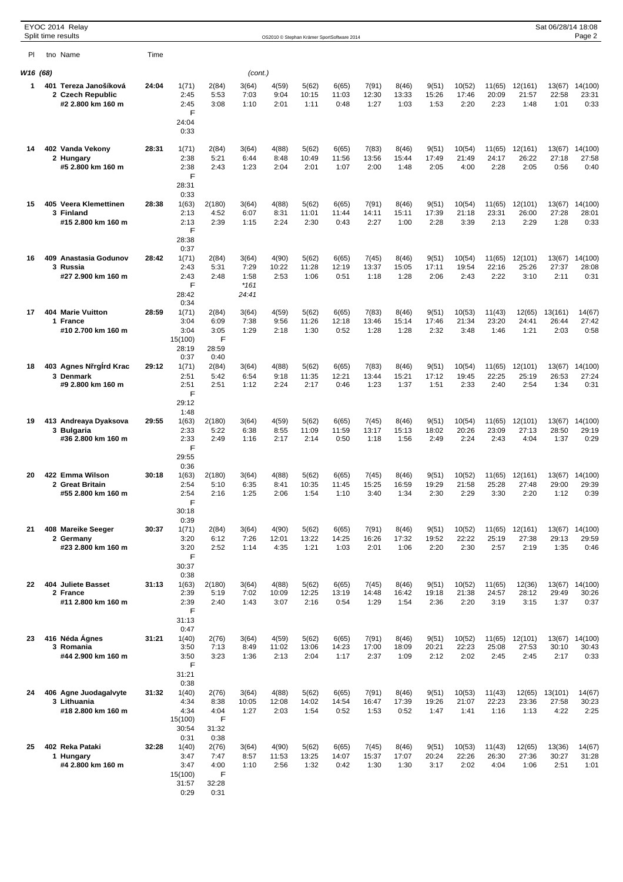|          |     | EYOC 2014 Relay<br>Split time results                          |       |                                                                    |                                                              |                                          |                        |                        | OS2010 © Stephan Krämer SportSoftware 2014 |                        |                        |                        |                         |                         |                          | Sat 06/28/14 18:08       | Page 2                          |
|----------|-----|----------------------------------------------------------------|-------|--------------------------------------------------------------------|--------------------------------------------------------------|------------------------------------------|------------------------|------------------------|--------------------------------------------|------------------------|------------------------|------------------------|-------------------------|-------------------------|--------------------------|--------------------------|---------------------------------|
| PI.      |     | tno Name                                                       | Time  |                                                                    |                                                              |                                          |                        |                        |                                            |                        |                        |                        |                         |                         |                          |                          |                                 |
|          |     |                                                                |       |                                                                    |                                                              |                                          |                        |                        |                                            |                        |                        |                        |                         |                         |                          |                          |                                 |
| W16 (68) |     |                                                                |       |                                                                    |                                                              | (cont.)                                  |                        |                        |                                            |                        |                        |                        |                         |                         |                          |                          |                                 |
| 1.       |     | 401 Tereza Janošíková<br>2 Czech Republic<br>#2 2.800 km 160 m | 24:04 | 1(71)<br>2:45<br>2:45<br>F<br>24:04<br>0:33                        | 2(84)<br>5:53<br>3:08                                        | 3(64)<br>7:03<br>1:10                    | 4(59)<br>9:04<br>2:01  | 5(62)<br>10:15<br>1:11 | 6(65)<br>11:03<br>0:48                     | 7(91)<br>12:30<br>1:27 | 8(46)<br>13:33<br>1:03 | 9(51)<br>15:26<br>1:53 | 10(52)<br>17:46<br>2:20 | 11(65)<br>20:09<br>2:23 | 12(161)<br>21:57<br>1:48 | 13(67)<br>22:58<br>1:01  | 14(100)<br>23:31<br>0:33        |
| 14       |     | 402 Vanda Vekony<br>2 Hungary<br>#5 2.800 km 160 m             | 28:31 | 1(71)<br>2:38<br>2:38<br>F                                         | 2(84)<br>5:21<br>2:43                                        | 3(64)<br>6:44<br>1:23                    | 4(88)<br>8:48<br>2:04  | 5(62)<br>10:49<br>2:01 | 6(65)<br>11:56<br>1:07                     | 7(83)<br>13:56<br>2:00 | 8(46)<br>15:44<br>1:48 | 9(51)<br>17:49<br>2:05 | 10(54)<br>21:49<br>4:00 | 11(65)<br>24:17<br>2:28 | 12(161)<br>26:22<br>2:05 | 13(67)<br>27:18<br>0:56  | 14(100)<br>27:58<br>0:40        |
| 15       | 405 | Veera Klemettinen<br>3 Finland<br>#15 2.800 km 160 m           | 28:38 | 28:31<br>0:33<br>1(63)<br>2:13<br>2:13<br>F                        | 2(180)<br>4:52<br>2:39                                       | 3(64)<br>6:07<br>1:15                    | 4(88)<br>8:31<br>2:24  | 5(62)<br>11:01<br>2:30 | 6(65)<br>11:44<br>0:43                     | 7(91)<br>14:11<br>2:27 | 8(46)<br>15:11<br>1:00 | 9(51)<br>17:39<br>2:28 | 10(54)<br>21:18<br>3:39 | 11(65)<br>23:31<br>2:13 | 12(101)<br>26:00<br>2:29 | 13(67)<br>27:28<br>1:28  | 14(100)<br>28:01<br>0:33        |
| 16       |     | 409 Anastasia Godunov<br>3 Russia<br>#27 2.900 km 160 m        | 28:42 | 28:38<br>0:37<br>1(71)<br>2:43<br>2:43<br>F<br>28:42               | 2(84)<br>5:31<br>2:48                                        | 3(64)<br>7:29<br>1:58<br>$*161$<br>24:41 | 4(90)<br>10:22<br>2:53 | 5(62)<br>11:28<br>1:06 | 6(65)<br>12:19<br>0:51                     | 7(45)<br>13:37<br>1:18 | 8(46)<br>15:05<br>1:28 | 9(51)<br>17:11<br>2:06 | 10(54)<br>19:54<br>2:43 | 11(65)<br>22:16<br>2:22 | 12(101)<br>25:26<br>3:10 | 13(67)<br>27:37<br>2:11  | 14(100)<br>28:08<br>0:31        |
| 17       |     | <b>404 Marie Vuitton</b><br>1 France<br>#10 2.700 km 160 m     | 28:59 | 0:34<br>1(71)<br>3:04<br>3:04<br>15(100)<br>28:19                  | 2(84)<br>6:09<br>3:05<br>F<br>28:59                          | 3(64)<br>7:38<br>1:29                    | 4(59)<br>9:56<br>2:18  | 5(62)<br>11:26<br>1:30 | 6(65)<br>12:18<br>0:52                     | 7(83)<br>13:46<br>1:28 | 8(46)<br>15:14<br>1:28 | 9(51)<br>17:46<br>2:32 | 10(53)<br>21:34<br>3:48 | 11(43)<br>23:20<br>1:46 | 12(65)<br>24:41<br>1:21  | 13(161)<br>26:44<br>2:03 | 14(67)<br>27:42<br>0:58         |
| 18       |     | 403 Agnes N rg rd Krac<br>3 Denmark<br>#9 2.800 km 160 m       | 29:12 | 0:37<br>1(71)<br>2:51<br>2:51<br>F                                 | 0:40<br>2(84)<br>5:42<br>2:51                                | 3(64)<br>6:54<br>1:12                    | 4(88)<br>9:18<br>2:24  | 5(62)<br>11:35<br>2:17 | 6(65)<br>12:21<br>0:46                     | 7(83)<br>13:44<br>1:23 | 8(46)<br>15:21<br>1:37 | 9(51)<br>17:12<br>1:51 | 10(54)<br>19:45<br>2:33 | 11(65)<br>22:25<br>2:40 | 12(101)<br>25:19<br>2:54 | 13(67)<br>26:53<br>1:34  | 14(100)<br>27:24<br>0:31        |
| 19       |     | 413 Andreaya Dyaksova<br>3 Bulgaria<br>#36 2.800 km 160 m      | 29:55 | 29:12<br>1:48<br>1(63)<br>2:33<br>2:33<br>F                        | 2(180)<br>5:22<br>2:49                                       | 3(64)<br>6:38<br>1:16                    | 4(59)<br>8:55<br>2:17  | 5(62)<br>11:09<br>2:14 | 6(65)<br>11:59<br>0:50                     | 7(45)<br>13:17<br>1:18 | 8(46)<br>15:13<br>1:56 | 9(51)<br>18:02<br>2:49 | 10(54)<br>20:26<br>2:24 | 11(65)<br>23:09<br>2:43 | 12(101)<br>27:13<br>4:04 | 13(67)<br>28:50<br>1:37  | 14(100)<br>29:19<br>0:29        |
| 20       |     | 422 Emma Wilson<br>2 Great Britain<br>#55 2.800 km 160 m       | 30:18 | 29:55<br>0:36<br>1(63)<br>2:54<br>2:54<br>F                        | 2(180)<br>5:10<br>2:16                                       | 3(64)<br>6:35<br>1:25                    | 4(88)<br>8:41<br>2:06  | 5(62)<br>10:35<br>1:54 | 6(65)<br>11:45<br>1:10                     | 7(45)<br>15:25<br>3:40 | 8(46)<br>16:59<br>1:34 | 9(51)<br>19:29<br>2:30 | 10(52)<br>21:58<br>2:29 | 11(65)<br>25:28<br>3:30 | 12(161)<br>27:48<br>2:20 | 13(67)<br>29:00<br>1:12  | 14(100)<br>29:39<br>0:39        |
| 21       |     | 408 Mareike Seeger<br>2 Germany<br>#23 2.800 km 160 m          | 30:37 | 30:18<br>0:39<br>1(71)<br>3:20<br>3:20<br>F                        | 2(84)<br>6:12<br>2:52                                        | 3(64)<br>7:26<br>1:14                    | 4(90)<br>12:01<br>4:35 | 5(62)<br>13:22<br>1:21 | 6(65)<br>14:25<br>1:03                     | 7(91)<br>16:26<br>2:01 | 8(46)<br>17:32<br>1:06 | 9(51)<br>19:52<br>2:20 | 10(52)<br>22:22<br>2:30 | 11(65)<br>25:19<br>2:57 | 12(161)<br>27:38<br>2:19 | 13(67)<br>29:13<br>1:35  | 14(100)<br>29:59<br>0:46        |
| 22       |     | 404 Juliete Basset<br>2 France<br>#11 2.800 km 160 m           | 31:13 | 30:37<br>0:38<br>1(63)<br>2:39<br>2:39<br>F                        | 2(180)<br>5:19<br>2:40                                       | 3(64)<br>7:02<br>1:43                    | 4(88)<br>10:09<br>3:07 | 5(62)<br>12:25<br>2:16 | 6(65)<br>13:19<br>0:54                     | 7(45)<br>14:48<br>1:29 | 8(46)<br>16:42<br>1:54 | 9(51)<br>19:18<br>2:36 | 10(52)<br>21:38<br>2:20 | 11(65)<br>24:57<br>3:19 | 12(36)<br>28:12<br>3:15  | 13(67)<br>29:49<br>1:37  | 14(100)<br>30:26<br>0:37        |
| 23       |     | 416 Néda Ágnes<br>3 Romania<br>#44 2.900 km 160 m              | 31:21 | 31:13<br>0:47<br>1(40)<br>3:50<br>3:50<br>F                        | 2(76)<br>7:13<br>3:23                                        | 3(64)<br>8:49<br>1:36                    | 4(59)<br>11:02<br>2:13 | 5(62)<br>13:06<br>2:04 | 6(65)<br>14:23<br>1:17                     | 7(91)<br>17:00<br>2:37 | 8(46)<br>18:09<br>1:09 | 9(51)<br>20:21<br>2:12 | 10(52)<br>22:23<br>2:02 | 11(65)<br>25:08<br>2:45 | 12(101)<br>27:53<br>2:45 | 30:10<br>2:17            | 13(67) 14(100)<br>30:43<br>0:33 |
| 24       |     | 406 Agne Juodagalvyte<br>3 Lithuania<br>#18 2.800 km 160 m     | 31:32 | 31:21<br>0:38<br>1(40)<br>4:34<br>4:34<br>15(100)                  | 2(76)<br>8:38<br>4:04<br>F                                   | 3(64)<br>10:05<br>1:27                   | 4(88)<br>12:08<br>2:03 | 5(62)<br>14:02<br>1:54 | 6(65)<br>14:54<br>0:52                     | 7(91)<br>16:47<br>1:53 | 8(46)<br>17:39<br>0:52 | 9(51)<br>19:26<br>1:47 | 10(53)<br>21:07<br>1:41 | 11(43)<br>22:23<br>1:16 | 12(65)<br>23:36<br>1:13  | 13(101)<br>27:58<br>4:22 | 14(67)<br>30:23<br>2:25         |
| 25       |     | 402 Reka Pataki<br>1 Hungary<br>#4 2.800 km 160 m              | 32:28 | 30:54<br>0:31<br>1(40)<br>3:47<br>3:47<br>15(100)<br>31:57<br>0:29 | 31:32<br>0:38<br>2(76)<br>7:47<br>4:00<br>F<br>32:28<br>0:31 | 3(64)<br>8:57<br>1:10                    | 4(90)<br>11:53<br>2:56 | 5(62)<br>13:25<br>1:32 | 6(65)<br>14:07<br>0:42                     | 7(45)<br>15:37<br>1:30 | 8(46)<br>17:07<br>1:30 | 9(51)<br>20:24<br>3:17 | 10(53)<br>22:26<br>2:02 | 11(43)<br>26:30<br>4:04 | 12(65)<br>27:36<br>1:06  | 13(36)<br>30:27<br>2:51  | 14(67)<br>31:28<br>1:01         |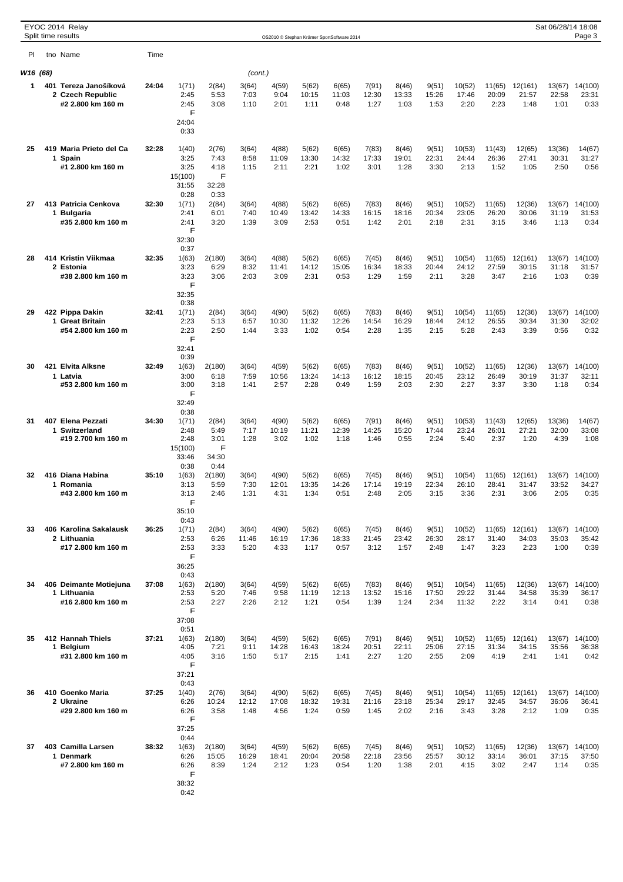|          |  | EYOC 2014 Relay<br>Split time results                          |       |                                                              |                                         |                        |                        |                        | OS2010 © Stephan Krämer SportSoftware 2014 |                        |                        |                        |                          |                         |                          | Sat 06/28/14 18:08      | Page 3                   |
|----------|--|----------------------------------------------------------------|-------|--------------------------------------------------------------|-----------------------------------------|------------------------|------------------------|------------------------|--------------------------------------------|------------------------|------------------------|------------------------|--------------------------|-------------------------|--------------------------|-------------------------|--------------------------|
| PI.      |  | tno Name                                                       | Time  |                                                              |                                         |                        |                        |                        |                                            |                        |                        |                        |                          |                         |                          |                         |                          |
| W16 (68) |  |                                                                |       |                                                              |                                         | (cont.)                |                        |                        |                                            |                        |                        |                        |                          |                         |                          |                         |                          |
| 1        |  | 401 Tereza Janošíková<br>2 Czech Republic<br>#2 2.800 km 160 m | 24:04 | 1(71)<br>2:45<br>2:45<br>F<br>24:04                          | 2(84)<br>5:53<br>3:08                   | 3(64)<br>7:03<br>1:10  | 4(59)<br>9:04<br>2:01  | 5(62)<br>10:15<br>1:11 | 6(65)<br>11:03<br>0:48                     | 7(91)<br>12:30<br>1:27 | 8(46)<br>13:33<br>1:03 | 9(51)<br>15:26<br>1:53 | 10(52)<br>17:46<br>2:20  | 11(65)<br>20:09<br>2:23 | 12(161)<br>21:57<br>1:48 | 13(67)<br>22:58<br>1:01 | 14(100)<br>23:31<br>0:33 |
| 25       |  | 419 Maria Prieto del Ca<br>1 Spain<br>#1 2.800 km 160 m        | 32:28 | 0:33<br>1(40)<br>3:25<br>3:25<br>15(100)<br>31:55            | 2(76)<br>7:43<br>4:18<br>F<br>32:28     | 3(64)<br>8:58<br>1:15  | 4(88)<br>11:09<br>2:11 | 5(62)<br>13:30<br>2:21 | 6(65)<br>14:32<br>1:02                     | 7(83)<br>17:33<br>3:01 | 8(46)<br>19:01<br>1:28 | 9(51)<br>22:31<br>3:30 | 10(53)<br>24:44<br>2:13  | 11(43)<br>26:36<br>1:52 | 12(65)<br>27:41<br>1:05  | 13(36)<br>30:31<br>2:50 | 14(67)<br>31:27<br>0:56  |
| 27       |  | 413 Patricia Cenkova<br>1 Bulgaria<br>#35 2.800 km 160 m       | 32:30 | 0:28<br>1(71)<br>2:41<br>2:41<br>F<br>32:30                  | 0:33<br>2(84)<br>6:01<br>3:20           | 3(64)<br>7:40<br>1:39  | 4(88)<br>10:49<br>3:09 | 5(62)<br>13:42<br>2:53 | 6(65)<br>14:33<br>0:51                     | 7(83)<br>16:15<br>1:42 | 8(46)<br>18:16<br>2:01 | 9(51)<br>20:34<br>2:18 | 10(52)<br>23:05<br>2:31  | 11(65)<br>26:20<br>3:15 | 12(36)<br>30:06<br>3:46  | 13(67)<br>31:19<br>1:13 | 14(100)<br>31:53<br>0:34 |
| 28       |  | 414 Kristin Viikmaa<br>2 Estonia<br>#38 2.800 km 160 m         | 32:35 | 0:37<br>1(63)<br>3:23<br>3:23<br>F                           | 2(180)<br>6:29<br>3:06                  | 3(64)<br>8:32<br>2:03  | 4(88)<br>11:41<br>3:09 | 5(62)<br>14:12<br>2:31 | 6(65)<br>15:05<br>0:53                     | 7(45)<br>16:34<br>1:29 | 8(46)<br>18:33<br>1:59 | 9(51)<br>20:44<br>2:11 | 10(54)<br>24:12<br>3:28  | 11(65)<br>27:59<br>3:47 | 12(161)<br>30:15<br>2:16 | 13(67)<br>31:18<br>1:03 | 14(100)<br>31:57<br>0:39 |
| 29       |  | 422 Pippa Dakin<br>1 Great Britain<br>#54 2.800 km 160 m       | 32:41 | 32:35<br>0:38<br>1(71)<br>2:23<br>2:23<br>F                  | 2(84)<br>5:13<br>2:50                   | 3(64)<br>6:57<br>1:44  | 4(90)<br>10:30<br>3:33 | 5(62)<br>11:32<br>1:02 | 6(65)<br>12:26<br>0:54                     | 7(83)<br>14:54<br>2:28 | 8(46)<br>16:29<br>1:35 | 9(51)<br>18:44<br>2:15 | 10(54)<br>24:12<br>5:28  | 11(65)<br>26:55<br>2:43 | 12(36)<br>30:34<br>3:39  | 13(67)<br>31:30<br>0:56 | 14(100)<br>32:02<br>0:32 |
| 30       |  | 421 Elvita Alksne<br>1 Latvia<br>#53 2.800 km 160 m            | 32:49 | 32:41<br>0:39<br>1(63)<br>3:00<br>3:00                       | 2(180)<br>6:18<br>3:18                  | 3(64)<br>7:59<br>1:41  | 4(59)<br>10:56<br>2:57 | 5(62)<br>13:24<br>2:28 | 6(65)<br>14:13<br>0:49                     | 7(83)<br>16:12<br>1:59 | 8(46)<br>18:15<br>2:03 | 9(51)<br>20:45<br>2:30 | 10(52)<br>23:12<br>2:27  | 11(65)<br>26:49<br>3:37 | 12(36)<br>30:19<br>3:30  | 13(67)<br>31:37<br>1:18 | 14(100)<br>32:11<br>0:34 |
| 31       |  | 407 Elena Pezzati<br>1 Switzerland<br>#19 2.700 km 160 m       | 34:30 | F<br>32:49<br>0:38<br>1(71)<br>2:48<br>2:48<br>15(100)       | 2(84)<br>5:49<br>3:01<br>F              | 3(64)<br>7:17<br>1:28  | 4(90)<br>10:19<br>3:02 | 5(62)<br>11:21<br>1:02 | 6(65)<br>12:39<br>1:18                     | 7(91)<br>14:25<br>1:46 | 8(46)<br>15:20<br>0:55 | 9(51)<br>17:44<br>2:24 | 10(53)<br>23:24<br>5:40  | 11(43)<br>26:01<br>2:37 | 12(65)<br>27:21<br>1:20  | 13(36)<br>32:00<br>4:39 | 14(67)<br>33:08<br>1:08  |
| 32       |  | 416 Diana Habina<br>1 Romania<br>#43 2.800 km 160 m            | 35:10 | 33:46<br>0:38<br>1(63)<br>3:13<br>3:13<br>F                  | 34:30<br>0:44<br>2(180)<br>5:59<br>2:46 | 3(64)<br>7:30<br>1:31  | 4(90)<br>12:01<br>4:31 | 5(62)<br>13:35<br>1:34 | 6(65)<br>14:26<br>0:51                     | 7(45)<br>17:14<br>2:48 | 8(46)<br>19:19<br>2:05 | 9(51)<br>22:34<br>3:15 | 10(54)<br>26:10<br>3:36  | 11(65)<br>28:41<br>2:31 | 12(161)<br>31:47<br>3:06 | 13(67)<br>33:52<br>2:05 | 14(100)<br>34:27<br>0:35 |
| 33       |  | 406 Karolina Sakalausk<br>2 Lithuania<br>#17 2.800 km 160 m    | 36:25 | 35:10<br>0:43<br>1(71)<br>2:53<br>2:53<br>F                  | 2(84)<br>6:26<br>3:33                   | 3(64)<br>11:46<br>5:20 | 4(90)<br>16:19<br>4:33 | 5(62)<br>17:36<br>1:17 | 6(65)<br>18:33<br>0:57                     | 7(45)<br>21:45<br>3:12 | 8(46)<br>23:42<br>1:57 | 9(51)<br>26:30<br>2:48 | 10(52)<br>28:17<br>1:47  | 11(65)<br>31:40<br>3:23 | 12(161)<br>34:03<br>2:23 | 13(67)<br>35:03<br>1:00 | 14(100)<br>35:42<br>0:39 |
| 34       |  | 406 Deimante Motiejuna<br>1 Lithuania<br>#16 2.800 km 160 m    | 37:08 | 36:25<br>0:43<br>1(63)<br>2:53<br>2:53<br>F                  | 2(180)<br>5:20<br>2:27                  | 3(64)<br>7:46<br>2:26  | 4(59)<br>9:58<br>2:12  | 5(62)<br>11:19<br>1:21 | 6(65)<br>12:13<br>0:54                     | 7(83)<br>13:52<br>1:39 | 8(46)<br>15:16<br>1:24 | 9(51)<br>17:50<br>2:34 | 10(54)<br>29:22<br>11:32 | 11(65)<br>31:44<br>2:22 | 12(36)<br>34:58<br>3:14  | 13(67)<br>35:39<br>0:41 | 14(100)<br>36:17<br>0:38 |
| 35       |  | 412 Hannah Thiels<br>1 Belgium<br>#31 2.800 km 160 m           | 37:21 | 37:08<br>0:51<br>1(63)<br>4:05<br>4:05<br>F                  | 2(180)<br>7:21<br>3:16                  | 3(64)<br>9:11<br>1:50  | 4(59)<br>14:28<br>5:17 | 5(62)<br>16:43<br>2:15 | 6(65)<br>18:24<br>1:41                     | 7(91)<br>20:51<br>2:27 | 8(46)<br>22:11<br>1:20 | 9(51)<br>25:06<br>2:55 | 10(52)<br>27:15<br>2:09  | 11(65)<br>31:34<br>4:19 | 12(161)<br>34:15<br>2:41 | 13(67)<br>35:56<br>1:41 | 14(100)<br>36:38<br>0:42 |
| 36       |  | 410 Goenko Maria<br>2 Ukraine<br>#29 2.800 km 160 m            | 37:25 | 37:21<br>0:43<br>1(40)<br>6:26<br>6:26<br>F                  | 2(76)<br>10:24<br>3:58                  | 3(64)<br>12:12<br>1:48 | 4(90)<br>17:08<br>4:56 | 5(62)<br>18:32<br>1:24 | 6(65)<br>19:31<br>0:59                     | 7(45)<br>21:16<br>1:45 | 8(46)<br>23:18<br>2:02 | 9(51)<br>25:34<br>2:16 | 10(54)<br>29:17<br>3:43  | 11(65)<br>32:45<br>3:28 | 12(161)<br>34:57<br>2:12 | 13(67)<br>36:06<br>1:09 | 14(100)<br>36:41<br>0:35 |
| 37       |  | 403 Camilla Larsen<br>1 Denmark<br>#7 2.800 km 160 m           | 38:32 | 37:25<br>0:44<br>1(63)<br>6:26<br>6:26<br>F<br>38:32<br>0:42 | 2(180)<br>15:05<br>8:39                 | 3(64)<br>16:29<br>1:24 | 4(59)<br>18:41<br>2:12 | 5(62)<br>20:04<br>1:23 | 6(65)<br>20:58<br>0:54                     | 7(45)<br>22:18<br>1:20 | 8(46)<br>23:56<br>1:38 | 9(51)<br>25:57<br>2:01 | 10(52)<br>30:12<br>4:15  | 11(65)<br>33:14<br>3:02 | 12(36)<br>36:01<br>2:47  | 13(67)<br>37:15<br>1:14 | 14(100)<br>37:50<br>0:35 |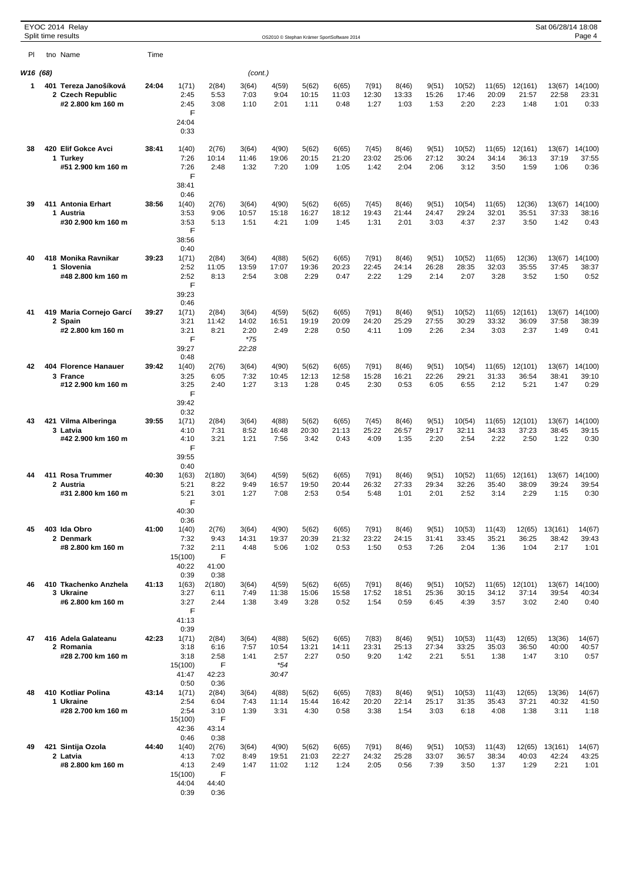|          | Split time results |          | EYOC 2014 Relay                                                |       |                                                                    |                                                              |                                          | OS2010 © Stephan Krämer SportSoftware 2014 |                        |                        |                        |                        |                        |                         |                         |                          | Sat 06/28/14 18:08       | Page 4                   |
|----------|--------------------|----------|----------------------------------------------------------------|-------|--------------------------------------------------------------------|--------------------------------------------------------------|------------------------------------------|--------------------------------------------|------------------------|------------------------|------------------------|------------------------|------------------------|-------------------------|-------------------------|--------------------------|--------------------------|--------------------------|
| PI.      |                    | tno Name |                                                                | Time  |                                                                    |                                                              |                                          |                                            |                        |                        |                        |                        |                        |                         |                         |                          |                          |                          |
| W16 (68) |                    |          |                                                                |       |                                                                    |                                                              | (cont.)                                  |                                            |                        |                        |                        |                        |                        |                         |                         |                          |                          |                          |
| 1.       |                    |          | 401 Tereza Janošíková<br>2 Czech Republic<br>#2 2.800 km 160 m | 24:04 | 1(71)<br>2:45<br>2:45<br>F<br>24:04<br>0:33                        | 2(84)<br>5:53<br>3:08                                        | 3(64)<br>7:03<br>1:10                    | 4(59)<br>9:04<br>2:01                      | 5(62)<br>10:15<br>1:11 | 6(65)<br>11:03<br>0:48 | 7(91)<br>12:30<br>1:27 | 8(46)<br>13:33<br>1:03 | 9(51)<br>15:26<br>1:53 | 10(52)<br>17:46<br>2:20 | 11(65)<br>20:09<br>2:23 | 12(161)<br>21:57<br>1:48 | 13(67)<br>22:58<br>1:01  | 14(100)<br>23:31<br>0:33 |
| 38       |                    |          | 420 Elif Gokce Avci<br>1 Turkey<br>#51 2.900 km 160 m          | 38:41 | 1(40)<br>7:26<br>7:26<br>F<br>38:41                                | 2(76)<br>10:14<br>2:48                                       | 3(64)<br>11:46<br>1:32                   | 4(90)<br>19:06<br>7:20                     | 5(62)<br>20:15<br>1:09 | 6(65)<br>21:20<br>1:05 | 7(45)<br>23:02<br>1:42 | 8(46)<br>25:06<br>2:04 | 9(51)<br>27:12<br>2:06 | 10(52)<br>30:24<br>3:12 | 11(65)<br>34:14<br>3:50 | 12(161)<br>36:13<br>1:59 | 13(67)<br>37:19<br>1:06  | 14(100)<br>37:55<br>0:36 |
| 39       |                    |          | 411 Antonia Erhart<br>1 Austria<br>#30 2.900 km 160 m          | 38:56 | 0:46<br>1(40)<br>3:53<br>3:53<br>F                                 | 2(76)<br>9:06<br>5:13                                        | 3(64)<br>10:57<br>1:51                   | 4(90)<br>15:18<br>4:21                     | 5(62)<br>16:27<br>1:09 | 6(65)<br>18:12<br>1:45 | 7(45)<br>19:43<br>1:31 | 8(46)<br>21:44<br>2:01 | 9(51)<br>24:47<br>3:03 | 10(54)<br>29:24<br>4:37 | 11(65)<br>32:01<br>2:37 | 12(36)<br>35:51<br>3:50  | 13(67)<br>37:33<br>1:42  | 14(100)<br>38:16<br>0:43 |
| 40       |                    |          | 418 Monika Ravnikar<br>1 Slovenia<br>#48 2.800 km 160 m        | 39.23 | 38:56<br>0:40<br>1(71)<br>2:52<br>2:52<br>F                        | 2(84)<br>11:05<br>8:13                                       | 3(64)<br>13:59<br>2:54                   | 4(88)<br>17:07<br>3:08                     | 5(62)<br>19:36<br>2:29 | 6(65)<br>20:23<br>0:47 | 7(91)<br>22:45<br>2:22 | 8(46)<br>24:14<br>1:29 | 9(51)<br>26:28<br>2:14 | 10(52)<br>28:35<br>2:07 | 11(65)<br>32:03<br>3:28 | 12(36)<br>35:55<br>3:52  | 13(67)<br>37:45<br>1:50  | 14(100)<br>38:37<br>0:52 |
| 41       |                    | 2 Spain  | 419 Maria Cornejo Garcí<br>#2 2.800 km 160 m                   | 39:27 | 39:23<br>0:46<br>1(71)<br>3:21<br>3:21<br>F<br>39:27               | 2(84)<br>11:42<br>8:21                                       | 3(64)<br>14:02<br>2:20<br>$*75$<br>22:28 | 4(59)<br>16:51<br>2:49                     | 5(62)<br>19:19<br>2:28 | 6(65)<br>20:09<br>0:50 | 7(91)<br>24:20<br>4:11 | 8(46)<br>25:29<br>1:09 | 9(51)<br>27:55<br>2:26 | 10(52)<br>30:29<br>2:34 | 11(65)<br>33:32<br>3:03 | 12(161)<br>36:09<br>2:37 | 13(67)<br>37:58<br>1:49  | 14(100)<br>38:39<br>0:41 |
| 42       |                    |          | 404 Florence Hanauer<br>3 France<br>#12 2.900 km 160 m         | 39:42 | 0:48<br>1(40)<br>3:25<br>3:25                                      | 2(76)<br>6:05<br>2:40                                        | 3(64)<br>7:32<br>1:27                    | 4(90)<br>10:45<br>3:13                     | 5(62)<br>12:13<br>1:28 | 6(65)<br>12:58<br>0:45 | 7(91)<br>15:28<br>2:30 | 8(46)<br>16:21<br>0:53 | 9(51)<br>22:26<br>6:05 | 10(54)<br>29:21<br>6:55 | 11(65)<br>31:33<br>2:12 | 12(101)<br>36:54<br>5:21 | 13(67)<br>38:41<br>1:47  | 14(100)<br>39:10<br>0:29 |
| 43       |                    | 3 Latvia | 421 Vilma Alberinga<br>#42 2.900 km 160 m                      | 39:55 | F<br>39:42<br>0:32<br>1(71)<br>4:10<br>4:10                        | 2(84)<br>7:31<br>3:21                                        | 3(64)<br>8:52<br>1:21                    | 4(88)<br>16:48<br>7:56                     | 5(62)<br>20:30<br>3:42 | 6(65)<br>21:13<br>0:43 | 7(45)<br>25:22<br>4:09 | 8(46)<br>26:57<br>1:35 | 9(51)<br>29:17<br>2:20 | 10(54)<br>32:11<br>2:54 | 11(65)<br>34:33<br>2:22 | 12(101)<br>37:23<br>2:50 | 13(67)<br>38:45<br>1:22  | 14(100)<br>39:15<br>0:30 |
| 44       |                    |          | 411 Rosa Trummer<br>2 Austria<br>#31 2.800 km 160 m            | 40:30 | F<br>39:55<br>0:40<br>1(63)<br>5:21<br>5:21<br>F                   | 2(180)<br>8:22<br>3:01                                       | 3(64)<br>9:49<br>1:27                    | 4(59)<br>16:57<br>7:08                     | 5(62)<br>19:50<br>2:53 | 6(65)<br>20:44<br>0:54 | 7(91)<br>26:32<br>5:48 | 8(46)<br>27:33<br>1:01 | 9(51)<br>29:34<br>2:01 | 10(52)<br>32:26<br>2:52 | 11(65)<br>35:40<br>3:14 | 12(161)<br>38:09<br>2:29 | 13(67)<br>39:24<br>1:15  | 14(100)<br>39:54<br>0:30 |
| 45       |                    |          | 403 Ida Obro<br>2 Denmark<br>#8 2.800 km 160 m                 | 41:00 | 40:30<br>0:36<br>1(40)<br>7:32<br>7:32<br>15(100)                  | 2(76)<br>9:43<br>2:11<br>F                                   | 3(64)<br>14:31<br>4:48                   | 4(90)<br>19:37<br>5:06                     | 5(62)<br>20:39<br>1:02 | 6(65)<br>21:32<br>0:53 | 7(91)<br>23:22<br>1:50 | 8(46)<br>24:15<br>0:53 | 9(51)<br>31:41<br>7:26 | 10(53)<br>33:45<br>2:04 | 11(43)<br>35:21<br>1:36 | 12(65)<br>36:25<br>1:04  | 13(161)<br>38:42<br>2:17 | 14(67)<br>39:43<br>1:01  |
| 46       |                    |          | 410 Tkachenko Anzhela<br>3 Ukraine<br>#6 2.800 km 160 m        | 41:13 | 40:22<br>0:39<br>1(63)<br>3:27<br>3:27<br>F                        | 41:00<br>0:38<br>2(180)<br>6:11<br>2:44                      | 3(64)<br>7:49<br>1:38                    | 4(59)<br>11:38<br>3:49                     | 5(62)<br>15:06<br>3:28 | 6(65)<br>15:58<br>0:52 | 7(91)<br>17:52<br>1:54 | 8(46)<br>18:51<br>0:59 | 9(51)<br>25:36<br>6:45 | 10(52)<br>30:15<br>4:39 | 11(65)<br>34:12<br>3:57 | 12(101)<br>37:14<br>3:02 | 13(67)<br>39:54<br>2:40  | 14(100)<br>40:34<br>0:40 |
| 47       |                    |          | 416 Adela Galateanu<br>2 Romania<br>#28 2.700 km 160 m         | 42:23 | 41:13<br>0:39<br>1(71)<br>3:18<br>3:18<br>15(100)<br>41:47         | 2(84)<br>6:16<br>2:58<br>F<br>42:23                          | 3(64)<br>7:57<br>1:41                    | 4(88)<br>10:54<br>2:57<br>$*54$<br>30:47   | 5(62)<br>13:21<br>2:27 | 6(65)<br>14:11<br>0:50 | 7(83)<br>23:31<br>9:20 | 8(46)<br>25:13<br>1:42 | 9(51)<br>27:34<br>2:21 | 10(53)<br>33:25<br>5:51 | 11(43)<br>35:03<br>1:38 | 12(65)<br>36:50<br>1:47  | 13(36)<br>40:00<br>3:10  | 14(67)<br>40:57<br>0:57  |
| 48       |                    |          | 410 Kotliar Polina<br>1 Ukraine<br>#28 2.700 km 160 m          | 43:14 | 0:50<br>1(71)<br>2:54<br>2:54<br>15(100)                           | 0:36<br>2(84)<br>6:04<br>3:10<br>F                           | 3(64)<br>7:43<br>1:39                    | 4(88)<br>11:14<br>3:31                     | 5(62)<br>15:44<br>4:30 | 6(65)<br>16:42<br>0:58 | 7(83)<br>20:20<br>3:38 | 8(46)<br>22:14<br>1:54 | 9(51)<br>25:17<br>3:03 | 10(53)<br>31:35<br>6:18 | 11(43)<br>35:43<br>4:08 | 12(65)<br>37:21<br>1:38  | 13(36)<br>40:32<br>3:11  | 14(67)<br>41:50<br>1:18  |
| 49       |                    | 2 Latvia | 421 Sintija Ozola<br>#8 2.800 km 160 m                         | 44:40 | 42:36<br>0:46<br>1(40)<br>4:13<br>4:13<br>15(100)<br>44:04<br>0:39 | 43:14<br>0:38<br>2(76)<br>7:02<br>2:49<br>F<br>44:40<br>0:36 | 3(64)<br>8:49<br>1:47                    | 4(90)<br>19:51<br>11:02                    | 5(62)<br>21:03<br>1:12 | 6(65)<br>22:27<br>1:24 | 7(91)<br>24:32<br>2:05 | 8(46)<br>25:28<br>0:56 | 9(51)<br>33:07<br>7:39 | 10(53)<br>36:57<br>3:50 | 11(43)<br>38:34<br>1:37 | 12(65)<br>40:03<br>1:29  | 13(161)<br>42:24<br>2:21 | 14(67)<br>43:25<br>1:01  |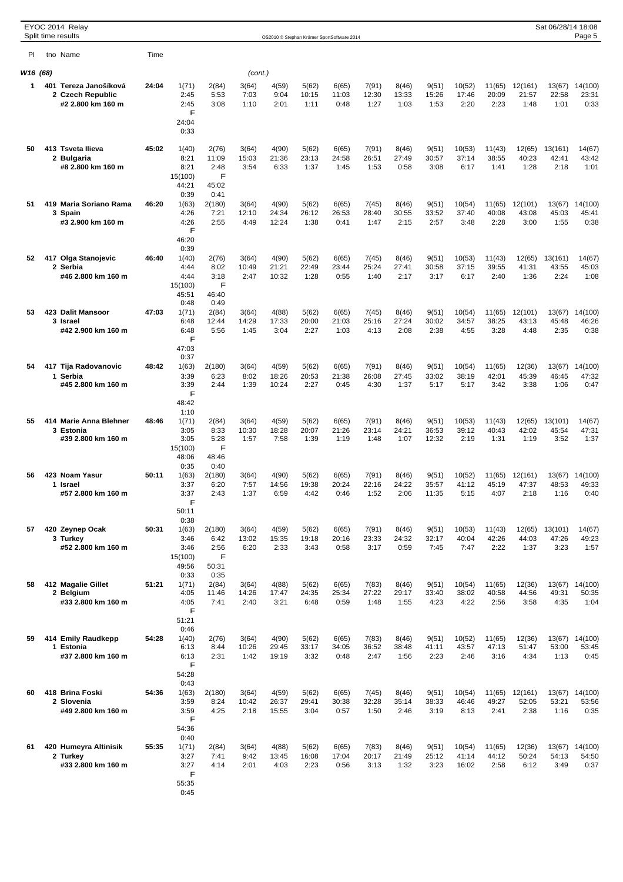|          | EYOC 2014 Relay<br>Split time results                          |       |                                                              |                                              |                        | OS2010 © Stephan Krämer SportSoftware 2014 |                        |                        |                        |                        |                         |                          |                         |                          | Sat 06/28/14 18:08       | Page 5                   |
|----------|----------------------------------------------------------------|-------|--------------------------------------------------------------|----------------------------------------------|------------------------|--------------------------------------------|------------------------|------------------------|------------------------|------------------------|-------------------------|--------------------------|-------------------------|--------------------------|--------------------------|--------------------------|
| PI.      | tno Name                                                       | Time  |                                                              |                                              |                        |                                            |                        |                        |                        |                        |                         |                          |                         |                          |                          |                          |
| W16 (68) |                                                                |       |                                                              |                                              | (cont.)                |                                            |                        |                        |                        |                        |                         |                          |                         |                          |                          |                          |
| 1.       | 401 Tereza Janošíková<br>2 Czech Republic<br>#2 2.800 km 160 m | 24:04 | 1(71)<br>2:45<br>2:45<br>F<br>24:04<br>0:33                  | 2(84)<br>5:53<br>3:08                        | 3(64)<br>7:03<br>1:10  | 4(59)<br>9:04<br>2:01                      | 5(62)<br>10:15<br>1:11 | 6(65)<br>11:03<br>0:48 | 7(91)<br>12:30<br>1:27 | 8(46)<br>13:33<br>1:03 | 9(51)<br>15:26<br>1:53  | 10(52)<br>17:46<br>2:20  | 11(65)<br>20:09<br>2:23 | 12(161)<br>21:57<br>1:48 | 13(67)<br>22:58<br>1:01  | 14(100)<br>23:31<br>0:33 |
| 50       | 413 Tsveta Ilieva<br>2 Bulgaria<br>#8 2.800 km 160 m           | 45:02 | 1(40)<br>8:21<br>8:21<br>15(100)<br>44:21<br>0:39            | 2(76)<br>11:09<br>2:48<br>F<br>45:02<br>0:41 | 3(64)<br>15:03<br>3:54 | 4(90)<br>21:36<br>6:33                     | 5(62)<br>23:13<br>1:37 | 6(65)<br>24:58<br>1:45 | 7(91)<br>26:51<br>1:53 | 8(46)<br>27:49<br>0:58 | 9(51)<br>30:57<br>3:08  | 10(53)<br>37:14<br>6:17  | 11(43)<br>38:55<br>1:41 | 12(65)<br>40:23<br>1:28  | 13(161)<br>42:41<br>2:18 | 14(67)<br>43:42<br>1:01  |
| 51       | 419 Maria Soriano Rama<br>3 Spain<br>#3 2.900 km 160 m         | 46:20 | 1(63)<br>4:26<br>4:26<br>F<br>46:20                          | 2(180)<br>7:21<br>2:55                       | 3(64)<br>12:10<br>4:49 | 4(90)<br>24:34<br>12:24                    | 5(62)<br>26:12<br>1:38 | 6(65)<br>26:53<br>0:41 | 7(45)<br>28:40<br>1:47 | 8(46)<br>30:55<br>2:15 | 9(51)<br>33:52<br>2:57  | 10(54)<br>37:40<br>3:48  | 11(65)<br>40:08<br>2:28 | 12(101)<br>43:08<br>3:00 | 13(67)<br>45:03<br>1:55  | 14(100)<br>45:41<br>0:38 |
| 52       | 417 Olga Stanojevic<br>2 Serbia<br>#46 2.800 km 160 m          | 46:40 | 0:39<br>1(40)<br>4:44<br>4:44<br>15(100)<br>45:51            | 2(76)<br>8:02<br>3:18<br>F<br>46:40          | 3(64)<br>10:49<br>2:47 | 4(90)<br>21:21<br>10:32                    | 5(62)<br>22:49<br>1:28 | 6(65)<br>23:44<br>0:55 | 7(45)<br>25:24<br>1:40 | 8(46)<br>27:41<br>2:17 | 9(51)<br>30:58<br>3:17  | 10(53)<br>37:15<br>6:17  | 11(43)<br>39:55<br>2:40 | 12(65)<br>41:31<br>1:36  | 13(161)<br>43:55<br>2:24 | 14(67)<br>45:03<br>1:08  |
| 53       | 423 Dalit Mansoor<br>3 Israel<br>#42 2.900 km 160 m            | 47:03 | 0:48<br>1(71)<br>6:48<br>6:48<br>F                           | 0:49<br>2(84)<br>12:44<br>5:56               | 3(64)<br>14:29<br>1:45 | 4(88)<br>17:33<br>3:04                     | 5(62)<br>20:00<br>2:27 | 6(65)<br>21:03<br>1:03 | 7(45)<br>25:16<br>4:13 | 8(46)<br>27:24<br>2:08 | 9(51)<br>30:02<br>2:38  | 10(54)<br>34:57<br>4:55  | 11(65)<br>38:25<br>3:28 | 12(101)<br>43:13<br>4:48 | 13(67)<br>45:48<br>2:35  | 14(100)<br>46:26<br>0:38 |
| 54       | 417 Tija Radovanovic<br>1 Serbia<br>#45 2.800 km 160 m         | 48:42 | 47:03<br>0:37<br>1(63)<br>3:39<br>3:39<br>F                  | 2(180)<br>6:23<br>2:44                       | 3(64)<br>8:02<br>1:39  | 4(59)<br>18:26<br>10:24                    | 5(62)<br>20:53<br>2:27 | 6(65)<br>21:38<br>0:45 | 7(91)<br>26:08<br>4:30 | 8(46)<br>27:45<br>1:37 | 9(51)<br>33:02<br>5:17  | 10(54)<br>38:19<br>5:17  | 11(65)<br>42:01<br>3:42 | 12(36)<br>45:39<br>3:38  | 13(67)<br>46:45<br>1:06  | 14(100)<br>47:32<br>0:47 |
| 55       | 414 Marie Anna Blehner<br>3 Estonia<br>#39 2.800 km 160 m      | 48:46 | 48:42<br>1:10<br>1(71)<br>3:05<br>3:05<br>15(100)            | 2(84)<br>8:33<br>5:28<br>F                   | 3(64)<br>10:30<br>1:57 | 4(59)<br>18:28<br>7:58                     | 5(62)<br>20:07<br>1:39 | 6(65)<br>21:26<br>1:19 | 7(91)<br>23:14<br>1:48 | 8(46)<br>24:21<br>1:07 | 9(51)<br>36:53<br>12:32 | 10(53)<br>39:12<br>2:19  | 11(43)<br>40:43<br>1:31 | 12(65)<br>42:02<br>1:19  | 13(101)<br>45:54<br>3:52 | 14(67)<br>47:31<br>1:37  |
| 56       | 423 Noam Yasur<br>1 Israel<br>#57 2.800 km 160 m               | 50:11 | 48:06<br>0:35<br>1(63)<br>3:37<br>3:37<br>F                  | 48:46<br>0:40<br>2(180)<br>6:20<br>2:43      | 3(64)<br>7:57<br>1:37  | 4(90)<br>14:56<br>6:59                     | 5(62)<br>19:38<br>4:42 | 6(65)<br>20:24<br>0:46 | 7(91)<br>22:16<br>1:52 | 8(46)<br>24:22<br>2:06 | 9(51)<br>35:57<br>11:35 | 10(52)<br>41:12<br>5:15  | 11(65)<br>45:19<br>4:07 | 12(161)<br>47:37<br>2:18 | 13(67)<br>48:53<br>1:16  | 14(100)<br>49:33<br>0:40 |
| 57       | 420 Zeynep Ocak<br>3 Turkey<br>#52 2.800 km 160 m              | 50:31 | 50:11<br>0:38<br>1(63)<br>3:46<br>3:46<br>15(100)            | 2(180)<br>6:42<br>2:56<br>F                  | 3(64)<br>13:02<br>6:20 | 4(59)<br>15:35<br>2:33                     | 5(62)<br>19:18<br>3:43 | 6(65)<br>20:16<br>0:58 | 7(91)<br>23:33<br>3:17 | 8(46)<br>24:32<br>0:59 | 9(51)<br>32:17<br>7:45  | 10(53)<br>40:04<br>7:47  | 11(43)<br>42:26<br>2:22 | 12(65)<br>44:03<br>1:37  | 13(101)<br>47:26<br>3:23 | 14(67)<br>49:23<br>1:57  |
| 58       | 412 Magalie Gillet<br>2 Belgium<br>#33 2.800 km 160 m          | 51:21 | 49:56<br>0:33<br>1(71)<br>4:05<br>4:05<br>F                  | 50:31<br>0:35<br>2(84)<br>11:46<br>7:41      | 3(64)<br>14:26<br>2:40 | 4(88)<br>17:47<br>3:21                     | 5(62)<br>24:35<br>6:48 | 6(65)<br>25:34<br>0:59 | 7(83)<br>27:22<br>1:48 | 8(46)<br>29:17<br>1:55 | 9(51)<br>33:40<br>4:23  | 10(54)<br>38:02<br>4:22  | 11(65)<br>40:58<br>2:56 | 12(36)<br>44:56<br>3:58  | 13(67)<br>49:31<br>4:35  | 14(100)<br>50:35<br>1:04 |
| 59       | 414 Emily Raudkepp<br>1 Estonia<br>#37 2.800 km 160 m          | 54:28 | 51:21<br>0:46<br>1(40)<br>6:13<br>6:13<br>F                  | 2(76)<br>8:44<br>2:31                        | 3(64)<br>10:26<br>1:42 | 4(90)<br>29:45<br>19:19                    | 5(62)<br>33:17<br>3:32 | 6(65)<br>34:05<br>0:48 | 7(83)<br>36:52<br>2:47 | 8(46)<br>38:48<br>1:56 | 9(51)<br>41:11<br>2:23  | 10(52)<br>43:57<br>2:46  | 11(65)<br>47:13<br>3:16 | 12(36)<br>51:47<br>4:34  | 13(67)<br>53:00<br>1:13  | 14(100)<br>53:45<br>0:45 |
| 60       | 418 Brina Foski<br>2 Slovenia<br>#49 2.800 km 160 m            | 54:36 | 54:28<br>0:43<br>1(63)<br>3:59<br>3:59<br>F                  | 2(180)<br>8:24<br>4:25                       | 3(64)<br>10:42<br>2:18 | 4(59)<br>26:37<br>15:55                    | 5(62)<br>29:41<br>3:04 | 6(65)<br>30:38<br>0:57 | 7(45)<br>32:28<br>1:50 | 8(46)<br>35:14<br>2:46 | 9(51)<br>38:33<br>3:19  | 10(54)<br>46:46<br>8:13  | 11(65)<br>49:27<br>2:41 | 12(161)<br>52:05<br>2:38 | 13(67)<br>53:21<br>1:16  | 14(100)<br>53:56<br>0:35 |
| 61       | 420 Humeyra Altinisik<br>2 Turkey<br>#33 2.800 km 160 m        | 55:35 | 54:36<br>0:40<br>1(71)<br>3:27<br>3:27<br>F<br>55:35<br>0:45 | 2(84)<br>7:41<br>4:14                        | 3(64)<br>9:42<br>2:01  | 4(88)<br>13:45<br>4:03                     | 5(62)<br>16:08<br>2:23 | 6(65)<br>17:04<br>0:56 | 7(83)<br>20:17<br>3:13 | 8(46)<br>21:49<br>1:32 | 9(51)<br>25:12<br>3:23  | 10(54)<br>41:14<br>16:02 | 11(65)<br>44:12<br>2:58 | 12(36)<br>50:24<br>6:12  | 13(67)<br>54:13<br>3:49  | 14(100)<br>54:50<br>0:37 |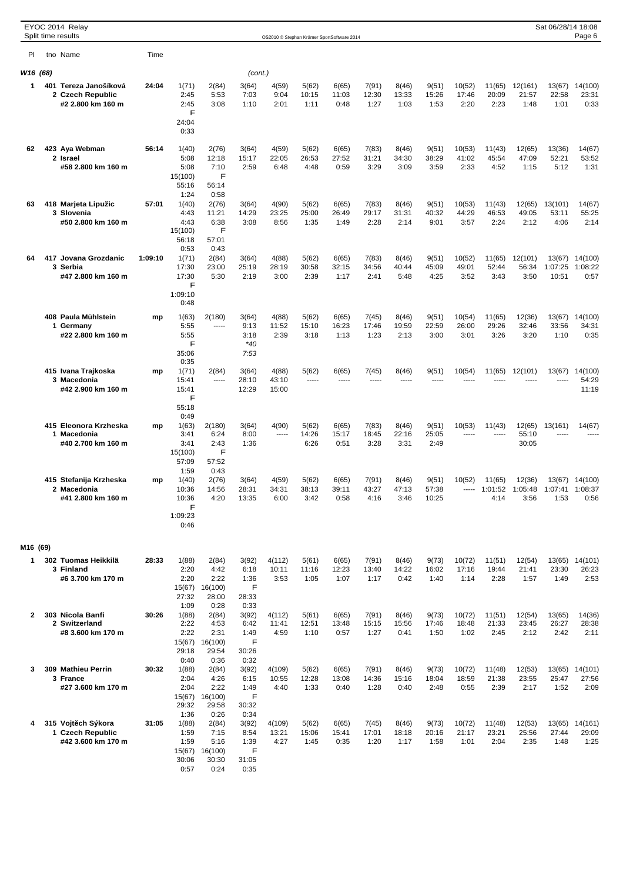|              |  | EYOC 2014 Relay<br>Split time results                          |         |                                                                 |                                                            |                                                      | OS2010 © Stephan Krämer SportSoftware 2014 |                        |                        |                        |                        |                         |                         |                         |                                   | Sat 06/28/14 18:08         | Page 6                          |
|--------------|--|----------------------------------------------------------------|---------|-----------------------------------------------------------------|------------------------------------------------------------|------------------------------------------------------|--------------------------------------------|------------------------|------------------------|------------------------|------------------------|-------------------------|-------------------------|-------------------------|-----------------------------------|----------------------------|---------------------------------|
| PI.          |  | tno Name                                                       | Time    |                                                                 |                                                            |                                                      |                                            |                        |                        |                        |                        |                         |                         |                         |                                   |                            |                                 |
|              |  |                                                                |         |                                                                 |                                                            |                                                      |                                            |                        |                        |                        |                        |                         |                         |                         |                                   |                            |                                 |
| W16 (68)     |  |                                                                |         |                                                                 |                                                            | (cont.)                                              |                                            |                        |                        |                        |                        |                         |                         |                         |                                   |                            |                                 |
| 1            |  | 401 Tereza Janošíková<br>2 Czech Republic<br>#2 2.800 km 160 m | 24:04   | 1(71)<br>2:45<br>2:45<br>F                                      | 2(84)<br>5:53<br>3:08                                      | 3(64)<br>7:03<br>1:10                                | 4(59)<br>9:04<br>2:01                      | 5(62)<br>10:15<br>1:11 | 6(65)<br>11:03<br>0:48 | 7(91)<br>12:30<br>1:27 | 8(46)<br>13:33<br>1:03 | 9(51)<br>15:26<br>1:53  | 10(52)<br>17:46<br>2:20 | 11(65)<br>20:09<br>2:23 | 12(161)<br>21:57<br>1:48          | 13(67)<br>22:58<br>1:01    | 14(100)<br>23:31<br>0:33        |
|              |  |                                                                |         | 24:04<br>0:33                                                   |                                                            |                                                      |                                            |                        |                        |                        |                        |                         |                         |                         |                                   |                            |                                 |
| 62           |  | 423 Aya Webman<br>2 Israel<br>#58 2.800 km 160 m               | 56:14   | 1(40)<br>5:08<br>5:08<br>15(100)<br>55:16<br>1:24               | 2(76)<br>12:18<br>7:10<br>F<br>56:14<br>0:58               | 3(64)<br>15:17<br>2:59                               | 4(59)<br>22:05<br>6:48                     | 5(62)<br>26:53<br>4:48 | 6(65)<br>27:52<br>0:59 | 7(83)<br>31:21<br>3:29 | 8(46)<br>34:30<br>3:09 | 9(51)<br>38:29<br>3:59  | 10(53)<br>41:02<br>2:33 | 11(43)<br>45:54<br>4:52 | 12(65)<br>47:09<br>1:15           | 13(36)<br>52:21<br>5:12    | 14(67)<br>53:52<br>1:31         |
| 63           |  | 418 Marjeta Lipužic<br>3 Slovenia<br>#50 2.800 km 160 m        | 57:01   | 1(40)<br>4:43<br>4:43<br>15(100)<br>56:18<br>0:53               | 2(76)<br>11:21<br>6:38<br>F<br>57:01<br>0:43               | 3(64)<br>14:29<br>3:08                               | 4(90)<br>23:25<br>8:56                     | 5(62)<br>25:00<br>1:35 | 6(65)<br>26:49<br>1:49 | 7(83)<br>29:17<br>2:28 | 8(46)<br>31:31<br>2:14 | 9(51)<br>40:32<br>9:01  | 10(53)<br>44:29<br>3:57 | 11(43)<br>46:53<br>2:24 | 12(65)<br>49:05<br>2:12           | 13(101)<br>53:11<br>4:06   | 14(67)<br>55:25<br>2:14         |
| 64           |  | 417 Jovana Grozdanic<br>3 Serbia<br>#47 2.800 km 160 m         | 1:09:10 | 1(71)<br>17:30<br>17:30<br>F<br>1:09:10                         | 2(84)<br>23:00<br>5:30                                     | 3(64)<br>25:19<br>2:19                               | 4(88)<br>28:19<br>3:00                     | 5(62)<br>30:58<br>2:39 | 6(65)<br>32:15<br>1:17 | 7(83)<br>34:56<br>2:41 | 8(46)<br>40:44<br>5:48 | 9(51)<br>45:09<br>4:25  | 10(52)<br>49:01<br>3:52 | 11(65)<br>52:44<br>3:43 | 12(101)<br>56:34<br>3:50          | 13(67)<br>1:07:25<br>10:51 | 14(100)<br>1:08:22<br>0:57      |
|              |  |                                                                |         | 0:48                                                            |                                                            |                                                      |                                            |                        |                        |                        |                        |                         |                         |                         |                                   |                            |                                 |
|              |  | 408 Paula Mühlstein<br>1 Germany<br>#22 2.800 km 160 m         | mp      | 1(63)<br>5:55<br>5:55<br>F<br>35:06                             | 2(180)<br>-----                                            | 3(64)<br>9:13<br>3:18<br>$*40$<br>7:53               | 4(88)<br>11:52<br>2:39                     | 5(62)<br>15:10<br>3:18 | 6(65)<br>16:23<br>1:13 | 7(45)<br>17:46<br>1:23 | 8(46)<br>19:59<br>2:13 | 9(51)<br>22:59<br>3:00  | 10(54)<br>26:00<br>3:01 | 11(65)<br>29:26<br>3:26 | 12(36)<br>32:46<br>3:20           | 13(67)<br>33:56<br>1:10    | 14(100)<br>34:31<br>0:35        |
|              |  | 415 Ivana Trajkoska<br>3 Macedonia<br>#42 2.900 km 160 m       | mp      | 0:35<br>1(71)<br>15:41<br>15:41                                 | 2(84)<br>-----                                             | 3(64)<br>28:10<br>12:29                              | 4(88)<br>43:10<br>15:00                    | 5(62)<br>1.1.1.1       | 6(65)<br>$- - - - -$   | 7(45)<br>-----         | 8(46)<br>$- - - - -$   | 9(51)<br>-----          | 10(54)<br>-----         | 11(65)<br>-----         | 12(101)<br>-----                  | 13(67)<br>-----            | 14(100)<br>54:29<br>11:19       |
|              |  | 415 Eleonora Krzheska<br>1 Macedonia<br>#40 2.700 km 160 m     | mp      | F<br>55:18<br>0:49<br>1(63)<br>3:41<br>3:41<br>15(100)<br>57:09 | 2(180)<br>6:24<br>2:43<br>F<br>57:52                       | 3(64)<br>8:00<br>1:36                                | 4(90)<br>-----                             | 5(62)<br>14:26<br>6:26 | 6(65)<br>15:17<br>0:51 | 7(83)<br>18:45<br>3:28 | 8(46)<br>22:16<br>3:31 | 9(51)<br>25:05<br>2:49  | 10(53)                  | 11(43)                  | 12(65)<br>55:10<br>30:05          | 13(161)                    | 14(67)                          |
|              |  | 415 Stefanija Krzheska<br>2 Macedonia<br>#41 2.800 km 160 m    | mp      | 1:59<br>1(40)<br>10:36<br>10:36<br>F<br>1:09:23<br>0:46         | 0:43<br>2(76)<br>14:56<br>4:20                             | 3(64)<br>28:31<br>13:35                              | 4(59)<br>34:31<br>6:00                     | 5(62)<br>38:13<br>3:42 | 6(65)<br>39:11<br>0:58 | 7(91)<br>43:27<br>4:16 | 8(46)<br>47:13<br>3:46 | 9(51)<br>57:38<br>10:25 | 10(52)                  | 11(65)<br>4:14          | 12(36)<br>1:01:52 1:05:48<br>3:56 | 1:07:41 1:08:37<br>1:53    | 13(67) 14(100)<br>0:56          |
| M16 (69)     |  |                                                                |         |                                                                 |                                                            |                                                      |                                            |                        |                        |                        |                        |                         |                         |                         |                                   |                            |                                 |
| 1            |  | 302 Tuomas Heikkilä<br>3 Finland<br>#6 3.700 km 170 m          | 28:33   | 1(88)<br>2:20<br>2:20<br>15(67)                                 | 2(84)<br>4:42<br>2:22<br>16(100)                           | 3(92)<br>6:18<br>1:36<br>F                           | 4(112)<br>10:11<br>3:53                    | 5(61)<br>11:16<br>1:05 | 6(65)<br>12:23<br>1:07 | 7(91)<br>13:40<br>1:17 | 8(46)<br>14:22<br>0:42 | 9(73)<br>16:02<br>1:40  | 10(72)<br>17:16<br>1:14 | 11(51)<br>19:44<br>2:28 | 12(54)<br>21:41<br>1:57           | 13(65)<br>23:30<br>1:49    | 14(101)<br>26:23<br>2:53        |
| $\mathbf{2}$ |  | 303 Nicola Banfi<br>2 Switzerland<br>#8 3.600 km 170 m         | 30:26   | 27:32<br>1:09<br>1(88)<br>2:22<br>2:22<br>15(67)<br>29:18       | 28:00<br>0:28<br>2(84)<br>4:53<br>2:31<br>16(100)<br>29:54 | 28:33<br>0:33<br>3(92)<br>6:42<br>1:49<br>F<br>30:26 | 4(112)<br>11:41<br>4:59                    | 5(61)<br>12:51<br>1:10 | 6(65)<br>13:48<br>0:57 | 7(91)<br>15:15<br>1:27 | 8(46)<br>15:56<br>0:41 | 9(73)<br>17:46<br>1:50  | 10(72)<br>18:48<br>1:02 | 11(51)<br>21:33<br>2:45 | 12(54)<br>23:45<br>2:12           | 13(65)<br>26:27<br>2:42    | 14(36)<br>28:38<br>2:11         |
| 3            |  | 309 Mathieu Perrin<br>3 France<br>#27 3.600 km 170 m           | 30:32   | 0:40<br>1(88)<br>2:04<br>2:04                                   | 0:36<br>2(84)<br>4:26<br>2:22                              | 0:32<br>3(92)<br>6:15<br>1:49                        | 4(109)<br>10:55<br>4:40                    | 5(62)<br>12:28<br>1:33 | 6(65)<br>13:08<br>0:40 | 7(91)<br>14:36<br>1:28 | 8(46)<br>15:16<br>0:40 | 9(73)<br>18:04<br>2:48  | 10(72)<br>18:59<br>0:55 | 11(48)<br>21:38<br>2:39 | 12(53)<br>23:55<br>2:17           | 25:47<br>1:52              | 13(65) 14(101)<br>27:56<br>2:09 |
| 4            |  | 315 Vojt ch Sýkora<br>1 Czech Republic                         | 31:05   | 15(67)<br>29:32<br>1:36<br>1(88)<br>1:59                        | 16(100)<br>29:58<br>0:26<br>2(84)<br>7:15                  | F<br>30:32<br>0:34<br>3(92)<br>8:54                  | 4(109)<br>13:21                            | 5(62)<br>15:06         | 6(65)<br>15:41         | 7(45)<br>17:01         | 8(46)<br>18:18         | 9(73)<br>20:16          | 10(72)<br>21:17         | 11(48)<br>23:21         | 12(53)<br>25:56                   | 13(65)<br>27:44            | 14(161)<br>29:09                |
|              |  | #42 3.600 km 170 m                                             |         | 1:59<br>15(67)<br>30:06<br>0:57                                 | 5:16<br>16(100)<br>30:30<br>0:24                           | 1:39<br>F<br>31:05<br>0:35                           | 4:27                                       | 1:45                   | 0:35                   | 1:20                   | 1:17                   | 1:58                    | 1:01                    | 2:04                    | 2:35                              | 1:48                       | 1:25                            |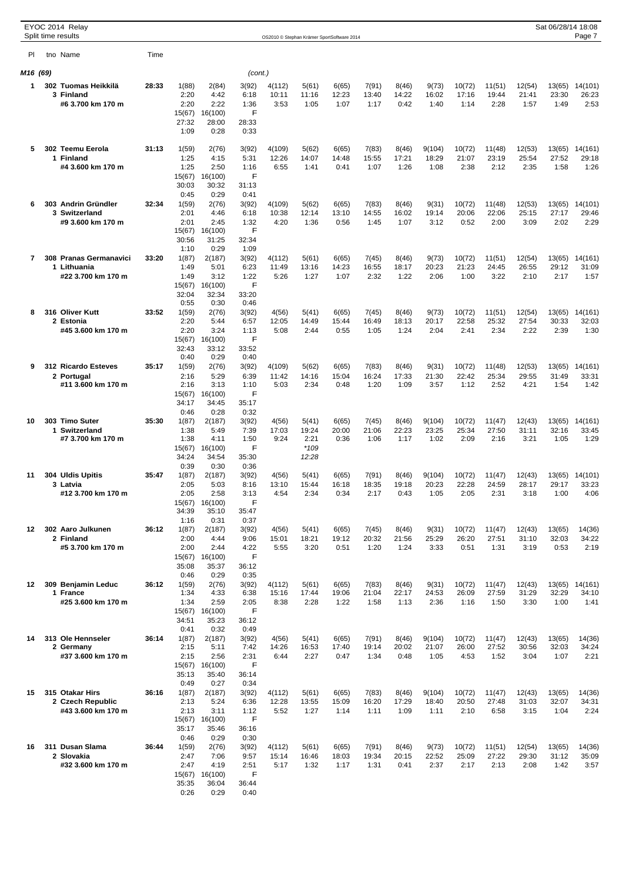|          | EYOC 2014 Relay<br>Split time results |       |                 |                  |               | OS2010 © Stephan Krämer SportSoftware 2014 |                 |                |                |                |                 |                 |                 |                 | Sat 06/28/14 18:08 | Page 7           |
|----------|---------------------------------------|-------|-----------------|------------------|---------------|--------------------------------------------|-----------------|----------------|----------------|----------------|-----------------|-----------------|-----------------|-----------------|--------------------|------------------|
| PI.      | tno Name                              | Time  |                 |                  |               |                                            |                 |                |                |                |                 |                 |                 |                 |                    |                  |
|          |                                       |       |                 |                  |               |                                            |                 |                |                |                |                 |                 |                 |                 |                    |                  |
| M16 (69) | 302 Tuomas Heikkilä                   |       |                 |                  | (cont.)       |                                            |                 |                |                |                |                 |                 |                 |                 |                    |                  |
| 1        | 3 Finland                             | 28:33 | 1(88)<br>2:20   | 2(84)<br>4:42    | 3(92)<br>6:18 | 4(112)<br>10:11                            | 5(61)<br>11:16  | 6(65)<br>12:23 | 7(91)<br>13:40 | 8(46)<br>14:22 | 9(73)<br>16:02  | 10(72)<br>17:16 | 11(51)<br>19:44 | 12(54)<br>21:41 | 13(65)<br>23:30    | 14(101)<br>26:23 |
|          | #6 3.700 km 170 m                     |       | 2:20            | 2:22             | 1:36          | 3:53                                       | 1:05            | 1:07           | 1:17           | 0:42           | 1:40            | 1:14            | 2:28            | 1:57            | 1:49               | 2:53             |
|          |                                       |       | 15(67)<br>27:32 | 16(100)<br>28:00 | F<br>28:33    |                                            |                 |                |                |                |                 |                 |                 |                 |                    |                  |
|          |                                       |       | 1:09            | 0:28             | 0:33          |                                            |                 |                |                |                |                 |                 |                 |                 |                    |                  |
| 5        | 302 Teemu Eerola                      | 31:13 | 1(59)           | 2(76)            | 3(92)         | 4(109)                                     | 5(62)           | 6(65)          | 7(83)          | 8(46)          | 9(104)          | 10(72)          | 11(48)          | 12(53)          | 13(65)             | 14(161)          |
|          | 1 Finland                             |       | 1:25            | 4:15             | 5:31          | 12:26                                      | 14:07           | 14:48          | 15:55          | 17:21          | 18:29           | 21:07           | 23:19           | 25:54           | 27:52              | 29:18            |
|          | #4 3.600 km 170 m                     |       | 1:25<br>15(67)  | 2:50<br>16(100)  | 1:16<br>F     | 6:55                                       | 1:41            | 0:41           | 1:07           | 1:26           | 1:08            | 2:38            | 2:12            | 2:35            | 1:58               | 1:26             |
|          |                                       |       | 30:03           | 30:32            | 31:13         |                                            |                 |                |                |                |                 |                 |                 |                 |                    |                  |
|          | 303 Andrin Gründler                   | 32:34 | 0:45            | 0:29<br>2(76)    | 0:41          |                                            |                 |                |                |                |                 |                 |                 |                 |                    |                  |
| 6        | 3 Switzerland                         |       | 1(59)<br>2:01   | 4:46             | 3(92)<br>6:18 | 4(109)<br>10:38                            | 5(62)<br>12:14  | 6(65)<br>13:10 | 7(83)<br>14:55 | 8(46)<br>16:02 | 9(31)<br>19:14  | 10(72)<br>20:06 | 11(48)<br>22:06 | 12(53)<br>25:15 | 13(65)<br>27:17    | 14(101)<br>29:46 |
|          | #9 3.600 km 170 m                     |       | 2:01            | 2:45             | 1:32          | 4:20                                       | 1:36            | 0:56           | 1:45           | 1:07           | 3:12            | 0:52            | 2:00            | 3:09            | 2:02               | 2:29             |
|          |                                       |       | 15(67)<br>30:56 | 16(100)<br>31:25 | F<br>32:34    |                                            |                 |                |                |                |                 |                 |                 |                 |                    |                  |
|          |                                       |       | 1:10            | 0:29             | 1:09          |                                            |                 |                |                |                |                 |                 |                 |                 |                    |                  |
| 7        | 308 Pranas Germanavici<br>1 Lithuania | 33:20 | 1(87)<br>1:49   | 2(187)<br>5:01   | 3(92)<br>6:23 | 4(112)<br>11:49                            | 5(61)<br>13:16  | 6(65)<br>14:23 | 7(45)<br>16:55 | 8(46)<br>18:17 | 9(73)<br>20:23  | 10(72)<br>21:23 | 11(51)<br>24:45 | 12(54)<br>26:55 | 13(65)<br>29:12    | 14(161)<br>31:09 |
|          | #22 3.700 km 170 m                    |       | 1:49            | 3:12             | 1:22          | 5:26                                       | 1:27            | 1:07           | 2:32           | 1:22           | 2:06            | 1:00            | 3:22            | 2:10            | 2:17               | 1:57             |
|          |                                       |       | 15(67)          | 16(100)          | F             |                                            |                 |                |                |                |                 |                 |                 |                 |                    |                  |
|          |                                       |       | 32:04<br>0:55   | 32:34<br>0:30    | 33:20<br>0:46 |                                            |                 |                |                |                |                 |                 |                 |                 |                    |                  |
| 8        | 316 Oliver Kutt                       | 33:52 | 1(59)           | 2(76)            | 3(92)         | 4(56)                                      | 5(41)           | 6(65)          | 7(45)          | 8(46)          | 9(73)           | 10(72)          | 11(51)          | 12(54)          | 13(65)             | 14(161)          |
|          | 2 Estonia<br>#45 3.600 km 170 m       |       | 2:20<br>2:20    | 5:44<br>3:24     | 6:57<br>1:13  | 12:05<br>5:08                              | 14:49<br>2:44   | 15:44<br>0:55  | 16:49<br>1:05  | 18:13<br>1:24  | 20:17<br>2:04   | 22:58<br>2:41   | 25:32<br>2:34   | 27:54<br>2:22   | 30:33<br>2:39      | 32:03<br>1:30    |
|          |                                       |       | 15(67)          | 16(100)          | F             |                                            |                 |                |                |                |                 |                 |                 |                 |                    |                  |
|          |                                       |       | 32:43<br>0:40   | 33:12            | 33:52         |                                            |                 |                |                |                |                 |                 |                 |                 |                    |                  |
| 9        | 312 Ricardo Esteves                   | 35:17 | 1(59)           | 0:29<br>2(76)    | 0:40<br>3(92) | 4(109)                                     | 5(62)           | 6(65)          | 7(83)          | 8(46)          | 9(31)           | 10(72)          | 11(48)          | 12(53)          | 13(65)             | 14(161)          |
|          | 2 Portugal                            |       | 2:16            | 5:29             | 6:39          | 11:42                                      | 14:16           | 15:04          | 16:24          | 17:33          | 21:30           | 22:42           | 25:34           | 29:55           | 31:49              | 33:31            |
|          | #11 3.600 km 170 m                    |       | 2:16<br>15(67)  | 3:13<br>16(100)  | 1:10<br>F     | 5:03                                       | 2:34            | 0:48           | 1:20           | 1:09           | 3:57            | 1:12            | 2:52            | 4:21            | 1:54               | 1:42             |
|          |                                       |       | 34:17           | 34:45            | 35:17         |                                            |                 |                |                |                |                 |                 |                 |                 |                    |                  |
| 10       | 303 Timo Suter                        | 35:30 | 0:46<br>1(87)   | 0:28<br>2(187)   | 0:32<br>3(92) | 4(56)                                      | 5(41)           | 6(65)          | 7(45)          | 8(46)          | 9(104)          | 10(72)          | 11(47)          | 12(43)          | 13(65)             | 14(161)          |
|          | 1 Switzerland                         |       | 1:38            | 5:49             | 7:39          | 17:03                                      | 19:24           | 20:00          | 21:06          | 22:23          | 23:25           | 25:34           | 27:50           | 31:11           | 32:16              | 33:45            |
|          | #7 3.700 km 170 m                     |       | 1:38            | 4:11             | 1:50          | 9:24                                       | 2:21            | 0:36           | 1:06           | 1:17           | 1:02            | 2:09            | 2:16            | 3:21            | 1:05               | 1:29             |
|          |                                       |       | 15(67)<br>34:24 | 16(100)<br>34:54 | F<br>35:30    |                                            | $*109$<br>12:28 |                |                |                |                 |                 |                 |                 |                    |                  |
|          |                                       |       | 0:39            | 0:30             | 0:36          |                                            |                 |                |                |                |                 |                 |                 |                 |                    |                  |
| 11       | 304 Uldis Upitis<br>3 Latvia          | 35:47 | 1(87)<br>2:05   | 2(187)<br>5:03   | 3(92)<br>8:16 | 4(56)<br>13:10                             | 5(41)<br>15:44  | 6(65)<br>16:18 | 7(91)<br>18:35 | 8(46)<br>19:18 | 9(104)<br>20:23 | 10(72)<br>22:28 | 11(47)<br>24:59 | 12(43)<br>28:17 | 13(65)<br>29:17    | 14(101)<br>33:23 |
|          | #12 3.700 km 170 m                    |       | 2:05            | 2:58             | 3:13          | 4:54                                       | 2:34            | 0:34           | 2:17           | 0:43           | 1:05            | 2:05            | 2:31            | 3:18            | 1:00               | 4:06             |
|          |                                       |       | 15(67)          | 16(100)          | F             |                                            |                 |                |                |                |                 |                 |                 |                 |                    |                  |
|          |                                       |       | 34:39<br>1:16   | 35:10<br>0:31    | 35:47<br>0:37 |                                            |                 |                |                |                |                 |                 |                 |                 |                    |                  |
| 12       | 302 Aaro Julkunen                     | 36:12 | 1(87)           | 2(187)           | 3(92)         | 4(56)                                      | 5(41)           | 6(65)          | 7(45)          | 8(46)          | 9(31)           | 10(72)          | 11(47)          | 12(43)          | 13(65)             | 14(36)           |
|          | 2 Finland<br>#5 3.700 km 170 m        |       | 2:00<br>2:00    | 4:44<br>2:44     | 9:06<br>4:22  | 15:01<br>5:55                              | 18:21<br>3:20   | 19:12<br>0:51  | 20:32<br>1:20  | 21:56<br>1:24  | 25:29<br>3:33   | 26:20<br>0:51   | 27:51<br>1:31   | 31:10<br>3:19   | 32:03<br>0:53      | 34:22<br>2:19    |
|          |                                       |       | 15(67)          | 16(100)          | F             |                                            |                 |                |                |                |                 |                 |                 |                 |                    |                  |
|          |                                       |       | 35:08<br>0:46   | 35:37<br>0:29    | 36:12<br>0:35 |                                            |                 |                |                |                |                 |                 |                 |                 |                    |                  |
| 12       | 309 Benjamin Leduc                    | 36:12 | 1(59)           | 2(76)            | 3(92)         | 4(112)                                     | 5(61)           | 6(65)          | 7(83)          | 8(46)          | 9(31)           | 10(72)          | 11(47)          | 12(43)          | 13(65)             | 14(161)          |
|          | 1 France                              |       | 1:34            | 4:33             | 6:38          | 15:16                                      | 17:44           | 19:06          | 21:04          | 22:17          | 24:53           | 26:09           | 27:59           | 31:29           | 32:29              | 34:10            |
|          | #25 3.600 km 170 m                    |       | 1:34<br>15(67)  | 2:59<br>16(100)  | 2:05<br>F     | 8:38                                       | 2:28            | 1:22           | 1:58           | 1:13           | 2:36            | 1:16            | 1:50            | 3:30            | 1:00               | 1:41             |
|          |                                       |       | 34:51           | 35:23            | 36:12         |                                            |                 |                |                |                |                 |                 |                 |                 |                    |                  |
| 14       | 313 Ole Hennseler                     | 36:14 | 0:41<br>1(87)   | 0:32<br>2(187)   | 0:49<br>3(92) | 4(56)                                      | 5(41)           | 6(65)          | 7(91)          | 8(46)          | 9(104)          | 10(72)          | 11(47)          | 12(43)          | 13(65)             | 14(36)           |
|          | 2 Germany                             |       | 2:15            | 5:11             | 7:42          | 14:26                                      | 16:53           | 17:40          | 19:14          | 20:02          | 21:07           | 26:00           | 27:52           | 30:56           | 32:03              | 34:24            |
|          | #37 3.600 km 170 m                    |       | 2:15<br>15(67)  | 2:56<br>16(100)  | 2:31<br>F     | 6:44                                       | 2:27            | 0:47           | 1:34           | 0:48           | 1:05            | 4:53            | 1:52            | 3:04            | 1:07               | 2:21             |
|          |                                       |       | 35:13           | 35:40            | 36:14         |                                            |                 |                |                |                |                 |                 |                 |                 |                    |                  |
|          |                                       |       | 0:49            | 0:27             | 0:34          |                                            |                 |                |                |                |                 |                 |                 |                 |                    |                  |
| 15       | 315 Otakar Hirs<br>2 Czech Republic   | 36:16 | 1(87)<br>2:13   | 2(187)<br>5:24   | 3(92)<br>6:36 | 4(112)<br>12:28                            | 5(61)<br>13:55  | 6(65)<br>15:09 | 7(83)<br>16:20 | 8(46)<br>17:29 | 9(104)<br>18:40 | 10(72)<br>20:50 | 11(47)<br>27:48 | 12(43)<br>31:03 | 13(65)<br>32:07    | 14(36)<br>34:31  |
|          | #43 3.600 km 170 m                    |       | 2:13            | 3:11             | 1:12          | 5:52                                       | 1:27            | 1:14           | 1:11           | 1:09           | 1:11            | 2:10            | 6:58            | 3:15            | 1:04               | 2:24             |
|          |                                       |       | 15(67)<br>35:17 | 16(100)<br>35:46 | F<br>36:16    |                                            |                 |                |                |                |                 |                 |                 |                 |                    |                  |
|          |                                       |       | 0:46            | 0:29             | 0:30          |                                            |                 |                |                |                |                 |                 |                 |                 |                    |                  |
| 16       | 311 Dusan Slama                       | 36:44 | 1(59)           | 2(76)            | 3(92)         | 4(112)                                     | 5(61)           | 6(65)          | 7(91)          | 8(46)          | 9(73)           | 10(72)          | 11(51)          | 12(54)          | 13(65)             | 14(36)           |
|          | 2 Slovakia<br>#32 3.600 km 170 m      |       | 2:47<br>2:47    | 7:06<br>4:19     | 9:57<br>2:51  | 15:14<br>5:17                              | 16:46<br>1:32   | 18:03<br>1:17  | 19:34<br>1:31  | 20:15<br>0:41  | 22:52<br>2:37   | 25:09<br>2:17   | 27:22<br>2:13   | 29:30<br>2:08   | 31:12<br>1:42      | 35:09<br>3:57    |
|          |                                       |       | 15(67)          | 16(100)          | F             |                                            |                 |                |                |                |                 |                 |                 |                 |                    |                  |
|          |                                       |       | 35:35<br>0:26   | 36:04<br>0:29    | 36:44<br>0:40 |                                            |                 |                |                |                |                 |                 |                 |                 |                    |                  |
|          |                                       |       |                 |                  |               |                                            |                 |                |                |                |                 |                 |                 |                 |                    |                  |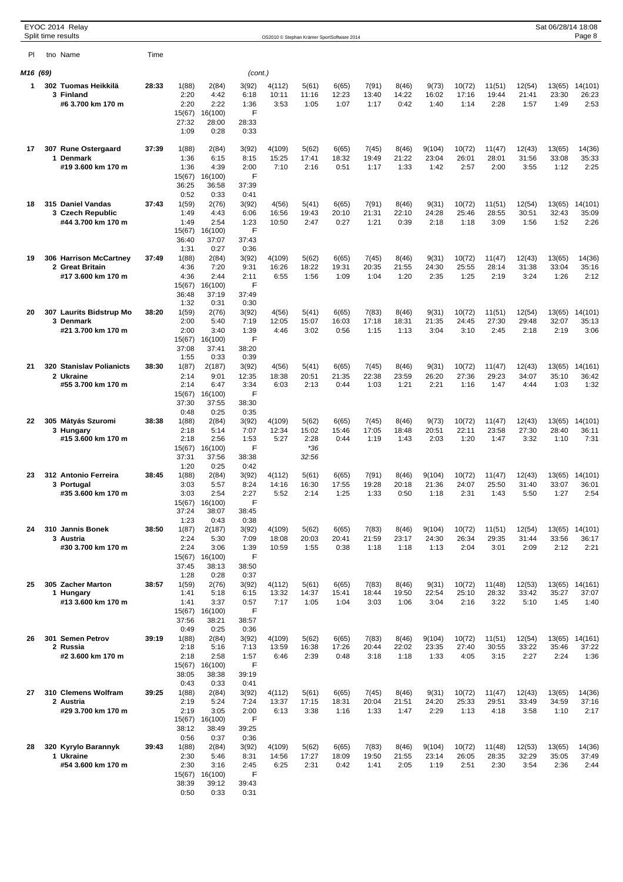|          | EYOC 2014 Relay                      |       |                 |                  |               |                                            |                |                |                |                |                 |                 |                 |                 | Sat 06/28/14 18:08 |                  |
|----------|--------------------------------------|-------|-----------------|------------------|---------------|--------------------------------------------|----------------|----------------|----------------|----------------|-----------------|-----------------|-----------------|-----------------|--------------------|------------------|
|          | Split time results                   |       |                 |                  |               | OS2010 © Stephan Krämer SportSoftware 2014 |                |                |                |                |                 |                 |                 |                 |                    | Page 8           |
| PI       | tno Name                             | Time  |                 |                  |               |                                            |                |                |                |                |                 |                 |                 |                 |                    |                  |
| M16 (69) |                                      |       |                 |                  | (cont.)       |                                            |                |                |                |                |                 |                 |                 |                 |                    |                  |
| 1        | 302 Tuomas Heikkilä                  | 28:33 | 1(88)           | 2(84)            | 3(92)         | 4(112)                                     | 5(61)          | 6(65)          | 7(91)          | 8(46)          | 9(73)           | 10(72)          | 11(51)          | 12(54)          | 13(65)             | 14(101)          |
|          | 3 Finland                            |       | 2:20            | 4:42             | 6:18          | 10:11                                      | 11:16          | 12:23          | 13:40          | 14:22          | 16:02           | 17:16           | 19:44           | 21:41           | 23:30              | 26:23            |
|          | #6 3.700 km 170 m                    |       | 2:20<br>15(67)  | 2:22<br>16(100)  | 1:36<br>F     | 3:53                                       | 1:05           | 1:07           | 1:17           | 0:42           | 1:40            | 1:14            | 2:28            | 1:57            | 1:49               | 2:53             |
|          |                                      |       | 27:32           | 28:00            | 28:33         |                                            |                |                |                |                |                 |                 |                 |                 |                    |                  |
|          |                                      |       | 1:09            | 0:28             | 0:33          |                                            |                |                |                |                |                 |                 |                 |                 |                    |                  |
| 17       | 307 Rune Ostergaard                  | 37:39 | 1(88)           | 2(84)            | 3(92)         | 4(109)                                     | 5(62)          | 6(65)          | 7(45)          | 8(46)          | 9(104)          | 10(72)          | 11(47)          | 12(43)          | 13(65)             | 14(36)           |
|          | 1 Denmark<br>#19 3.600 km 170 m      |       | 1:36<br>1:36    | 6:15<br>4:39     | 8:15<br>2:00  | 15:25<br>7:10                              | 17:41<br>2:16  | 18:32<br>0:51  | 19:49<br>1:17  | 21:22<br>1:33  | 23:04<br>1:42   | 26:01<br>2:57   | 28:01<br>2:00   | 31:56<br>3:55   | 33:08<br>1:12      | 35:33<br>2:25    |
|          |                                      |       | 15(67)          | 16(100)          | F             |                                            |                |                |                |                |                 |                 |                 |                 |                    |                  |
|          |                                      |       | 36:25           | 36:58            | 37:39         |                                            |                |                |                |                |                 |                 |                 |                 |                    |                  |
| 18       | 315 Daniel Vandas                    | 37:43 | 0:52<br>1(59)   | 0:33<br>2(76)    | 0:41<br>3(92) | 4(56)                                      | 5(41)          | 6(65)          | 7(91)          | 8(46)          | 9(31)           | 10(72)          | 11(51)          | 12(54)          | 13(65)             | 14(101)          |
|          | 3 Czech Republic                     |       | 1:49            | 4:43             | 6:06          | 16:56                                      | 19:43          | 20:10          | 21:31          | 22:10          | 24:28           | 25:46           | 28:55           | 30:51           | 32:43              | 35:09            |
|          | #44 3.700 km 170 m                   |       | 1:49<br>15(67)  | 2:54<br>16(100)  | 1:23<br>F     | 10:50                                      | 2:47           | 0:27           | 1:21           | 0:39           | 2:18            | 1:18            | 3:09            | 1:56            | 1:52               | 2:26             |
|          |                                      |       | 36:40           | 37:07            | 37:43         |                                            |                |                |                |                |                 |                 |                 |                 |                    |                  |
|          | 306 Harrison McCartney               | 37:49 | 1:31            | 0:27<br>2(84)    | 0:36          |                                            |                |                |                |                |                 |                 |                 |                 |                    |                  |
| 19       | 2 Great Britain                      |       | 1(88)<br>4:36   | 7:20             | 3(92)<br>9:31 | 4(109)<br>16:26                            | 5(62)<br>18:22 | 6(65)<br>19:31 | 7(45)<br>20:35 | 8(46)<br>21:55 | 9(31)<br>24:30  | 10(72)<br>25:55 | 11(47)<br>28:14 | 12(43)<br>31:38 | 13(65)<br>33:04    | 14(36)<br>35:16  |
|          | #17 3.600 km 170 m                   |       | 4:36            | 2:44             | 2:11          | 6:55                                       | 1:56           | 1:09           | 1:04           | 1:20           | 2:35            | 1:25            | 2:19            | 3:24            | 1:26               | 2:12             |
|          |                                      |       | 15(67)<br>36:48 | 16(100)<br>37:19 | F<br>37:49    |                                            |                |                |                |                |                 |                 |                 |                 |                    |                  |
|          |                                      |       | 1:32            | 0:31             | 0:30          |                                            |                |                |                |                |                 |                 |                 |                 |                    |                  |
| 20       | 307 Laurits Bidstrup Mo<br>3 Denmark | 38:20 | 1(59)<br>2:00   | 2(76)<br>5:40    | 3(92)<br>7:19 | 4(56)<br>12:05                             | 5(41)<br>15:07 | 6(65)<br>16:03 | 7(83)<br>17:18 | 8(46)<br>18:31 | 9(31)<br>21:35  | 10(72)<br>24:45 | 11(51)<br>27:30 | 12(54)<br>29:48 | 13(65)<br>32:07    | 14(101)<br>35:13 |
|          | #21 3.700 km 170 m                   |       | 2:00            | 3:40             | 1:39          | 4:46                                       | 3:02           | 0:56           | 1:15           | 1:13           | 3:04            | 3:10            | 2:45            | 2:18            | 2:19               | 3:06             |
|          |                                      |       | 15(67)          | 16(100)          | F             |                                            |                |                |                |                |                 |                 |                 |                 |                    |                  |
|          |                                      |       | 37:08<br>1:55   | 37:41<br>0:33    | 38:20<br>0:39 |                                            |                |                |                |                |                 |                 |                 |                 |                    |                  |
| 21       | <b>320 Stanislav Polianicts</b>      | 38:30 | 1(87)           | 2(187)           | 3(92)         | 4(56)                                      | 5(41)          | 6(65)          | 7(45)          | 8(46)          | 9(31)           | 10(72)          | 11(47)          | 12(43)          | 13(65)             | 14(161)          |
|          | 2 Ukraine<br>#55 3.700 km 170 m      |       | 2:14<br>2:14    | 9:01<br>6:47     | 12:35<br>3:34 | 18:38<br>6:03                              | 20:51<br>2:13  | 21:35<br>0:44  | 22:38<br>1:03  | 23:59<br>1:21  | 26:20<br>2:21   | 27:36<br>1:16   | 29:23<br>1:47   | 34:07<br>4:44   | 35:10<br>1:03      | 36:42<br>1:32    |
|          |                                      |       | 15(67)          | 16(100)          | F             |                                            |                |                |                |                |                 |                 |                 |                 |                    |                  |
|          |                                      |       | 37:30<br>0:48   | 37:55<br>0:25    | 38:30<br>0:35 |                                            |                |                |                |                |                 |                 |                 |                 |                    |                  |
| 22       | 305 Mátyás Szuromi                   | 38:38 | 1(88)           | 2(84)            | 3(92)         | 4(109)                                     | 5(62)          | 6(65)          | 7(45)          | 8(46)          | 9(73)           | 10(72)          | 11(47)          | 12(43)          | 13(65)             | 14(101)          |
|          | 3 Hungary                            |       | 2:18            | 5:14             | 7:07          | 12:34                                      | 15:02          | 15:46          | 17:05          | 18:48          | 20:51           | 22:11           | 23:58           | 27:30           | 28:40              | 36:11            |
|          | #15 3.600 km 170 m                   |       | 2:18<br>15(67)  | 2:56<br>16(100)  | 1:53<br>F     | 5:27                                       | 2:28<br>$*36$  | 0:44           | 1:19           | 1:43           | 2:03            | 1:20            | 1:47            | 3:32            | 1:10               | 7:31             |
|          |                                      |       | 37:31           | 37:56            | 38:38         |                                            | 32:56          |                |                |                |                 |                 |                 |                 |                    |                  |
| 23       | 312 Antonio Ferreira                 | 38:45 | 1:20<br>1(88)   | 0:25<br>2(84)    | 0:42<br>3(92) | 4(112)                                     | 5(61)          | 6(65)          | 7(91)          | 8(46)          | 9(104)          | 10(72)          | 11(47)          | 12(43)          | 13(65)             | 14(101)          |
|          | 3 Portugal                           |       | 3:03            | 5:57             | 8:24          | 14:16                                      | 16:30          | 17:55          | 19:28          | 20:18          | 21:36           | 24:07           | 25:50           | 31:40           | 33:07              | 36:01            |
|          | #35 3.600 km 170 m                   |       | 3:03            | 2:54             | 2:27<br>F     | 5:52                                       | 2:14           | 1:25           | 1:33           | 0:50           | 1:18            | 2:31            | 1:43            | 5:50            | 1:27               | 2:54             |
|          |                                      |       | 15(67)<br>37:24 | 16(100)<br>38:07 | 38:45         |                                            |                |                |                |                |                 |                 |                 |                 |                    |                  |
|          |                                      |       | 1:23            | 0:43             | 0:38          |                                            |                |                |                |                |                 |                 |                 |                 |                    |                  |
| 24       | 310 Jannis Bonek<br>3 Austria        | 38:50 | 1(87)<br>2:24   | 2(187)<br>5:30   | 3(92)<br>7:09 | 4(109)<br>18:08                            | 5(62)<br>20:03 | 6(65)<br>20:41 | 7(83)<br>21:59 | 8(46)<br>23:17 | 9(104)<br>24:30 | 10(72)<br>26:34 | 11(51)<br>29:35 | 12(54)<br>31:44 | 13(65)<br>33:56    | 14(101)<br>36:17 |
|          | #30 3.700 km 170 m                   |       | 2:24            | 3:06             | 1:39          | 10:59                                      | 1:55           | 0:38           | 1:18           | 1:18           | 1:13            | 2:04            | 3:01            | 2:09            | 2:12               | 2:21             |
|          |                                      |       | 15(67)<br>37:45 | 16(100)<br>38:13 | F<br>38:50    |                                            |                |                |                |                |                 |                 |                 |                 |                    |                  |
|          |                                      |       | 1:28            | 0:28             | 0:37          |                                            |                |                |                |                |                 |                 |                 |                 |                    |                  |
| 25       | 305 Zacher Marton                    | 38:57 | 1(59)           | 2(76)            | 3(92)         | 4(112)                                     | 5(61)          | 6(65)          | 7(83)          | 8(46)          | 9(31)           | 10(72)          | 11(48)          | 12(53)          | 13(65)             | 14(161)          |
|          | 1 Hungary<br>#13 3.600 km 170 m      |       | 1:41<br>1:41    | 5:18<br>3:37     | 6:15<br>0:57  | 13:32<br>7:17                              | 14:37<br>1:05  | 15:41<br>1:04  | 18:44<br>3:03  | 19:50<br>1:06  | 22:54<br>3:04   | 25:10<br>2:16   | 28:32<br>3:22   | 33:42<br>5:10   | 35:27<br>1:45      | 37:07<br>1:40    |
|          |                                      |       | 15(67)          | 16(100)          | F             |                                            |                |                |                |                |                 |                 |                 |                 |                    |                  |
|          |                                      |       | 37:56<br>0:49   | 38:21<br>0:25    | 38:57<br>0:36 |                                            |                |                |                |                |                 |                 |                 |                 |                    |                  |
| 26       | 301 Semen Petrov                     | 39:19 | 1(88)           | 2(84)            | 3(92)         | 4(109)                                     | 5(62)          | 6(65)          | 7(83)          | 8(46)          | 9(104)          | 10(72)          | 11(51)          | 12(54)          | 13(65)             | 14(161)          |
|          | 2 Russia<br>#2 3.600 km 170 m        |       | 2:18<br>2:18    | 5:16<br>2:58     | 7:13<br>1:57  | 13:59<br>6:46                              | 16:38<br>2:39  | 17:26<br>0:48  | 20:44<br>3:18  | 22:02<br>1:18  | 23:35<br>1:33   | 27:40<br>4:05   | 30:55<br>3:15   | 33:22<br>2:27   | 35:46<br>2:24      | 37:22<br>1:36    |
|          |                                      |       | 15(67)          | 16(100)          | F             |                                            |                |                |                |                |                 |                 |                 |                 |                    |                  |
|          |                                      |       | 38:05           | 38:38            | 39:19         |                                            |                |                |                |                |                 |                 |                 |                 |                    |                  |
| 27       | 310 Clemens Wolfram                  | 39:25 | 0:43<br>1(88)   | 0:33<br>2(84)    | 0:41<br>3(92) | 4(112)                                     | 5(61)          | 6(65)          | 7(45)          | 8(46)          | 9(31)           | 10(72)          | 11(47)          | 12(43)          | 13(65)             | 14(36)           |
|          | 2 Austria                            |       | 2:19            | 5:24             | 7:24          | 13:37                                      | 17:15          | 18:31          | 20:04          | 21:51          | 24:20           | 25:33           | 29:51           | 33:49           | 34:59              | 37:16            |
|          | #29 3.700 km 170 m                   |       | 2:19<br>15(67)  | 3:05<br>16(100)  | 2:00<br>F     | 6:13                                       | 3:38           | 1:16           | 1:33           | 1:47           | 2:29            | 1:13            | 4:18            | 3:58            | 1:10               | 2:17             |
|          |                                      |       | 38:12           | 38:49            | 39:25         |                                            |                |                |                |                |                 |                 |                 |                 |                    |                  |
|          | 320 Kyrylo Barannyk                  | 39:43 | 0:56            | 0:37             | 0:36          |                                            |                |                |                |                |                 |                 |                 |                 |                    |                  |
| 28       | 1 Ukraine                            |       | 1(88)<br>2:30   | 2(84)<br>5:46    | 3(92)<br>8:31 | 4(109)<br>14:56                            | 5(62)<br>17:27 | 6(65)<br>18:09 | 7(83)<br>19:50 | 8(46)<br>21:55 | 9(104)<br>23:14 | 10(72)<br>26:05 | 11(48)<br>28:35 | 12(53)<br>32:29 | 13(65)<br>35:05    | 14(36)<br>37:49  |
|          | #54 3.600 km 170 m                   |       | 2:30            | 3:16             | 2:45          | 6:25                                       | 2:31           | 0:42           | 1:41           | 2:05           | 1:19            | 2:51            | 2:30            | 3:54            | 2:36               | 2:44             |
|          |                                      |       | 15(67)<br>38:39 | 16(100)<br>39:12 | F<br>39:43    |                                            |                |                |                |                |                 |                 |                 |                 |                    |                  |
|          |                                      |       | 0:50            | 0:33             | 0:31          |                                            |                |                |                |                |                 |                 |                 |                 |                    |                  |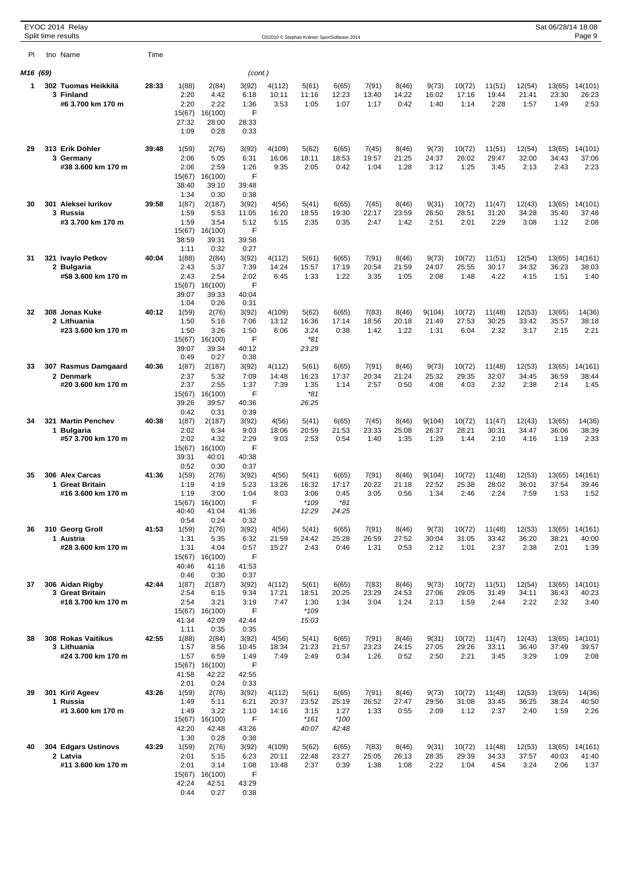|          | EYOC 2014 Relay                       |       |                 |                  |                |                 |                |                                            |                |                |                 |                 |                 |                 | Sat 06/28/14 18:08 |                  |
|----------|---------------------------------------|-------|-----------------|------------------|----------------|-----------------|----------------|--------------------------------------------|----------------|----------------|-----------------|-----------------|-----------------|-----------------|--------------------|------------------|
|          | Split time results                    |       |                 |                  |                |                 |                | OS2010 © Stephan Krämer SportSoftware 2014 |                |                |                 |                 |                 |                 |                    | Page 9           |
| PI       | tno Name                              | Time  |                 |                  |                |                 |                |                                            |                |                |                 |                 |                 |                 |                    |                  |
| M16 (69) |                                       |       |                 |                  | (cont.)        |                 |                |                                            |                |                |                 |                 |                 |                 |                    |                  |
| 1        | 302 Tuomas Heikkilä                   | 28:33 | 1(88)           | 2(84)            | 3(92)          | 4(112)          | 5(61)          | 6(65)                                      | 7(91)          | 8(46)          | 9(73)           | 10(72)          | 11(51)          | 12(54)          | 13(65)             | 14(101)          |
|          | 3 Finland<br>#6 3.700 km 170 m        |       | 2:20<br>2:20    | 4:42<br>2:22     | 6:18<br>1:36   | 10:11<br>3:53   | 11:16<br>1:05  | 12:23<br>1:07                              | 13:40<br>1:17  | 14:22<br>0:42  | 16:02<br>1:40   | 17:16<br>1:14   | 19:44<br>2:28   | 21:41<br>1:57   | 23:30<br>1:49      | 26:23<br>2:53    |
|          |                                       |       | 15(67)          | 16(100)          | F              |                 |                |                                            |                |                |                 |                 |                 |                 |                    |                  |
|          |                                       |       | 27:32<br>1:09   | 28:00<br>0:28    | 28:33<br>0:33  |                 |                |                                            |                |                |                 |                 |                 |                 |                    |                  |
|          |                                       |       |                 |                  |                |                 |                |                                            |                |                |                 |                 |                 |                 |                    |                  |
| 29       | 313 Erik Döhler<br>3 Germany          | 39:48 | 1(59)<br>2:06   | 2(76)<br>5:05    | 3(92)<br>6:31  | 4(109)<br>16:06 | 5(62)<br>18:11 | 6(65)<br>18:53                             | 7(45)<br>19:57 | 8(46)<br>21:25 | 9(73)<br>24:37  | 10(72)<br>26:02 | 11(51)<br>29:47 | 12(54)<br>32:00 | 13(65)<br>34:43    | 14(101)<br>37:06 |
|          | #38 3.600 km 170 m                    |       | 2:06            | 2:59             | 1:26           | 9:35            | 2:05           | 0:42                                       | 1:04           | 1:28           | 3:12            | 1:25            | 3:45            | 2:13            | 2:43               | 2:23             |
|          |                                       |       | 15(67)<br>38:40 | 16(100)<br>39:10 | F<br>39:48     |                 |                |                                            |                |                |                 |                 |                 |                 |                    |                  |
|          |                                       |       | 1:34            | 0:30             | 0:38           |                 |                |                                            |                |                |                 |                 |                 |                 |                    |                  |
| 30       | 301 Aleksei lurikov<br>3 Russia       | 39:58 | 1(87)<br>1:59   | 2(187)<br>5:53   | 3(92)<br>11:05 | 4(56)<br>16:20  | 5(41)<br>18:55 | 6(65)<br>19:30                             | 7(45)<br>22:17 | 8(46)<br>23:59 | 9(31)<br>26:50  | 10(72)<br>28:51 | 11(47)<br>31:20 | 12(43)<br>34:28 | 13(65)<br>35:40    | 14(101)<br>37:48 |
|          | #3 3.700 km 170 m                     |       | 1:59            | 3:54             | 5:12           | 5:15            | 2:35           | 0:35                                       | 2:47           | 1:42           | 2:51            | 2:01            | 2:29            | 3:08            | 1:12               | 2:08             |
|          |                                       |       | 15(67)<br>38:59 | 16(100)<br>39:31 | F<br>39:58     |                 |                |                                            |                |                |                 |                 |                 |                 |                    |                  |
|          |                                       |       | 1:11            | 0:32             | 0:27           |                 |                |                                            |                |                |                 |                 |                 |                 |                    |                  |
| 31       | 321 Ivaylo Petkov<br>2 Bulgaria       | 40:04 | 1(88)<br>2:43   | 2(84)<br>5:37    | 3(92)<br>7:39  | 4(112)<br>14:24 | 5(61)<br>15:57 | 6(65)<br>17:19                             | 7(91)<br>20:54 | 8(46)<br>21:59 | 9(73)<br>24:07  | 10(72)<br>25:55 | 11(51)<br>30:17 | 12(54)<br>34:32 | 13(65)<br>36:23    | 14(161)<br>38:03 |
|          | #58 3.600 km 170 m                    |       | 2:43            | 2:54             | 2:02           | 6:45            | 1:33           | 1:22                                       | 3:35           | 1:05           | 2:08            | 1:48            | 4:22            | 4:15            | 1:51               | 1:40             |
|          |                                       |       | 15(67)<br>39:07 | 16(100)<br>39:33 | F<br>40:04     |                 |                |                                            |                |                |                 |                 |                 |                 |                    |                  |
|          |                                       |       | 1:04            | 0:26             | 0:31           |                 |                |                                            |                |                |                 |                 |                 |                 |                    |                  |
| 32       | 308 Jonas Kuke<br>2 Lithuania         | 40:12 | 1(59)<br>1:50   | 2(76)<br>5:16    | 3(92)<br>7:06  | 4(109)<br>13:12 | 5(62)<br>16:36 | 6(65)<br>17:14                             | 7(83)<br>18:56 | 8(46)<br>20:18 | 9(104)<br>21:49 | 10(72)<br>27:53 | 11(48)<br>30:25 | 12(53)<br>33:42 | 13(65)<br>35:57    | 14(36)<br>38:18  |
|          | #23 3.600 km 170 m                    |       | 1:50            | 3:26             | 1:50           | 6:06            | 3:24           | 0:38                                       | 1:42           | 1:22           | 1:31            | 6:04            | 2:32            | 3:17            | 2:15               | 2:21             |
|          |                                       |       | 15(67)          | 16(100)          | F              |                 | $*81$          |                                            |                |                |                 |                 |                 |                 |                    |                  |
|          |                                       |       | 39:07<br>0:49   | 39:34<br>0:27    | 40:12<br>0:38  |                 | 23:29          |                                            |                |                |                 |                 |                 |                 |                    |                  |
| 33       | 307 Rasmus Damgaard                   | 40:36 | 1(87)           | 2(187)           | 3(92)          | 4(112)          | 5(61)          | 6(65)                                      | 7(91)          | 8(46)          | 9(73)           | 10(72)          | 11(48)          | 12(53)          | 13(65)             | 14(161)          |
|          | 2 Denmark<br>#20 3.600 km 170 m       |       | 2:37<br>2:37    | 5:32<br>2:55     | 7:09<br>1:37   | 14:48<br>7:39   | 16:23<br>1:35  | 17:37<br>1:14                              | 20:34<br>2:57  | 21:24<br>0:50  | 25:32<br>4:08   | 29:35<br>4:03   | 32:07<br>2:32   | 34:45<br>2:38   | 36:59<br>2:14      | 38:44<br>1:45    |
|          |                                       |       | 15(67)          | 16(100)          | F              |                 | $*81$          |                                            |                |                |                 |                 |                 |                 |                    |                  |
|          |                                       |       | 39:26<br>0:42   | 39:57<br>0:31    | 40:36<br>0:39  |                 | 26:25          |                                            |                |                |                 |                 |                 |                 |                    |                  |
| 34       | 321 Martin Penchev                    | 40:38 | 1(87)           | 2(187)           | 3(92)          | 4(56)           | 5(41)          | 6(65)                                      | 7(45)          | 8(46)          | 9(104)          | 10(72)          | 11(47)          | 12(43)          | 13(65)             | 14(36)           |
|          | 1 Bulgaria<br>#57 3.700 km 170 m      |       | 2:02<br>2:02    | 6:34<br>4:32     | 9:03<br>2:29   | 18:06<br>9:03   | 20:59<br>2:53  | 21:53<br>0:54                              | 23:33<br>1:40  | 25:08<br>1:35  | 26:37<br>1:29   | 28:21<br>1:44   | 30:31<br>2:10   | 34:47<br>4:16   | 36:06<br>1:19      | 38:39<br>2:33    |
|          |                                       |       | 15(67)          | 16(100)          | F              |                 |                |                                            |                |                |                 |                 |                 |                 |                    |                  |
|          |                                       |       | 39:31<br>0:52   | 40:01<br>0:30    | 40:38<br>0:37  |                 |                |                                            |                |                |                 |                 |                 |                 |                    |                  |
| 35       | 306 Alex Carcas                       | 41:36 | 1(59)           | 2(76)            | 3(92)          | 4(56)           | 5(41)          | 6(65)                                      | 7(91)          | 8(46)          | 9(104)          | 10(72)          | 11(48)          | 12(53)          | 13(65)             | 14(161)          |
|          | 1 Great Britain<br>#16 3.600 km 170 m |       | 1:19<br>1:19    | 4:19<br>3:00     | 5:23<br>1:04   | 13:26<br>8:03   | 16:32<br>3:06  | 17:17<br>0:45                              | 20:22<br>3:05  | 21:18<br>0:56  | 22:52<br>1:34   | 25:38<br>2:46   | 28:02<br>2:24   | 36:01<br>7:59   | 37:54<br>1:53      | 39:46<br>1:52    |
|          |                                       |       | 15(67)          | 16(100)          | F              |                 | $*109$         | $*81$                                      |                |                |                 |                 |                 |                 |                    |                  |
|          |                                       |       | 40:40<br>0:54   | 41:04            | 41:36          |                 | 12:29          | 24:25                                      |                |                |                 |                 |                 |                 |                    |                  |
| 36       | 310 Georg Groll                       | 41:53 | 1(59)           | 0:24<br>2(76)    | 0:32<br>3(92)  | 4(56)           | 5(41)          | 6(65)                                      | 7(91)          | 8(46)          | 9(73)           | 10(72)          | 11(48)          | 12(53)          |                    | 13(65) 14(161)   |
|          | 1 Austria<br>#28 3.600 km 170 m       |       | 1:31<br>1:31    | 5:35<br>4:04     | 6:32<br>0:57   | 21:59<br>15:27  | 24:42<br>2:43  | 25:28<br>0:46                              | 26:59<br>1:31  | 27:52<br>0:53  | 30:04<br>2:12   | 31:05<br>1:01   | 33:42<br>2:37   | 36:20<br>2:38   | 38:21<br>2:01      | 40:00<br>1:39    |
|          |                                       |       | 15(67)          | 16(100)          | F              |                 |                |                                            |                |                |                 |                 |                 |                 |                    |                  |
|          |                                       |       | 40:46           | 41:16            | 41:53          |                 |                |                                            |                |                |                 |                 |                 |                 |                    |                  |
| 37       | 306 Aidan Rigby                       | 42:44 | 0:46<br>1(87)   | 0:30<br>2(187)   | 0:37<br>3(92)  | 4(112)          | 5(61)          | 6(65)                                      | 7(83)          | 8(46)          | 9(73)           | 10(72)          | 11(51)          | 12(54)          | 13(65)             | 14(101)          |
|          | 3 Great Britain                       |       | 2:54            | 6:15             | 9:34           | 17:21           | 18:51          | 20:25                                      | 23:29          | 24:53          | 27:06           | 29:05           | 31:49           | 34:11           | 36:43              | 40:23            |
|          | #18 3.700 km 170 m                    |       | 2:54<br>15(67)  | 3:21<br>16(100)  | 3:19<br>F      | 7:47            | 1:30<br>$*109$ | 1:34                                       | 3:04           | 1:24           | 2:13            | 1:59            | 2:44            | 2:22            | 2:32               | 3:40             |
|          |                                       |       | 41:34           | 42:09            | 42:44          |                 | 15:03          |                                            |                |                |                 |                 |                 |                 |                    |                  |
| 38       | <b>308 Rokas Vaitikus</b>             | 42:55 | 1:11<br>1(88)   | 0:35<br>2(84)    | 0:35<br>3(92)  | 4(56)           | 5(41)          | 6(65)                                      | 7(91)          | 8(46)          | 9(31)           | 10(72)          | 11(47)          | 12(43)          | 13(65)             | 14(101)          |
|          | 3 Lithuania                           |       | 1:57            | 8:56             | 10:45          | 18:34           | 21:23          | 21:57                                      | 23:23          | 24:15          | 27:05           | 29:26           | 33:11           | 36:40           | 37:49              | 39:57            |
|          | #24 3.700 km 170 m                    |       | 1:57<br>15(67)  | 6:59<br>16(100)  | 1:49<br>F      | 7:49            | 2:49           | 0:34                                       | 1:26           | 0:52           | 2:50            | 2:21            | 3:45            | 3:29            | 1:09               | 2:08             |
|          |                                       |       | 41:58           | 42:22            | 42:55          |                 |                |                                            |                |                |                 |                 |                 |                 |                    |                  |
| 39       | 301 Kiril Ageev                       | 43:26 | 2:01<br>1(59)   | 0:24<br>2(76)    | 0:33<br>3(92)  | 4(112)          | 5(61)          | 6(65)                                      | 7(91)          | 8(46)          | 9(73)           | 10(72)          | 11(48)          | 12(53)          | 13(65)             | 14(36)           |
|          | 1 Russia                              |       | 1:49            | 5:11             | 6:21           | 20:37           | 23:52          | 25:19                                      | 26:52          | 27:47          | 29:56           | 31:08           | 33:45           | 36:25           | 38:24              | 40:50            |
|          | #1 3.600 km 170 m                     |       | 1:49<br>15(67)  | 3:22<br>16(100)  | 1:10<br>F      | 14:16           | 3:15<br>$*161$ | 1:27<br>$*100$                             | 1:33           | 0:55           | 2:09            | 1:12            | 2:37            | 2:40            | 1:59               | 2:26             |
|          |                                       |       | 42:20           | 42:48            | 43:26          |                 | 40:07          | 42:48                                      |                |                |                 |                 |                 |                 |                    |                  |
| 40       | 304 Edgars Ustinovs                   | 43:29 | 1:30<br>1(59)   | 0:28<br>2(76)    | 0:38<br>3(92)  | 4(109)          | 5(62)          | 6(65)                                      | 7(83)          | 8(46)          | 9(31)           | 10(72)          | 11(48)          | 12(53)          | 13(65)             | 14(161)          |
|          | 2 Latvia                              |       | 2:01            | 5:15             | 6:23           | 20:11           | 22:48          | 23:27                                      | 25:05          | 26:13          | 28:35           | 29:39           | 34:33           | 37:57           | 40:03              | 41:40            |
|          | #11 3.600 km 170 m                    |       | 2:01<br>15(67)  | 3:14<br>16(100)  | 1:08<br>F      | 13:48           | 2:37           | 0:39                                       | 1:38           | 1:08           | 2:22            | 1:04            | 4:54            | 3:24            | 2:06               | 1:37             |
|          |                                       |       | 42:24           | 42:51            | 43:29          |                 |                |                                            |                |                |                 |                 |                 |                 |                    |                  |
|          |                                       |       | 0:44            | 0:27             | 0:38           |                 |                |                                            |                |                |                 |                 |                 |                 |                    |                  |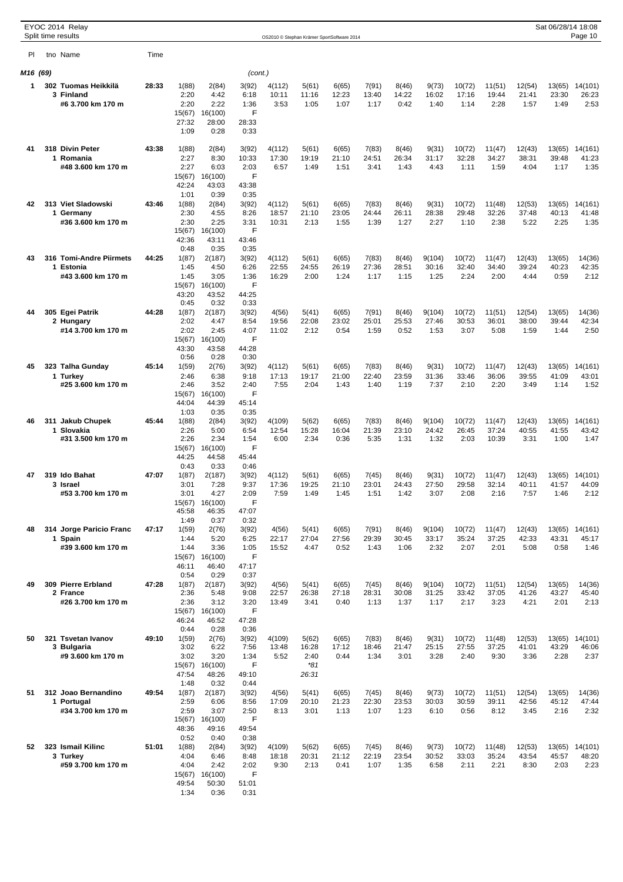|          | EYOC 2014 Relay<br>Split time results |       |                 |                  |               |                 |                | OS2010 © Stephan Krämer SportSoftware 2014 |                |                |                |                 |                 |                 | Sat 06/28/14 18:08 | Page 10          |
|----------|---------------------------------------|-------|-----------------|------------------|---------------|-----------------|----------------|--------------------------------------------|----------------|----------------|----------------|-----------------|-----------------|-----------------|--------------------|------------------|
| PI       | tno Name                              | Time  |                 |                  |               |                 |                |                                            |                |                |                |                 |                 |                 |                    |                  |
|          |                                       |       |                 |                  |               |                 |                |                                            |                |                |                |                 |                 |                 |                    |                  |
| M16 (69) |                                       |       |                 |                  | (cont.)       |                 |                |                                            |                |                |                |                 |                 |                 |                    |                  |
| 1        | 302 Tuomas Heikkilä<br>3 Finland      | 28:33 | 1(88)<br>2:20   | 2(84)<br>4:42    | 3(92)<br>6:18 | 4(112)<br>10:11 | 5(61)<br>11:16 | 6(65)<br>12:23                             | 7(91)<br>13:40 | 8(46)<br>14:22 | 9(73)<br>16:02 | 10(72)<br>17:16 | 11(51)<br>19:44 | 12(54)<br>21:41 | 13(65)<br>23:30    | 14(101)<br>26:23 |
|          | #6 3.700 km 170 m                     |       | 2:20            | 2:22             | 1:36          | 3:53            | 1:05           | 1:07                                       | 1:17           | 0:42           | 1:40           | 1:14            | 2:28            | 1:57            | 1:49               | 2:53             |
|          |                                       |       | 15(67)<br>27:32 | 16(100)<br>28:00 | F<br>28:33    |                 |                |                                            |                |                |                |                 |                 |                 |                    |                  |
|          |                                       |       | 1:09            | 0:28             | 0:33          |                 |                |                                            |                |                |                |                 |                 |                 |                    |                  |
| 41       | 318 Divin Peter                       | 43:38 | 1(88)           | 2(84)            | 3(92)         | 4(112)          | 5(61)          | 6(65)                                      | 7(83)          | 8(46)          | 9(31)          | 10(72)          | 11(47)          | 12(43)          | 13(65)             | 14(161)          |
|          | 1 Romania<br>#48 3.600 km 170 m       |       | 2:27<br>2:27    | 8:30<br>6:03     | 10:33<br>2:03 | 17:30<br>6:57   | 19:19<br>1:49  | 21:10<br>1:51                              | 24:51<br>3:41  | 26:34<br>1:43  | 31:17<br>4:43  | 32:28<br>1:11   | 34:27<br>1:59   | 38:31<br>4:04   | 39:48<br>1:17      | 41:23<br>1:35    |
|          |                                       |       | 15(67)          | 16(100)          | F             |                 |                |                                            |                |                |                |                 |                 |                 |                    |                  |
|          |                                       |       | 42:24<br>1:01   | 43:03<br>0:39    | 43:38<br>0:35 |                 |                |                                            |                |                |                |                 |                 |                 |                    |                  |
| 42       | 313 Viet Sladowski                    | 43:46 | 1(88)           | 2(84)            | 3(92)         | 4(112)          | 5(61)          | 6(65)                                      | 7(83)          | 8(46)          | 9(31)          | 10(72)          | 11(48)          | 12(53)          | 13(65)             | 14(161)          |
|          | 1 Germany<br>#36 3.600 km 170 m       |       | 2:30<br>2:30    | 4:55<br>2:25     | 8:26<br>3:31  | 18:57<br>10:31  | 21:10<br>2:13  | 23:05<br>1:55                              | 24:44<br>1:39  | 26:11<br>1:27  | 28:38<br>2:27  | 29:48<br>1:10   | 32:26<br>2:38   | 37:48<br>5:22   | 40:13<br>2:25      | 41:48<br>1:35    |
|          |                                       |       | 15(67)          | 16(100)          | F             |                 |                |                                            |                |                |                |                 |                 |                 |                    |                  |
|          |                                       |       | 42:36<br>0:48   | 43:11<br>0:35    | 43:46<br>0:35 |                 |                |                                            |                |                |                |                 |                 |                 |                    |                  |
| 43       | 316 Tomi-Andre Piirmets               | 44:25 | 1(87)           | 2(187)           | 3(92)         | 4(112)          | 5(61)          | 6(65)                                      | 7(83)          | 8(46)          | 9(104)         | 10(72)          | 11(47)          | 12(43)          | 13(65)             | 14(36)           |
|          | 1 Estonia<br>#43 3.600 km 170 m       |       | 1:45<br>1:45    | 4:50<br>3:05     | 6:26<br>1:36  | 22:55<br>16:29  | 24:55<br>2:00  | 26:19<br>1:24                              | 27:36<br>1:17  | 28:51<br>1:15  | 30:16<br>1:25  | 32:40<br>2:24   | 34:40<br>2:00   | 39:24<br>4:44   | 40:23<br>0:59      | 42:35<br>2:12    |
|          |                                       |       | 15(67)          | 16(100)          | F             |                 |                |                                            |                |                |                |                 |                 |                 |                    |                  |
|          |                                       |       | 43:20<br>0:45   | 43:52<br>0:32    | 44:25<br>0:33 |                 |                |                                            |                |                |                |                 |                 |                 |                    |                  |
| 44       | 305 Egei Patrik                       | 44:28 | 1(87)           | 2(187)           | 3(92)         | 4(56)           | 5(41)          | 6(65)                                      | 7(91)          | 8(46)          | 9(104)         | 10(72)          | 11(51)          | 12(54)          | 13(65)             | 14(36)           |
|          | 2 Hungary<br>#14 3.700 km 170 m       |       | 2:02<br>2:02    | 4:47<br>2:45     | 8:54<br>4:07  | 19:56<br>11:02  | 22:08<br>2:12  | 23:02<br>0:54                              | 25:01<br>1:59  | 25:53<br>0:52  | 27:46<br>1:53  | 30:53<br>3:07   | 36:01<br>5:08   | 38:00<br>1:59   | 39:44<br>1:44      | 42:34<br>2:50    |
|          |                                       |       | 15(67)          | 16(100)          | F             |                 |                |                                            |                |                |                |                 |                 |                 |                    |                  |
|          |                                       |       | 43:30<br>0:56   | 43:58<br>0:28    | 44:28<br>0:30 |                 |                |                                            |                |                |                |                 |                 |                 |                    |                  |
| 45       | 323 Talha Gunday                      | 45:14 | 1(59)           | 2(76)            | 3(92)         | 4(112)          | 5(61)          | 6(65)                                      | 7(83)          | 8(46)          | 9(31)          | 10(72)          | 11(47)          | 12(43)          | 13(65)             | 14(161)          |
|          | 1 Turkey<br>#25 3.600 km 170 m        |       | 2:46<br>2:46    | 6:38<br>3:52     | 9:18<br>2:40  | 17:13<br>7:55   | 19:17<br>2:04  | 21:00<br>1:43                              | 22:40<br>1:40  | 23:59<br>1:19  | 31:36<br>7:37  | 33:46<br>2:10   | 36:06<br>2:20   | 39:55<br>3:49   | 41:09<br>1:14      | 43:01<br>1:52    |
|          |                                       |       | 15(67)          | 16(100)          | F             |                 |                |                                            |                |                |                |                 |                 |                 |                    |                  |
|          |                                       |       | 44:04<br>1:03   | 44:39<br>0:35    | 45:14<br>0:35 |                 |                |                                            |                |                |                |                 |                 |                 |                    |                  |
| 46       | 311 Jakub Chupek                      | 45:44 | 1(88)           | 2(84)            | 3(92)         | 4(109)          | 5(62)          | 6(65)                                      | 7(83)          | 8(46)          | 9(104)         | 10(72)          | 11(47)          | 12(43)          | 13(65)             | 14(161)          |
|          | 1 Slovakia<br>#31 3.500 km 170 m      |       | 2:26<br>2:26    | 5:00<br>2:34     | 6:54<br>1:54  | 12:54<br>6:00   | 15:28<br>2:34  | 16:04<br>0:36                              | 21:39<br>5:35  | 23:10<br>1:31  | 24:42<br>1:32  | 26:45<br>2:03   | 37:24<br>10:39  | 40:55<br>3:31   | 41:55<br>1:00      | 43:42<br>1:47    |
|          |                                       |       | 15(67)          | 16(100)          | F             |                 |                |                                            |                |                |                |                 |                 |                 |                    |                  |
|          |                                       |       | 44:25<br>0:43   | 44:58<br>0:33    | 45:44<br>0:46 |                 |                |                                            |                |                |                |                 |                 |                 |                    |                  |
| 47       | 319 Ido Bahat                         | 47:07 | 1(87)           | 2(187)           | 3(92)         | 4(112)          | 5(61)          | 6(65)                                      | 7(45)          | 8(46)          | 9(31)          | 10(72)          | 11(47)          | 12(43)          | 13(65)             | 14(101)          |
|          | 3 Israel<br>#53 3.700 km 170 m        |       | 3:01<br>3:01    | 7:28<br>4:27     | 9:37<br>2:09  | 17:36<br>7:59   | 19:25<br>1:49  | 21:10<br>1:45                              | 23:01<br>1:51  | 24:43<br>1:42  | 27:50<br>3:07  | 29:58<br>2:08   | 32:14<br>2:16   | 40:11<br>7:57   | 41:57<br>1:46      | 44:09<br>2:12    |
|          |                                       |       | 15(67)          | 16(100)          | F             |                 |                |                                            |                |                |                |                 |                 |                 |                    |                  |
|          |                                       |       | 45:58<br>1:49   | 46:35<br>0:37    | 47:07<br>0:32 |                 |                |                                            |                |                |                |                 |                 |                 |                    |                  |
| 48       | 314 Jorge Paricio Franc               | 47:17 | 1(59)           | 2(76)            | 3(92)         | 4(56)           | 5(41)          | 6(65)                                      | 7(91)          | 8(46)          | 9(104)         | 10(72)          | 11(47)          | 12(43)          | 13(65)             | 14(161)          |
|          | 1 Spain<br>#39 3.600 km 170 m         |       | 1:44<br>1:44    | 5:20<br>3:36     | 6:25<br>1:05  | 22:17<br>15:52  | 27:04<br>4:47  | 27:56<br>0:52                              | 29:39<br>1:43  | 30:45<br>1:06  | 33:17<br>2:32  | 35:24<br>2:07   | 37:25<br>2:01   | 42:33<br>5:08   | 43:31<br>0:58      | 45:17<br>1:46    |
|          |                                       |       | 15(67)          | 16(100)          | F             |                 |                |                                            |                |                |                |                 |                 |                 |                    |                  |
|          |                                       |       | 46:11<br>0:54   | 46:40<br>0:29    | 47:17<br>0:37 |                 |                |                                            |                |                |                |                 |                 |                 |                    |                  |
| 49       | 309 Pierre Erbland                    | 47:28 | 1(87)           | 2(187)           | 3(92)         | 4(56)           | 5(41)          | 6(65)                                      | 7(45)          | 8(46)          | 9(104)         | 10(72)          | 11(51)          | 12(54)          | 13(65)             | 14(36)           |
|          | 2 France<br>#26 3.700 km 170 m        |       | 2:36<br>2:36    | 5:48<br>3:12     | 9:08<br>3:20  | 22:57<br>13:49  | 26:38<br>3:41  | 27:18<br>0:40                              | 28:31<br>1:13  | 30:08<br>1:37  | 31:25<br>1:17  | 33:42<br>2:17   | 37:05<br>3:23   | 41:26<br>4:21   | 43:27<br>2:01      | 45:40<br>2:13    |
|          |                                       |       | 15(67)          | 16(100)          | F             |                 |                |                                            |                |                |                |                 |                 |                 |                    |                  |
|          |                                       |       | 46:24<br>0:44   | 46:52<br>0:28    | 47:28<br>0:36 |                 |                |                                            |                |                |                |                 |                 |                 |                    |                  |
| 50       | 321 Tsvetan Ivanov                    | 49:10 | 1(59)           | 2(76)            | 3(92)         | 4(109)          | 5(62)          | 6(65)                                      | 7(83)          | 8(46)          | 9(31)          | 10(72)          | 11(48)          | 12(53)          | 13(65)             | 14(101)          |
|          | 3 Bulgaria<br>#9 3.600 km 170 m       |       | 3:02<br>3:02    | 6:22<br>3:20     | 7:56<br>1:34  | 13:48<br>5:52   | 16:28<br>2:40  | 17:12<br>0:44                              | 18:46<br>1:34  | 21:47<br>3:01  | 25:15<br>3:28  | 27:55<br>2:40   | 37:25<br>9:30   | 41:01<br>3:36   | 43:29<br>2:28      | 46:06<br>2:37    |
|          |                                       |       | 15(67)          | 16(100)          | F             |                 | *81            |                                            |                |                |                |                 |                 |                 |                    |                  |
|          |                                       |       | 47:54<br>1:48   | 48:26<br>0:32    | 49:10<br>0:44 |                 | 26:31          |                                            |                |                |                |                 |                 |                 |                    |                  |
| 51       | 312 Joao Bernandino<br>1 Portugal     | 49:54 | 1(87)<br>2:59   | 2(187)           | 3(92)<br>8:56 | 4(56)           | 5(41)<br>20:10 | 6(65)                                      | 7(45)<br>22:30 | 8(46)          | 9(73)          | 10(72)<br>30:59 | 11(51)<br>39:11 | 12(54)<br>42:56 | 13(65)             | 14(36)<br>47:44  |
|          | #34 3.700 km 170 m                    |       | 2:59            | 6:06<br>3:07     | 2:50          | 17:09<br>8:13   | 3:01           | 21:23<br>1:13                              | 1:07           | 23:53<br>1:23  | 30:03<br>6:10  | 0:56            | 8:12            | 3:45            | 45:12<br>2:16      | 2:32             |
|          |                                       |       | 15(67)          | 16(100)          | F             |                 |                |                                            |                |                |                |                 |                 |                 |                    |                  |
|          |                                       |       | 48:36<br>0:52   | 49:16<br>0:40    | 49:54<br>0:38 |                 |                |                                            |                |                |                |                 |                 |                 |                    |                  |
| 52       | 323 Ismail Kilinc                     | 51:01 | 1(88)           | 2(84)            | 3(92)         | 4(109)          | 5(62)          | 6(65)                                      | 7(45)          | 8(46)          | 9(73)          | 10(72)          | 11(48)          | 12(53)          | 13(65)             | 14(101)          |
|          | 3 Turkey<br>#59 3.700 km 170 m        |       | 4:04<br>4:04    | 6:46<br>2:42     | 8:48<br>2:02  | 18:18<br>9:30   | 20:31<br>2:13  | 21:12<br>0:41                              | 22:19<br>1:07  | 23:54<br>1:35  | 30:52<br>6:58  | 33:03<br>2:11   | 35:24<br>2:21   | 43:54<br>8:30   | 45:57<br>2:03      | 48:20<br>2:23    |
|          |                                       |       | 15(67)          | 16(100)          | F             |                 |                |                                            |                |                |                |                 |                 |                 |                    |                  |
|          |                                       |       | 49:54<br>1:34   | 50:30<br>0:36    | 51:01<br>0:31 |                 |                |                                            |                |                |                |                 |                 |                 |                    |                  |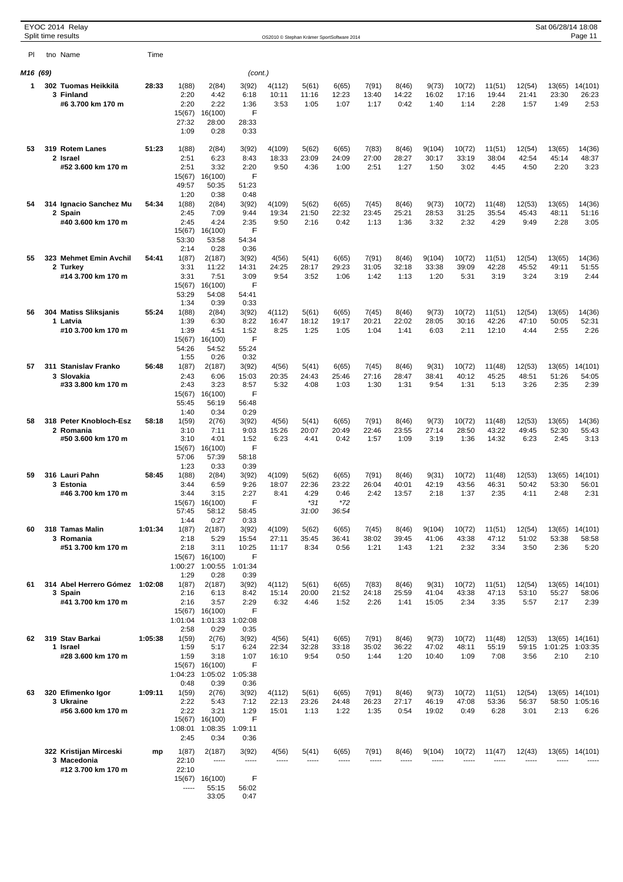|          | EYOC 2014 Relay<br>Split time results |         |                 |                         |                 | OS2010 © Stephan Krämer SportSoftware 2014 |                |                |                |                |                |                 |                 |                 | Sat 06/28/14 18:08 | Page 11          |
|----------|---------------------------------------|---------|-----------------|-------------------------|-----------------|--------------------------------------------|----------------|----------------|----------------|----------------|----------------|-----------------|-----------------|-----------------|--------------------|------------------|
| PI       |                                       | Time    |                 |                         |                 |                                            |                |                |                |                |                |                 |                 |                 |                    |                  |
|          | tno Name                              |         |                 |                         |                 |                                            |                |                |                |                |                |                 |                 |                 |                    |                  |
| M16 (69) |                                       |         |                 |                         | (cont.)         |                                            |                |                |                |                |                |                 |                 |                 |                    |                  |
| 1.       | 302 Tuomas Heikkilä<br>3 Finland      | 28:33   | 1(88)<br>2:20   | 2(84)<br>4:42           | 3(92)<br>6:18   | 4(112)<br>10:11                            | 5(61)<br>11:16 | 6(65)<br>12:23 | 7(91)<br>13:40 | 8(46)<br>14:22 | 9(73)<br>16:02 | 10(72)<br>17:16 | 11(51)<br>19:44 | 12(54)<br>21:41 | 13(65)<br>23:30    | 14(101)<br>26:23 |
|          | #6 3.700 km 170 m                     |         | 2:20            | 2:22                    | 1:36            | 3:53                                       | 1:05           | 1:07           | 1:17           | 0:42           | 1:40           | 1:14            | 2:28            | 1:57            | 1:49               | 2:53             |
|          |                                       |         | 15(67)<br>27:32 | 16(100)<br>28:00        | F<br>28:33      |                                            |                |                |                |                |                |                 |                 |                 |                    |                  |
|          |                                       |         | 1:09            | 0:28                    | 0:33            |                                            |                |                |                |                |                |                 |                 |                 |                    |                  |
| 53       | 319 Rotem Lanes                       | 51:23   | 1(88)           | 2(84)                   | 3(92)           | 4(109)                                     | 5(62)          | 6(65)          | 7(83)          | 8(46)          | 9(104)         | 10(72)          | 11(51)          | 12(54)          | 13(65)             | 14(36)           |
|          | 2 Israel                              |         | 2:51            | 6:23                    | 8:43            | 18:33                                      | 23:09          | 24:09          | 27:00          | 28:27          | 30:17          | 33:19           | 38:04           | 42:54           | 45:14              | 48:37            |
|          | #52 3.600 km 170 m                    |         | 2:51<br>15(67)  | 3:32<br>16(100)         | 2:20<br>F       | 9:50                                       | 4:36           | 1:00           | 2:51           | 1:27           | 1:50           | 3:02            | 4:45            | 4:50            | 2:20               | 3:23             |
|          |                                       |         | 49:57           | 50:35                   | 51:23           |                                            |                |                |                |                |                |                 |                 |                 |                    |                  |
| 54       | 314 Ignacio Sanchez Mu                | 54:34   | 1:20<br>1(88)   | 0:38<br>2(84)           | 0:48<br>3(92)   | 4(109)                                     | 5(62)          | 6(65)          | 7(45)          | 8(46)          | 9(73)          | 10(72)          | 11(48)          | 12(53)          | 13(65)             | 14(36)           |
|          | 2 Spain                               |         | 2:45            | 7:09                    | 9:44            | 19:34                                      | 21:50          | 22:32          | 23:45          | 25:21          | 28:53          | 31:25           | 35:54           | 45:43           | 48:11              | 51:16            |
|          | #40 3.600 km 170 m                    |         | 2:45<br>15(67)  | 4:24<br>16(100)         | 2:35<br>F       | 9:50                                       | 2:16           | 0:42           | 1:13           | 1:36           | 3:32           | 2:32            | 4:29            | 9:49            | 2:28               | 3:05             |
|          |                                       |         | 53:30           | 53:58                   | 54:34           |                                            |                |                |                |                |                |                 |                 |                 |                    |                  |
| 55       | 323 Mehmet Emin Avchil                | 54:41   | 2:14<br>1(87)   | 0:28<br>2(187)          | 0:36<br>3(92)   | 4(56)                                      | 5(41)          | 6(65)          | 7(91)          | 8(46)          | 9(104)         | 10(72)          | 11(51)          | 12(54)          | 13(65)             | 14(36)           |
|          | 2 Turkey                              |         | 3:31            | 11:22                   | 14:31           | 24:25                                      | 28:17          | 29:23          | 31:05          | 32:18          | 33:38          | 39:09           | 42:28           | 45:52           | 49:11              | 51:55            |
|          | #14 3.700 km 170 m                    |         | 3:31<br>15(67)  | 7:51<br>16(100)         | 3:09<br>F       | 9:54                                       | 3:52           | 1:06           | 1:42           | 1:13           | 1:20           | 5:31            | 3:19            | 3:24            | 3:19               | 2:44             |
|          |                                       |         | 53:29           | 54:08                   | 54:41           |                                            |                |                |                |                |                |                 |                 |                 |                    |                  |
| 56       | 304 Matiss Sliksjanis                 | 55:24   | 1:34<br>1(88)   | 0:39<br>2(84)           | 0:33<br>3(92)   | 4(112)                                     | 5(61)          | 6(65)          | 7(45)          | 8(46)          | 9(73)          | 10(72)          | 11(51)          | 12(54)          | 13(65)             | 14(36)           |
|          | 1 Latvia                              |         | 1:39            | 6:30                    | 8:22            | 16:47                                      | 18:12          | 19:17          | 20:21          | 22:02          | 28:05          | 30:16           | 42:26           | 47:10           | 50:05              | 52:31            |
|          | #10 3.700 km 170 m                    |         | 1:39<br>15(67)  | 4:51<br>16(100)         | 1:52<br>F       | 8:25                                       | 1:25           | 1:05           | 1:04           | 1:41           | 6:03           | 2:11            | 12:10           | 4:44            | 2:55               | 2:26             |
|          |                                       |         | 54:26           | 54:52                   | 55:24           |                                            |                |                |                |                |                |                 |                 |                 |                    |                  |
| 57       | 311 Stanislav Franko                  | 56:48   | 1:55<br>1(87)   | 0:26<br>2(187)          | 0:32<br>3(92)   | 4(56)                                      | 5(41)          | 6(65)          | 7(45)          | 8(46)          | 9(31)          | 10(72)          | 11(48)          | 12(53)          | 13(65)             | 14(101)          |
|          | 3 Slovakia                            |         | 2:43            | 6:06                    | 15:03           | 20:35                                      | 24:43          | 25:46          | 27:16          | 28:47          | 38:41          | 40:12           | 45:25           | 48:51           | 51:26              | 54:05            |
|          | #33 3.800 km 170 m                    |         | 2:43<br>15(67)  | 3:23<br>16(100)         | 8:57<br>F       | 5:32                                       | 4:08           | 1:03           | 1:30           | 1:31           | 9:54           | 1:31            | 5:13            | 3:26            | 2:35               | 2:39             |
|          |                                       |         | 55:45           | 56:19                   | 56:48           |                                            |                |                |                |                |                |                 |                 |                 |                    |                  |
| 58       | 318 Peter Knobloch-Esz                | 58:18   | 1:40<br>1(59)   | 0:34<br>2(76)           | 0:29<br>3(92)   | 4(56)                                      | 5(41)          | 6(65)          | 7(91)          | 8(46)          | 9(73)          | 10(72)          | 11(48)          | 12(53)          | 13(65)             | 14(36)           |
|          | 2 Romania                             |         | 3:10            | 7:11                    | 9:03            | 15:26                                      | 20:07          | 20:49          | 22:46          | 23:55          | 27:14          | 28:50           | 43:22           | 49:45           | 52:30              | 55:43            |
|          | #50 3.600 km 170 m                    |         | 3:10<br>15(67)  | 4:01<br>16(100)         | 1:52<br>F       | 6:23                                       | 4:41           | 0:42           | 1:57           | 1:09           | 3:19           | 1:36            | 14:32           | 6:23            | 2:45               | 3:13             |
|          |                                       |         | 57:06           | 57:39                   | 58:18           |                                            |                |                |                |                |                |                 |                 |                 |                    |                  |
| 59       | 316 Lauri Pahn                        | 58:45   | 1:23<br>1(88)   | 0:33<br>2(84)           | 0:39<br>3(92)   | 4(109)                                     | 5(62)          | 6(65)          | 7(91)          | 8(46)          | 9(31)          | 10(72)          | 11(48)          | 12(53)          | 13(65)             | 14(101)          |
|          | 3 Estonia<br>#46 3.700 km 170 m       |         | 3:44<br>3:44    | 6:59<br>3:15            | 9:26<br>2:27    | 18:07<br>8:41                              | 22:36<br>4:29  | 23:22<br>0:46  | 26:04<br>2:42  | 40:01<br>13:57 | 42:19<br>2:18  | 43:56<br>1:37   | 46:31<br>2:35   | 50:42<br>4:11   | 53:30<br>2:48      | 56:01<br>2:31    |
|          |                                       |         | 15(67)          | 16(100)                 | F               |                                            | $*31$          | $*72$          |                |                |                |                 |                 |                 |                    |                  |
|          |                                       |         | 57:45<br>1:44   | 58:12<br>0:27           | 58:45<br>0:33   |                                            | 31:00          | 36:54          |                |                |                |                 |                 |                 |                    |                  |
| 60       | 318 Tamas Malin                       | 1:01:34 | 1(87)           | 2(187)                  | 3(92)           | 4(109)                                     | 5(62)          | 6(65)          | 7(45)          | 8(46)          | 9(104)         | 10(72)          | 11(51)          | 12(54)          | 13(65)             | 14(101)          |
|          | 3 Romania<br>#51 3.700 km 170 m       |         | 2:18<br>2:18    | 5:29<br>3:11            | 15:54<br>10:25  | 27:11<br>11:17                             | 35:45<br>8:34  | 36:41<br>0:56  | 38:02<br>1:21  | 39:45<br>1:43  | 41:06<br>1:21  | 43:38<br>2:32   | 47:12<br>3:34   | 51:02<br>3:50   | 53:38<br>2:36      | 58:58<br>5:20    |
|          |                                       |         | 15(67)          | 16(100)                 | F               |                                            |                |                |                |                |                |                 |                 |                 |                    |                  |
|          |                                       |         | 1:00:27<br>1:29 | 1:00:55<br>0:28         | 1:01:34<br>0:39 |                                            |                |                |                |                |                |                 |                 |                 |                    |                  |
| 61       | 314 Abel Herrero Gómez 1:02:08        |         | 1(87)           | 2(187)                  | 3(92)           | 4(112)                                     | 5(61)          | 6(65)          | 7(83)          | 8(46)          | 9(31)          | 10(72)          | 11(51)          | 12(54)          | 13(65)             | 14(101)          |
|          | 3 Spain<br>#41 3.700 km 170 m         |         | 2:16<br>2:16    | 6:13<br>3:57            | 8:42<br>2:29    | 15:14<br>6:32                              | 20:00<br>4:46  | 21:52<br>1:52  | 24:18<br>2:26  | 25:59<br>1:41  | 41:04<br>15:05 | 43:38<br>2:34   | 47:13<br>3:35   | 53:10<br>5:57   | 55:27<br>2:17      | 58:06<br>2:39    |
|          |                                       |         |                 | 15(67) 16(100)          | F               |                                            |                |                |                |                |                |                 |                 |                 |                    |                  |
|          |                                       |         | 1:01:04<br>2:58 | 1:01:33<br>0:29         | 1:02:08<br>0:35 |                                            |                |                |                |                |                |                 |                 |                 |                    |                  |
| 62       | 319 Stav Barkai                       | 1:05:38 | 1(59)           | 2(76)                   | 3(92)           | 4(56)                                      | 5(41)          | 6(65)          | 7(91)          | 8(46)          | 9(73)          | 10(72)          | 11(48)          | 12(53)          |                    | 13(65) 14(161)   |
|          | 1 Israel<br>#28 3.600 km 170 m        |         | 1:59<br>1:59    | 5:17<br>3:18            | 6:24<br>1:07    | 22:34<br>16:10                             | 32:28<br>9:54  | 33:18<br>0:50  | 35:02<br>1:44  | 36:22<br>1:20  | 47:02<br>10:40 | 48:11<br>1:09   | 55:19<br>7:08   | 59:15<br>3:56   | 1:01:25<br>2:10    | 1:03:35<br>2:10  |
|          |                                       |         |                 | 15(67) 16(100)          | F               |                                            |                |                |                |                |                |                 |                 |                 |                    |                  |
|          |                                       |         | 0:48            | 1:04:23 1:05:02<br>0:39 | 1:05:38<br>0:36 |                                            |                |                |                |                |                |                 |                 |                 |                    |                  |
| 63       | 320 Efimenko Igor                     | 1:09:11 | 1(59)           | 2(76)                   | 3(92)           | 4(112)                                     | 5(61)          | 6(65)          | 7(91)          | 8(46)          | 9(73)          | 10(72)          | 11(51)          | 12(54)          |                    | 13(65) 14(101)   |
|          | 3 Ukraine<br>#56 3.600 km 170 m       |         | 2:22<br>2:22    | 5:43<br>3:21            | 7:12<br>1:29    | 22:13<br>15:01                             | 23:26<br>1:13  | 24:48<br>1:22  | 26:23<br>1:35  | 27:17<br>0:54  | 46:19<br>19:02 | 47:08<br>0:49   | 53:36<br>6:28   | 56:37<br>3:01   | 58:50<br>2:13      | 1:05:16<br>6:26  |
|          |                                       |         | 15(67)          | 16(100)                 | F               |                                            |                |                |                |                |                |                 |                 |                 |                    |                  |
|          |                                       |         | 1:08:01<br>2:45 | 1:08:35<br>0:34         | 1:09:11<br>0:36 |                                            |                |                |                |                |                |                 |                 |                 |                    |                  |
|          | 322 Kristijan Mirceski                | mp      | 1(87)           | 2(187)                  | 3(92)           | 4(56)                                      | 5(41)          | 6(65)          | 7(91)          | 8(46)          | 9(104)         | 10(72)          | 11(47)          | 12(43)          |                    | 13(65) 14(101)   |
|          | 3 Macedonia                           |         | 22:10           | -----                   | -----           |                                            |                | -----          |                |                |                |                 |                 |                 |                    |                  |
|          | #12 3.700 km 170 m                    |         | 22:10<br>15(67) | 16(100)                 | F               |                                            |                |                |                |                |                |                 |                 |                 |                    |                  |
|          |                                       |         | -----           | 55:15                   | 56:02           |                                            |                |                |                |                |                |                 |                 |                 |                    |                  |
|          |                                       |         |                 | 33:05                   | 0:47            |                                            |                |                |                |                |                |                 |                 |                 |                    |                  |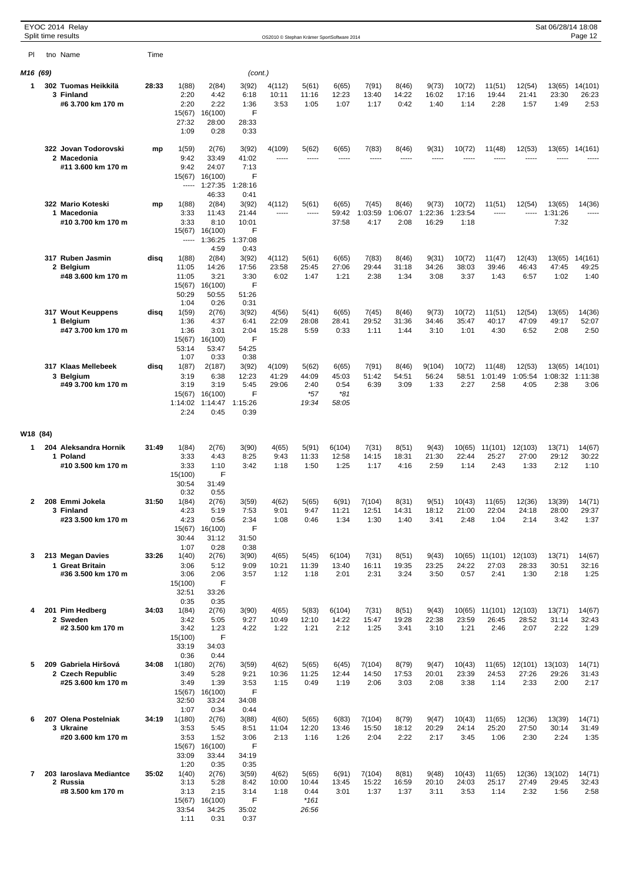|          | EYOC 2014 Relay<br>Split time results                          |       |                                                  |                                                   |                                             |                                            |                                           |                                 |                         |                        |                         |                         |                           |                           | Sat 06/28/14 18:08       | Page 12                           |
|----------|----------------------------------------------------------------|-------|--------------------------------------------------|---------------------------------------------------|---------------------------------------------|--------------------------------------------|-------------------------------------------|---------------------------------|-------------------------|------------------------|-------------------------|-------------------------|---------------------------|---------------------------|--------------------------|-----------------------------------|
|          |                                                                |       |                                                  |                                                   |                                             | OS2010 © Stephan Krämer SportSoftware 2014 |                                           |                                 |                         |                        |                         |                         |                           |                           |                          |                                   |
| PI.      | tno Name                                                       | Time  |                                                  |                                                   |                                             |                                            |                                           |                                 |                         |                        |                         |                         |                           |                           |                          |                                   |
| M16 (69) |                                                                |       |                                                  |                                                   | (cont.)                                     |                                            |                                           |                                 |                         |                        |                         |                         |                           |                           |                          |                                   |
| 1        | 302 Tuomas Heikkilä<br>3 Finland<br>#6 3.700 km 170 m          | 28:33 | 1(88)<br>2:20<br>2:20<br>15(67)<br>27:32         | 2(84)<br>4:42<br>2:22<br>16(100)<br>28:00         | 3(92)<br>6:18<br>1:36<br>F<br>28:33         | 4(112)<br>10:11<br>3:53                    | 5(61)<br>11:16<br>1:05                    | 6(65)<br>12:23<br>1:07          | 7(91)<br>13:40<br>1:17  | 8(46)<br>14:22<br>0:42 | 9(73)<br>16:02<br>1:40  | 10(72)<br>17:16<br>1:14 | 11(51)<br>19:44<br>2:28   | 12(54)<br>21:41<br>1:57   | 13(65)<br>23:30<br>1:49  | 14(101)<br>26:23<br>2:53          |
|          |                                                                |       | 1:09                                             | 0:28                                              | 0:33                                        |                                            |                                           |                                 |                         |                        |                         |                         |                           |                           |                          |                                   |
|          | 322 Jovan Todorovski<br>2 Macedonia<br>#11 3.600 km 170 m      | mp    | 1(59)<br>9:42<br>9:42<br>15(67)                  | 2(76)<br>33:49<br>24:07<br>16(100)                | 3(92)<br>41:02<br>7:13<br>F                 | 4(109)<br>-----                            | 5(62)<br>-----                            | 6(65)<br>-----                  | 7(83)<br>-----          | 8(46)<br>-----         | 9(31)<br>-----          | 10(72)                  | 11(48)                    | 12(53)                    | 13(65)                   | 14(161)                           |
|          | 322 Mario Koteski<br>1 Macedonia                               | mp    | -----<br>1(88)<br>3:33                           | 1:27:35<br>46:33<br>2(84)<br>11:43                | 1:28:16<br>0:41<br>3(92)<br>21:44           | 4(112)<br>-----                            | 5(61)<br>$- - - - -$                      | 6(65)<br>59:42                  | 7(45)<br>1:03:59        | 8(46)<br>1:06:07       | 9(73)<br>1:22:36        | 10(72)<br>1:23:54       | 11(51)<br>-----           | 12(54)                    | 13(65)<br>1:31:26        | 14(36)<br>-----                   |
|          | #10 3.700 km 170 m                                             |       | 3:33<br>15(67)<br>-----                          | 8:10<br>16(100)<br>1:36:25<br>4:59                | 10:01<br>F<br>1:37:08<br>0:43               |                                            |                                           | 37:58                           | 4:17                    | 2:08                   | 16:29                   | 1:18                    |                           |                           | 7:32                     |                                   |
|          | 317 Ruben Jasmin<br>2 Belgium<br>#48 3.600 km 170 m            | disq  | 1(88)<br>11:05<br>11:05<br>15(67)<br>50:29       | 2(84)<br>14:26<br>3:21<br>16(100)<br>50:55        | 3(92)<br>17:56<br>3:30<br>F<br>51:26        | 4(112)<br>23:58<br>6:02                    | 5(61)<br>25:45<br>1:47                    | 6(65)<br>27:06<br>1:21          | 7(83)<br>29:44<br>2:38  | 8(46)<br>31:18<br>1:34 | 9(31)<br>34:26<br>3:08  | 10(72)<br>38:03<br>3:37 | 11(47)<br>39:46<br>1:43   | 12(43)<br>46:43<br>6:57   | 13(65)<br>47:45<br>1:02  | 14(161)<br>49:25<br>1:40          |
|          | 317 Wout Keuppens                                              | disq  | 1:04<br>1(59)                                    | 0:26<br>2(76)                                     | 0:31<br>3(92)                               | 4(56)                                      | 5(41)                                     | 6(65)                           | 7(45)                   | 8(46)                  | 9(73)                   | 10(72)                  | 11(51)                    | 12(54)                    | 13(65)                   | 14(36)                            |
|          | 1 Belgium<br>#47 3.700 km 170 m                                |       | 1:36<br>1:36<br>15(67)<br>53:14                  | 4:37<br>3:01<br>16(100)<br>53:47                  | 6:41<br>2:04<br>F<br>54:25                  | 22:09<br>15:28                             | 28:08<br>5:59                             | 28:41<br>0:33                   | 29:52<br>1:11           | 31:36<br>1:44          | 34:46<br>3:10           | 35:47<br>1:01           | 40:17<br>4:30             | 47:09<br>6:52             | 49:17<br>2:08            | 52:07<br>2:50                     |
|          | 317 Klaas Mellebeek<br>3 Belgium<br>#49 3.700 km 170 m         | disq  | 1:07<br>1(87)<br>3:19<br>3:19<br>15(67)          | 0:33<br>2(187)<br>6:38<br>3:19<br>16(100)         | 0:38<br>3(92)<br>12:23<br>5:45<br>F         | 4(109)<br>41:29<br>29:06                   | 5(62)<br>44:09<br>2:40<br>$*57$           | 6(65)<br>45:03<br>0:54<br>$*81$ | 7(91)<br>51:42<br>6:39  | 8(46)<br>54:51<br>3:09 | 9(104)<br>56:24<br>1:33 | 10(72)<br>58:51<br>2:27 | 11(48)<br>1:01:49<br>2:58 | 12(53)<br>1:05:54<br>4:05 | 1:08:32<br>2:38          | 13(65) 14(101)<br>1:11:38<br>3:06 |
|          |                                                                |       | 1:14:02<br>2:24                                  | 1:14:47<br>0:45                                   | 1:15:26<br>0:39                             |                                            | 19:34                                     | 58:05                           |                         |                        |                         |                         |                           |                           |                          |                                   |
| W18 (84) |                                                                |       |                                                  |                                                   |                                             |                                            |                                           |                                 |                         |                        |                         |                         |                           |                           |                          |                                   |
| 1        | 204 Aleksandra Hornik<br>1 Poland                              | 31:49 | 1(84)<br>3:33                                    | 2(76)<br>4:43                                     | 3(90)<br>8:25                               | 4(65)<br>9:43                              | 5(91)<br>11:33                            | 6(104)<br>12:58                 | 7(31)<br>14:15          | 8(51)<br>18:31         | 9(43)<br>21:30          | 10(65)<br>22:44         | 11(101)<br>25:27          | 12(103)<br>27:00          | 13(71)<br>29:12          | 14(67)<br>30:22                   |
|          | #10 3.500 km 170 m                                             |       | 3:33<br>15(100)<br>30:54<br>0:32                 | 1:10<br>F<br>31:49<br>0:55                        | 3:42                                        | 1:18                                       | 1:50                                      | 1:25                            | 1:17                    | 4:16                   | 2:59                    | 1:14                    | 2:43                      | 1:33                      | 2:12                     | 1:10                              |
| 2        | 208 Emmi Jokela<br>3 Finland<br>#23 3.500 km 170 m             | 31:50 | 1(84)<br>4:23<br>4:23<br>15(67)                  | 2(76)<br>5:19<br>0:56<br>16(100)                  | 3(59)<br>7:53<br>2:34<br>F                  | 4(62)<br>9:01<br>1:08                      | 5(65)<br>9:47<br>0:46                     | 6(91)<br>11:21<br>1:34          | 7(104)<br>12:51<br>1:30 | 8(31)<br>14:31<br>1:40 | 9(51)<br>18:12<br>3:41  | 10(43)<br>21:00<br>2:48 | 11(65)<br>22:04<br>1:04   | 12(36)<br>24:18<br>2:14   | 13(39)<br>28:00<br>3:42  | 14(71)<br>29:37<br>1:37           |
| 3        | 213 Megan Davies                                               | 33:26 | 30:44<br>1:07<br>1(40)                           | 31:12<br>0:28<br>2(76)                            | 31:50<br>0:38<br>3(90)                      | 4(65)                                      | 5(45)                                     | 6(104)                          | 7(31)                   | 8(51)                  | 9(43)                   | 10(65)                  | 11(101)                   | 12(103)                   | 13(71)                   | 14(67)                            |
|          | 1 Great Britain<br>#36 3.500 km 170 m                          |       | 3:06<br>3:06<br>15(100)<br>32:51                 | 5:12<br>2:06<br>F<br>33:26                        | 9:09<br>3:57                                | 10:21<br>1:12                              | 11:39<br>1:18                             | 13:40<br>2:01                   | 16:11<br>2:31           | 19:35<br>3:24          | 23:25<br>3:50           | 24:22<br>0:57           | 27:03<br>2:41             | 28:33<br>1:30             | 30:51<br>2:18            | 32:16<br>1:25                     |
| 4        | 201 Pim Hedberg<br>2 Sweden                                    | 34:03 | 0:35<br>1(84)<br>3:42                            | 0:35<br>2(76)<br>5:05                             | 3(90)<br>9:27                               | 4(65)<br>10:49                             | 5(83)<br>12:10                            | 6(104)<br>14:22                 | 7(31)<br>15:47          | 8(51)<br>19:28         | 9(43)<br>22:38          | 10(65)<br>23:59         | 11(101)<br>26:45          | 12(103)<br>28:52          | 13(71)<br>31:14          | 14(67)<br>32:43                   |
|          | #2 3.500 km 170 m                                              |       | 3:42<br>15(100)<br>33:19<br>0:36                 | 1:23<br>F<br>34:03<br>0:44                        | 4:22                                        | 1:22                                       | 1:21                                      | 2:12                            | 1:25                    | 3:41                   | 3:10                    | 1:21                    | 2:46                      | 2:07                      | 2:22                     | 1:29                              |
| 5        | 209 Gabriela Hiršová<br>2 Czech Republic<br>#25 3.600 km 170 m | 34:08 | 1(180)<br>3:49<br>3:49<br>15(67)                 | 2(76)<br>5:28<br>1:39<br>16(100)                  | 3(59)<br>9:21<br>3:53<br>F                  | 4(62)<br>10:36<br>1:15                     | 5(65)<br>11:25<br>0:49                    | 6(45)<br>12:44<br>1:19          | 7(104)<br>14:50<br>2:06 | 8(79)<br>17:53<br>3:03 | 9(47)<br>20:01<br>2:08  | 10(43)<br>23:39<br>3:38 | 11(65)<br>24:53<br>1:14   | 12(101)<br>27:26<br>2:33  | 13(103)<br>29:26<br>2:00 | 14(71)<br>31:43<br>2:17           |
| 6        | 207 Olena Postelniak                                           | 34:19 | 32:50<br>1:07<br>1(180)                          | 33:24<br>0:34<br>2(76)                            | 34:08<br>0:44<br>3(88)                      | 4(60)                                      | 5(65)                                     | 6(83)                           | 7(104)                  | 8(79)                  | 9(47)                   | 10(43)                  | 11(65)                    | 12(36)                    | 13(39)                   | 14(71)                            |
|          | 3 Ukraine<br>#20 3.600 km 170 m                                |       | 3:53<br>3:53<br>15(67)<br>33:09<br>1:20          | 5:45<br>1:52<br>16(100)<br>33:44<br>0:35          | 8:51<br>3:06<br>F<br>34:19<br>0:35          | 11:04<br>2:13                              | 12:20<br>1:16                             | 13:46<br>1:26                   | 15:50<br>2:04           | 18:12<br>2:22          | 20:29<br>2:17           | 24:14<br>3:45           | 25:20<br>1:06             | 27:50<br>2:30             | 30:14<br>2:24            | 31:49<br>1:35                     |
| 7        | 203 Iaroslava Mediantce<br>2 Russia<br>#8 3.500 km 170 m       | 35:02 | 1(40)<br>3:13<br>3:13<br>15(67)<br>33:54<br>1:11 | 2(76)<br>5:28<br>2:15<br>16(100)<br>34:25<br>0:31 | 3(59)<br>8:42<br>3:14<br>F<br>35:02<br>0:37 | 4(62)<br>10:00<br>1:18                     | 5(65)<br>10:44<br>0:44<br>$*161$<br>26:56 | 6(91)<br>13:45<br>3:01          | 7(104)<br>15:22<br>1:37 | 8(81)<br>16:59<br>1:37 | 9(48)<br>20:10<br>3:11  | 10(43)<br>24:03<br>3:53 | 11(65)<br>25:17<br>1:14   | 12(36)<br>27:49<br>2:32   | 13(102)<br>29:45<br>1:56 | 14(71)<br>32:43<br>2:58           |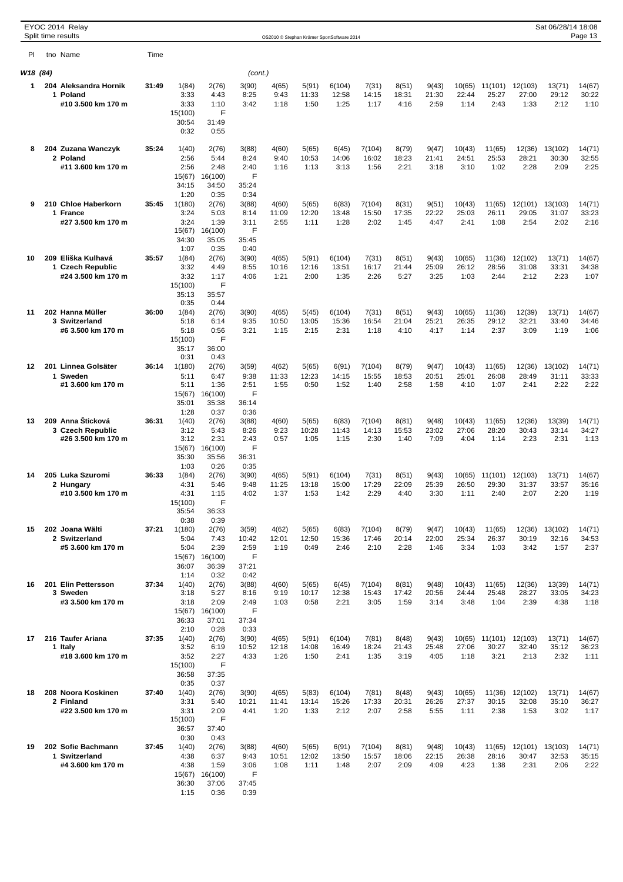|          | EYOC 2014 Relay<br>Split time results  |       |                  |                  |               |                |                |                                            |                 |                |                |                 |                  |                  | Sat 06/28/14 18:08 | Page 13         |
|----------|----------------------------------------|-------|------------------|------------------|---------------|----------------|----------------|--------------------------------------------|-----------------|----------------|----------------|-----------------|------------------|------------------|--------------------|-----------------|
|          |                                        |       |                  |                  |               |                |                | OS2010 © Stephan Krämer SportSoftware 2014 |                 |                |                |                 |                  |                  |                    |                 |
| PI.      | tno Name                               | Time  |                  |                  |               |                |                |                                            |                 |                |                |                 |                  |                  |                    |                 |
| W18 (84) |                                        |       |                  |                  | (cont.)       |                |                |                                            |                 |                |                |                 |                  |                  |                    |                 |
| 1        | 204 Aleksandra Hornik<br>1 Poland      | 31:49 | 1(84)<br>3:33    | 2(76)<br>4:43    | 3(90)<br>8:25 | 4(65)<br>9:43  | 5(91)<br>11:33 | 6(104)<br>12:58                            | 7(31)<br>14:15  | 8(51)<br>18:31 | 9(43)<br>21:30 | 10(65)<br>22:44 | 11(101)<br>25:27 | 12(103)<br>27:00 | 13(71)<br>29:12    | 14(67)<br>30:22 |
|          | #10 3.500 km 170 m                     |       | 3:33             | 1:10             | 3:42          | 1:18           | 1:50           | 1:25                                       | 1:17            | 4:16           | 2:59           | 1:14            | 2:43             | 1:33             | 2:12               | 1:10            |
|          |                                        |       | 15(100)          | F                |               |                |                |                                            |                 |                |                |                 |                  |                  |                    |                 |
|          |                                        |       | 30:54<br>0:32    | 31:49<br>0:55    |               |                |                |                                            |                 |                |                |                 |                  |                  |                    |                 |
| 8        | 204 Zuzana Wanczyk                     | 35:24 | 1(40)            | 2(76)            | 3(88)         | 4(60)          | 5(65)          | 6(45)                                      | 7(104)          | 8(79)          | 9(47)          | 10(43)          | 11(65)           | 12(36)           | 13(102)            | 14(71)          |
|          | 2 Poland                               |       | 2:56             | 5:44             | 8:24          | 9:40           | 10:53          | 14:06                                      | 16:02           | 18:23          | 21:41          | 24:51           | 25:53            | 28:21            | 30:30              | 32:55           |
|          | #11 3.600 km 170 m                     |       | 2:56<br>15(67)   | 2:48<br>16(100)  | 2:40<br>F     | 1:16           | 1:13           | 3:13                                       | 1:56            | 2:21           | 3:18           | 3:10            | 1:02             | 2:28             | 2:09               | 2:25            |
|          |                                        |       | 34:15            | 34:50            | 35:24         |                |                |                                            |                 |                |                |                 |                  |                  |                    |                 |
| 9        | 210 Chloe Haberkorn                    | 35:45 | 1:20<br>1(180)   | 0:35<br>2(76)    | 0:34<br>3(88) | 4(60)          | 5(65)          | 6(83)                                      | 7(104)          | 8(31)          | 9(51)          | 10(43)          | 11(65)           | 12(101)          | 13(103)            | 14(71)          |
|          | 1 France                               |       | 3:24             | 5:03             | 8:14          | 11:09          | 12:20          | 13:48                                      | 15:50           | 17:35          | 22:22          | 25:03           | 26:11            | 29:05            | 31:07              | 33:23           |
|          | #27 3.500 km 170 m                     |       | 3:24<br>15(67)   | 1:39<br>16(100)  | 3:11<br>F     | 2:55           | 1:11           | 1:28                                       | 2:02            | 1:45           | 4:47           | 2:41            | 1:08             | 2:54             | 2:02               | 2:16            |
|          |                                        |       | 34:30            | 35:05            | 35:45         |                |                |                                            |                 |                |                |                 |                  |                  |                    |                 |
|          |                                        |       | 1:07             | 0:35             | 0:40          |                |                |                                            |                 |                |                |                 |                  |                  |                    |                 |
| 10       | 209 Eliška Kulhavá<br>1 Czech Republic | 35:57 | 1(84)<br>3:32    | 2(76)<br>4:49    | 3(90)<br>8:55 | 4(65)<br>10:16 | 5(91)<br>12:16 | 6(104)<br>13:51                            | 7(31)<br>16:17  | 8(51)<br>21:44 | 9(43)<br>25:09 | 10(65)<br>26:12 | 11(36)<br>28:56  | 12(102)<br>31:08 | 13(71)<br>33:31    | 14(67)<br>34:38 |
|          | #24 3.500 km 170 m                     |       | 3:32             | 1:17             | 4:06          | 1:21           | 2:00           | 1:35                                       | 2:26            | 5:27           | 3:25           | 1:03            | 2:44             | 2:12             | 2:23               | 1:07            |
|          |                                        |       | 15(100)<br>35:13 | F<br>35:57       |               |                |                |                                            |                 |                |                |                 |                  |                  |                    |                 |
|          |                                        |       | 0:35             | 0:44             |               |                |                |                                            |                 |                |                |                 |                  |                  |                    |                 |
| 11       | 202 Hanna Müller<br>3 Switzerland      | 36:00 | 1(84)<br>5:18    | 2(76)<br>6:14    | 3(90)<br>9:35 | 4(65)<br>10:50 | 5(45)<br>13:05 | 6(104)<br>15:36                            | 7(31)<br>16:54  | 8(51)<br>21:04 | 9(43)<br>25:21 | 10(65)<br>26:35 | 11(36)<br>29:12  | 12(39)<br>32:21  | 13(71)<br>33:40    | 14(67)<br>34:46 |
|          | #6 3.500 km 170 m                      |       | 5:18             | 0:56             | 3:21          | 1:15           | 2:15           | 2:31                                       | 1:18            | 4:10           | 4:17           | 1:14            | 2:37             | 3:09             | 1:19               | 1:06            |
|          |                                        |       | 15(100)<br>35:17 | F<br>36:00       |               |                |                |                                            |                 |                |                |                 |                  |                  |                    |                 |
|          |                                        |       | 0:31             | 0:43             |               |                |                |                                            |                 |                |                |                 |                  |                  |                    |                 |
| 12       | 201 Linnea Golsäter<br>1 Sweden        | 36:14 | 1(180)<br>5:11   | 2(76)<br>6:47    | 3(59)<br>9:38 | 4(62)<br>11:33 | 5(65)<br>12:23 | 6(91)<br>14:15                             | 7(104)<br>15:55 | 8(79)<br>18:53 | 9(47)<br>20:51 | 10(43)<br>25:01 | 11(65)<br>26:08  | 12(36)<br>28:49  | 13(102)<br>31:11   | 14(71)<br>33:33 |
|          | #1 3.600 km 170 m                      |       | 5:11             | 1:36             | 2:51          | 1:55           | 0:50           | 1:52                                       | 1:40            | 2:58           | 1:58           | 4:10            | 1:07             | 2:41             | 2:22               | 2:22            |
|          |                                        |       | 15(67)<br>35:01  | 16(100)<br>35:38 | F<br>36:14    |                |                |                                            |                 |                |                |                 |                  |                  |                    |                 |
|          |                                        |       | 1:28             | 0:37             | 0:36          |                |                |                                            |                 |                |                |                 |                  |                  |                    |                 |
| 13       | 209 Anna Šticková                      | 36:31 | 1(40)            | 2(76)            | 3(88)         | 4(60)          | 5(65)          | 6(83)                                      | 7(104)          | 8(81)          | 9(48)<br>23:02 | 10(43)          | 11(65)           | 12(36)           | 13(39)             | 14(71)          |
|          | 3 Czech Republic<br>#26 3.500 km 170 m |       | 3:12<br>3:12     | 5:43<br>2:31     | 8:26<br>2:43  | 9:23<br>0:57   | 10:28<br>1:05  | 11:43<br>1:15                              | 14:13<br>2:30   | 15:53<br>1:40  | 7:09           | 27:06<br>4:04   | 28:20<br>1:14    | 30:43<br>2:23    | 33:14<br>2:31      | 34:27<br>1:13   |
|          |                                        |       | 15(67)           | 16(100)          | F             |                |                |                                            |                 |                |                |                 |                  |                  |                    |                 |
|          |                                        |       | 35:30<br>1:03    | 35:56<br>0:26    | 36:31<br>0:35 |                |                |                                            |                 |                |                |                 |                  |                  |                    |                 |
| 14       | 205 Luka Szuromi                       | 36:33 | 1(84)            | 2(76)            | 3(90)         | 4(65)          | 5(91)          | 6(104)                                     | 7(31)           | 8(51)          | 9(43)          | 10(65)          | 11(101)          | 12(103)          | 13(71)             | 14(67)          |
|          | 2 Hungary<br>#10 3.500 km 170 m        |       | 4:31<br>4:31     | 5:46<br>1:15     | 9:48<br>4:02  | 11:25<br>1:37  | 13:18<br>1:53  | 15:00<br>1:42                              | 17:29<br>2:29   | 22:09<br>4:40  | 25:39<br>3:30  | 26:50<br>1:11   | 29:30<br>2:40    | 31:37<br>2:07    | 33:57<br>2:20      | 35:16<br>1:19   |
|          |                                        |       | 15(100)          | F                |               |                |                |                                            |                 |                |                |                 |                  |                  |                    |                 |
|          |                                        |       | 35:54<br>0:38    | 36:33<br>0:39    |               |                |                |                                            |                 |                |                |                 |                  |                  |                    |                 |
| 15       | 202 Joana Wälti                        | 37:21 | 1(180)           | 2(76)            | 3(59)         | 4(62)          | 5(65)          | 6(83)                                      | 7(104)          | 8(79)          | 9(47)          | 10(43)          | 11(65)           | 12(36)           | 13(102)            | 14(71)          |
|          | 2 Switzerland<br>#5 3.600 km 170 m     |       | 5:04<br>5:04     | 7:43<br>2:39     | 10:42<br>2:59 | 12:01<br>1:19  | 12:50<br>0:49  | 15:36<br>2:46                              | 17:46<br>2:10   | 20:14<br>2:28  | 22:00<br>1:46  | 25:34<br>3:34   | 26:37<br>1:03    | 30:19<br>3:42    | 32:16<br>1:57      | 34:53<br>2:37   |
|          |                                        |       | 15(67)           | 16(100)          | F             |                |                |                                            |                 |                |                |                 |                  |                  |                    |                 |
|          |                                        |       | 36:07<br>1:14    | 36:39<br>0:32    | 37:21<br>0:42 |                |                |                                            |                 |                |                |                 |                  |                  |                    |                 |
| 16       | 201 Elin Pettersson                    | 37:34 | 1(40)            | 2(76)            | 3(88)         | 4(60)          | 5(65)          | 6(45)                                      | 7(104)          | 8(81)          | 9(48)          | 10(43)          | 11(65)           | 12(36)           | 13(39)             | 14(71)          |
|          | 3 Sweden<br>#3 3.500 km 170 m          |       | 3:18<br>3:18     | 5:27<br>2:09     | 8:16<br>2:49  | 9:19<br>1:03   | 10:17<br>0:58  | 12:38<br>2:21                              | 15:43<br>3:05   | 17:42<br>1:59  | 20:56<br>3:14  | 24:44<br>3:48   | 25:48<br>1:04    | 28:27<br>2:39    | 33:05<br>4:38      | 34:23<br>1:18   |
|          |                                        |       | 15(67)           | 16(100)          | F             |                |                |                                            |                 |                |                |                 |                  |                  |                    |                 |
|          |                                        |       | 36:33<br>2:10    | 37:01<br>0:28    | 37:34<br>0:33 |                |                |                                            |                 |                |                |                 |                  |                  |                    |                 |
| 17       | 216 Taufer Ariana                      | 37:35 | 1(40)            | 2(76)            | 3(90)         | 4(65)          | 5(91)          | 6(104)                                     | 7(81)           | 8(48)          | 9(43)          | 10(65)          | 11(101)          | 12(103)          | 13(71)             | 14(67)          |
|          | 1 Italy                                |       | 3:52             | 6:19             | 10:52         | 12:18          | 14:08          | 16:49                                      | 18:24           | 21:43          | 25:48          | 27:06           | 30:27            | 32:40            | 35:12              | 36:23           |
|          | #18 3.600 km 170 m                     |       | 3:52<br>15(100)  | 2:27<br>F        | 4:33          | 1:26           | 1:50           | 2:41                                       | 1:35            | 3:19           | 4:05           | 1:18            | 3:21             | 2:13             | 2:32               | 1:11            |
|          |                                        |       | 36:58            | 37:35            |               |                |                |                                            |                 |                |                |                 |                  |                  |                    |                 |
| 18       | 208 Noora Koskinen                     | 37:40 | 0:35<br>1(40)    | 0:37<br>2(76)    | 3(90)         | 4(65)          | 5(83)          | 6(104)                                     | 7(81)           | 8(48)          | 9(43)          | 10(65)          | 11(36)           | 12(102)          | 13(71)             | 14(67)          |
|          | 2 Finland                              |       | 3:31             | 5:40             | 10:21         | 11:41          | 13:14          | 15:26                                      | 17:33           | 20:31          | 26:26          | 27:37           | 30:15            | 32:08            | 35:10              | 36:27           |
|          | #22 3.500 km 170 m                     |       | 3:31<br>15(100)  | 2:09<br>F        | 4:41          | 1:20           | 1:33           | 2:12                                       | 2:07            | 2:58           | 5:55           | 1:11            | 2:38             | 1:53             | 3:02               | 1:17            |
|          |                                        |       | 36:57            | 37:40            |               |                |                |                                            |                 |                |                |                 |                  |                  |                    |                 |
| 19       | 202 Sofie Bachmann                     | 37:45 | 0:30<br>1(40)    | 0:43<br>2(76)    | 3(88)         | 4(60)          | 5(65)          | 6(91)                                      | 7(104)          | 8(81)          | 9(48)          | 10(43)          | 11(65)           | 12(101)          | 13(103)            | 14(71)          |
|          | 1 Switzerland                          |       | 4:38             | 6:37             | 9:43          | 10:51          | 12:02          | 13:50                                      | 15:57           | 18:06          | 22:15          | 26:38           | 28:16            | 30:47            | 32:53              | 35:15           |
|          | #4 3.600 km 170 m                      |       | 4:38<br>15(67)   | 1:59<br>16(100)  | 3:06<br>F     | 1:08           | 1:11           | 1:48                                       | 2:07            | 2:09           | 4:09           | 4:23            | 1:38             | 2:31             | 2:06               | 2:22            |
|          |                                        |       | 36:30            | 37:06            | 37:45         |                |                |                                            |                 |                |                |                 |                  |                  |                    |                 |
|          |                                        |       | 1:15             | 0:36             | 0:39          |                |                |                                            |                 |                |                |                 |                  |                  |                    |                 |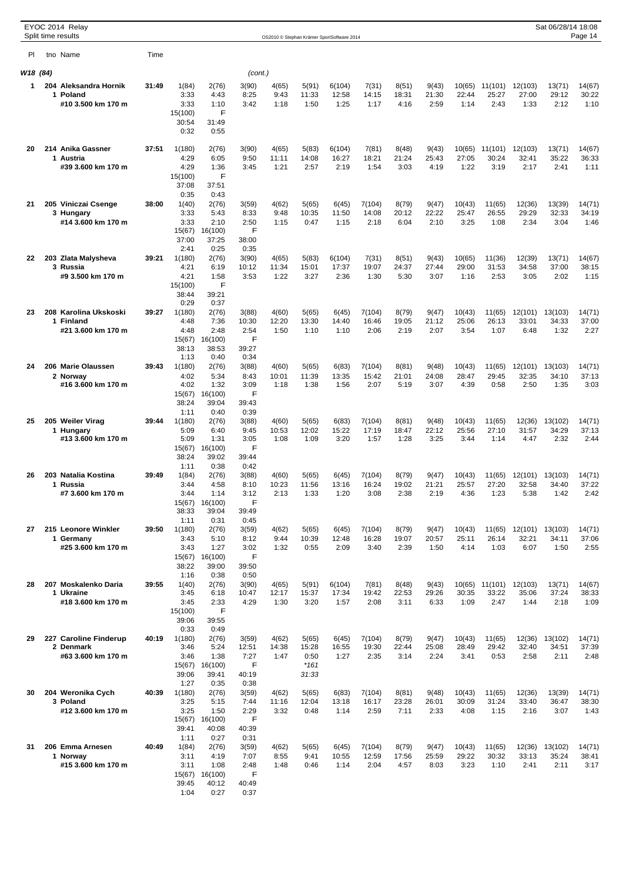|          | EYOC 2014 Relay<br>Split time results |       |                  |                  |               |                |                | OS2010 © Stephan Krämer SportSoftware 2014 |                 |                |                |                 |                  |                  | Sat 06/28/14 18:08 | Page 14         |
|----------|---------------------------------------|-------|------------------|------------------|---------------|----------------|----------------|--------------------------------------------|-----------------|----------------|----------------|-----------------|------------------|------------------|--------------------|-----------------|
| PI       | tno Name                              | Time  |                  |                  |               |                |                |                                            |                 |                |                |                 |                  |                  |                    |                 |
|          |                                       |       |                  |                  |               |                |                |                                            |                 |                |                |                 |                  |                  |                    |                 |
| W18 (84) |                                       |       |                  |                  | (cont.)       |                |                |                                            |                 |                |                |                 |                  |                  |                    |                 |
| 1        | 204 Aleksandra Hornik<br>1 Poland     | 31:49 | 1(84)<br>3:33    | 2(76)<br>4:43    | 3(90)<br>8:25 | 4(65)<br>9:43  | 5(91)<br>11:33 | 6(104)<br>12:58                            | 7(31)<br>14:15  | 8(51)<br>18:31 | 9(43)<br>21:30 | 10(65)<br>22:44 | 11(101)<br>25:27 | 12(103)<br>27:00 | 13(71)<br>29:12    | 14(67)<br>30:22 |
|          | #10 3.500 km 170 m                    |       | 3:33             | 1:10             | 3:42          | 1:18           | 1:50           | 1:25                                       | 1:17            | 4:16           | 2:59           | 1:14            | 2:43             | 1:33             | 2:12               | 1:10            |
|          |                                       |       | 15(100)<br>30:54 | F<br>31:49       |               |                |                |                                            |                 |                |                |                 |                  |                  |                    |                 |
|          |                                       |       | 0:32             | 0:55             |               |                |                |                                            |                 |                |                |                 |                  |                  |                    |                 |
| 20       | 214 Anika Gassner                     | 37:51 | 1(180)           | 2(76)            | 3(90)         | 4(65)          | 5(83)          | 6(104)                                     | 7(81)           | 8(48)          | 9(43)          | 10(65)          | 11(101)          | 12(103)          | 13(71)             | 14(67)          |
|          | 1 Austria                             |       | 4:29             | 6:05             | 9:50          | 11:11          | 14:08          | 16:27                                      | 18:21           | 21:24          | 25:43          | 27:05           | 30:24            | 32:41            | 35:22              | 36:33           |
|          | #39 3.600 km 170 m                    |       | 4:29             | 1:36             | 3:45          | 1:21           | 2:57           | 2:19                                       | 1:54            | 3:03           | 4:19           | 1:22            | 3:19             | 2:17             | 2:41               | 1:11            |
|          |                                       |       | 15(100)<br>37:08 | F<br>37:51       |               |                |                |                                            |                 |                |                |                 |                  |                  |                    |                 |
|          |                                       |       | 0:35             | 0:43             |               |                |                |                                            |                 |                |                |                 |                  |                  |                    |                 |
| 21       | 205 Viniczai Csenge<br>3 Hungary      | 38:00 | 1(40)<br>3:33    | 2(76)<br>5:43    | 3(59)<br>8:33 | 4(62)<br>9:48  | 5(65)<br>10:35 | 6(45)<br>11:50                             | 7(104)<br>14:08 | 8(79)<br>20:12 | 9(47)<br>22:22 | 10(43)<br>25:47 | 11(65)<br>26:55  | 12(36)<br>29:29  | 13(39)<br>32:33    | 14(71)<br>34:19 |
|          | #14 3.600 km 170 m                    |       | 3:33             | 2:10             | 2:50          | 1:15           | 0:47           | 1:15                                       | 2:18            | 6:04           | 2:10           | 3:25            | 1:08             | 2:34             | 3:04               | 1:46            |
|          |                                       |       | 15(67)           | 16(100)          | F             |                |                |                                            |                 |                |                |                 |                  |                  |                    |                 |
|          |                                       |       | 37:00<br>2:41    | 37:25<br>0:25    | 38:00<br>0:35 |                |                |                                            |                 |                |                |                 |                  |                  |                    |                 |
| 22       | 203 Zlata Malysheva                   | 39:21 | 1(180)           | 2(76)            | 3(90)         | 4(65)          | 5(83)          | 6(104)                                     | 7(31)           | 8(51)          | 9(43)          | 10(65)          | 11(36)           | 12(39)           | 13(71)             | 14(67)          |
|          | 3 Russia                              |       | 4:21             | 6:19             | 10:12         | 11:34          | 15:01          | 17:37                                      | 19:07           | 24:37          | 27:44          | 29:00           | 31:53            | 34:58            | 37:00              | 38:15           |
|          | #9 3.500 km 170 m                     |       | 4:21<br>15(100)  | 1:58<br>F        | 3:53          | 1:22           | 3:27           | 2:36                                       | 1:30            | 5:30           | 3:07           | 1:16            | 2:53             | 3:05             | 2:02               | 1:15            |
|          |                                       |       | 38:44            | 39:21            |               |                |                |                                            |                 |                |                |                 |                  |                  |                    |                 |
| 23       | 208 Karolina Ukskoski                 | 39:27 | 0:29<br>1(180)   | 0:37<br>2(76)    | 3(88)         | 4(60)          | 5(65)          | 6(45)                                      | 7(104)          | 8(79)          | 9(47)          | 10(43)          | 11(65)           | 12(101)          | 13(103)            | 14(71)          |
|          | 1 Finland                             |       | 4:48             | 7:36             | 10:30         | 12:20          | 13:30          | 14:40                                      | 16:46           | 19:05          | 21:12          | 25:06           | 26:13            | 33:01            | 34:33              | 37:00           |
|          | #21 3.600 km 170 m                    |       | 4:48             | 2:48             | 2:54          | 1:50           | 1:10           | 1:10                                       | 2:06            | 2:19           | 2:07           | 3:54            | 1:07             | 6:48             | 1:32               | 2:27            |
|          |                                       |       | 15(67)<br>38:13  | 16(100)<br>38:53 | F<br>39:27    |                |                |                                            |                 |                |                |                 |                  |                  |                    |                 |
|          |                                       |       | 1:13             | 0:40             | 0:34          |                |                |                                            |                 |                |                |                 |                  |                  |                    |                 |
| 24       | 206 Marie Olaussen<br>2 Norway        | 39:43 | 1(180)<br>4:02   | 2(76)<br>5:34    | 3(88)<br>8:43 | 4(60)<br>10:01 | 5(65)<br>11:39 | 6(83)<br>13:35                             | 7(104)<br>15:42 | 8(81)<br>21:01 | 9(48)<br>24:08 | 10(43)<br>28:47 | 11(65)<br>29:45  | 12(101)<br>32:35 | 13(103)<br>34:10   | 14(71)<br>37:13 |
|          | #16 3.600 km 170 m                    |       | 4:02             | 1:32             | 3:09          | 1:18           | 1:38           | 1:56                                       | 2:07            | 5:19           | 3:07           | 4:39            | 0:58             | 2:50             | 1:35               | 3:03            |
|          |                                       |       | 15(67)           | 16(100)          | F             |                |                |                                            |                 |                |                |                 |                  |                  |                    |                 |
|          |                                       |       | 38:24<br>1:11    | 39:04<br>0:40    | 39:43<br>0:39 |                |                |                                            |                 |                |                |                 |                  |                  |                    |                 |
| 25       | 205 Weiler Virag                      | 39:44 | 1(180)           | 2(76)            | 3(88)         | 4(60)          | 5(65)          | 6(83)                                      | 7(104)          | 8(81)          | 9(48)          | 10(43)          | 11(65)           | 12(36)           | 13(102)            | 14(71)          |
|          | 1 Hungary                             |       | 5:09             | 6:40             | 9:45          | 10:53          | 12:02          | 15:22                                      | 17:19           | 18:47          | 22:12          | 25:56           | 27:10            | 31:57            | 34:29              | 37:13           |
|          | #13 3.600 km 170 m                    |       | 5:09<br>15(67)   | 1:31<br>16(100)  | 3:05<br>F     | 1:08           | 1:09           | 3:20                                       | 1:57            | 1:28           | 3:25           | 3:44            | 1:14             | 4:47             | 2:32               | 2:44            |
|          |                                       |       | 38:24            | 39:02            | 39:44         |                |                |                                            |                 |                |                |                 |                  |                  |                    |                 |
| 26       | 203 Natalia Kostina                   | 39:49 | 1:11<br>1(84)    | 0:38<br>2(76)    | 0:42<br>3(88) | 4(60)          | 5(65)          | 6(45)                                      | 7(104)          | 8(79)          | 9(47)          | 10(43)          | 11(65)           | 12(101)          | 13(103)            | 14(71)          |
|          | 1 Russia                              |       | 3:44             | 4:58             | 8:10          | 10:23          | 11:56          | 13:16                                      | 16:24           | 19:02          | 21:21          | 25:57           | 27:20            | 32:58            | 34:40              | 37:22           |
|          | #7 3.600 km 170 m                     |       | 3:44             | 1:14             | 3:12          | 2:13           | 1:33           | 1:20                                       | 3:08            | 2:38           | 2:19           | 4:36            | 1:23             | 5:38             | 1:42               | 2:42            |
|          |                                       |       | 15(67)<br>38:33  | 16(100)<br>39:04 | F<br>39:49    |                |                |                                            |                 |                |                |                 |                  |                  |                    |                 |
|          |                                       |       | 1:11             | 0:31             | 0:45          |                |                |                                            |                 |                |                |                 |                  |                  |                    |                 |
| 27       | 215 Leonore Winkler<br>1 Germany      | 39:50 | 1(180)<br>3:43   | 2(76)<br>5:10    | 3(59)<br>8:12 | 4(62)<br>9:44  | 5(65)<br>10:39 | 6(45)<br>12:48                             | 7(104)<br>16:28 | 8(79)<br>19:07 | 9(47)<br>20:57 | 10(43)<br>25:11 | 11(65)<br>26:14  | 12(101)<br>32:21 | 13(103)<br>34:11   | 14(71)<br>37:06 |
|          | #25 3.600 km 170 m                    |       | 3:43             | 1:27             | 3:02          | 1:32           | 0:55           | 2:09                                       | 3:40            | 2:39           | 1:50           | 4:14            | 1:03             | 6:07             | 1:50               | 2:55            |
|          |                                       |       | 15(67)<br>38:22  | 16(100)<br>39:00 | F<br>39:50    |                |                |                                            |                 |                |                |                 |                  |                  |                    |                 |
|          |                                       |       | 1:16             | 0:38             | 0:50          |                |                |                                            |                 |                |                |                 |                  |                  |                    |                 |
| 28       | 207 Moskalenko Daria                  | 39:55 | 1(40)            | 2(76)            | 3(90)         | 4(65)          | 5(91)          | 6(104)                                     | 7(81)           | 8(48)          | 9(43)          | 10(65)          | 11(101)          | 12(103)          | 13(71)             | 14(67)          |
|          | 1 Ukraine<br>#18 3.600 km 170 m       |       | 3:45<br>3:45     | 6:18<br>2:33     | 10:47<br>4:29 | 12:17<br>1:30  | 15:37<br>3:20  | 17:34<br>1:57                              | 19:42<br>2:08   | 22:53<br>3:11  | 29:26<br>6:33  | 30:35<br>1:09   | 33:22<br>2:47    | 35:06<br>1:44    | 37:24<br>2:18      | 38:33<br>1:09   |
|          |                                       |       | 15(100)          | F                |               |                |                |                                            |                 |                |                |                 |                  |                  |                    |                 |
|          |                                       |       | 39:06<br>0:33    | 39:55<br>0:49    |               |                |                |                                            |                 |                |                |                 |                  |                  |                    |                 |
| 29       | 227 Caroline Finderup                 | 40:19 | 1(180)           | 2(76)            | 3(59)         | 4(62)          | 5(65)          | 6(45)                                      | 7(104)          | 8(79)          | 9(47)          | 10(43)          | 11(65)           | 12(36)           | 13(102)            | 14(71)          |
|          | 2 Denmark                             |       | 3:46             | 5:24             | 12:51         | 14:38          | 15:28          | 16:55                                      | 19:30           | 22:44          | 25:08          | 28:49           | 29:42            | 32:40            | 34:51              | 37:39           |
|          | #63 3.600 km 170 m                    |       | 3:46<br>15(67)   | 1:38<br>16(100)  | 7:27<br>F     | 1:47           | 0:50<br>$*161$ | 1:27                                       | 2:35            | 3:14           | 2:24           | 3:41            | 0:53             | 2:58             | 2:11               | 2:48            |
|          |                                       |       | 39:06            | 39:41            | 40:19         |                | 31:33          |                                            |                 |                |                |                 |                  |                  |                    |                 |
| 30       |                                       | 40:39 | 1:27<br>1(180)   | 0:35             | 0:38          |                |                |                                            |                 |                |                |                 |                  |                  |                    |                 |
|          | 204 Weronika Cych<br>3 Poland         |       | 3:25             | 2(76)<br>5:15    | 3(59)<br>7:44 | 4(62)<br>11:16 | 5(65)<br>12:04 | 6(83)<br>13:18                             | 7(104)<br>16:17 | 8(81)<br>23:28 | 9(48)<br>26:01 | 10(43)<br>30:09 | 11(65)<br>31:24  | 12(36)<br>33:40  | 13(39)<br>36:47    | 14(71)<br>38:30 |
|          | #12 3.600 km 170 m                    |       | 3:25             | 1:50             | 2:29          | 3:32           | 0:48           | 1:14                                       | 2:59            | 7:11           | 2:33           | 4:08            | 1:15             | 2:16             | 3:07               | 1:43            |
|          |                                       |       | 15(67)<br>39:41  | 16(100)<br>40:08 | F<br>40:39    |                |                |                                            |                 |                |                |                 |                  |                  |                    |                 |
|          |                                       |       | 1:11             | 0:27             | 0:31          |                |                |                                            |                 |                |                |                 |                  |                  |                    |                 |
| 31       | 206 Emma Arnesen                      | 40:49 | 1(84)            | 2(76)            | 3(59)         | 4(62)          | 5(65)          | 6(45)                                      | 7(104)          | 8(79)          | 9(47)          | 10(43)          | 11(65)           | 12(36)           | 13(102)            | 14(71)          |
|          | 1 Norway<br>#15 3.600 km 170 m        |       | 3:11<br>3:11     | 4:19<br>1:08     | 7:07<br>2:48  | 8:55<br>1:48   | 9:41<br>0:46   | 10:55<br>1:14                              | 12:59<br>2:04   | 17:56<br>4:57  | 25:59<br>8:03  | 29:22<br>3:23   | 30:32<br>1:10    | 33:13<br>2:41    | 35:24<br>2:11      | 38:41<br>3:17   |
|          |                                       |       | 15(67)           | 16(100)          | F             |                |                |                                            |                 |                |                |                 |                  |                  |                    |                 |
|          |                                       |       | 39:45<br>1:04    | 40:12<br>0:27    | 40:49<br>0:37 |                |                |                                            |                 |                |                |                 |                  |                  |                    |                 |
|          |                                       |       |                  |                  |               |                |                |                                            |                 |                |                |                 |                  |                  |                    |                 |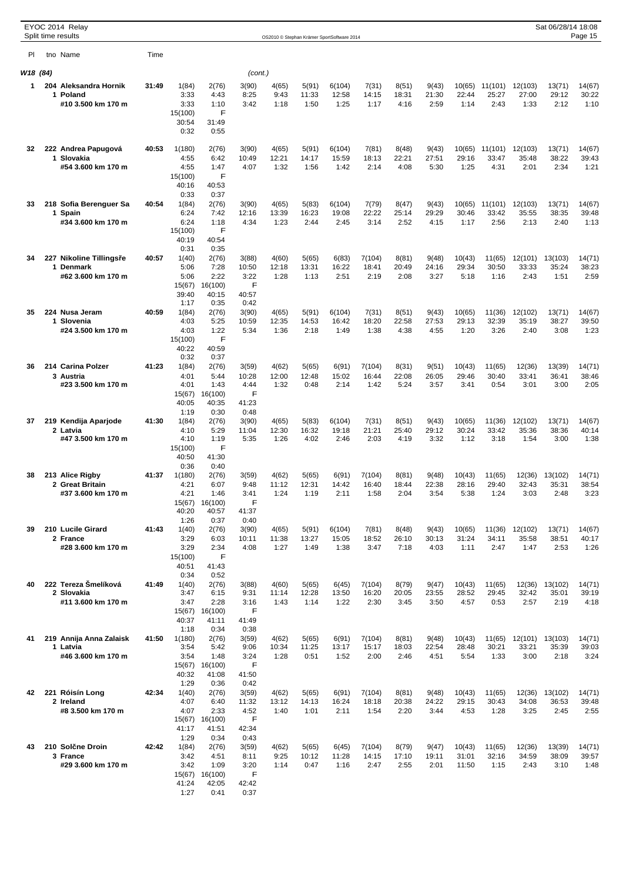|          | EYOC 2014 Relay<br>Split time results |       |                  |                  |                |                |                | OS2010 © Stephan Krämer SportSoftware 2014 |                 |                |                |                 |                  |                  | Sat 06/28/14 18:08 | Page 15         |
|----------|---------------------------------------|-------|------------------|------------------|----------------|----------------|----------------|--------------------------------------------|-----------------|----------------|----------------|-----------------|------------------|------------------|--------------------|-----------------|
| PI       | tno Name                              | Time  |                  |                  |                |                |                |                                            |                 |                |                |                 |                  |                  |                    |                 |
|          |                                       |       |                  |                  |                |                |                |                                            |                 |                |                |                 |                  |                  |                    |                 |
| W18 (84) | 204 Aleksandra Hornik                 |       |                  |                  | (cont.)        |                |                |                                            |                 |                |                |                 |                  |                  |                    |                 |
| 1        | 1 Poland                              | 31:49 | 1(84)<br>3:33    | 2(76)<br>4:43    | 3(90)<br>8:25  | 4(65)<br>9:43  | 5(91)<br>11:33 | 6(104)<br>12:58                            | 7(31)<br>14:15  | 8(51)<br>18:31 | 9(43)<br>21:30 | 10(65)<br>22:44 | 11(101)<br>25:27 | 12(103)<br>27:00 | 13(71)<br>29:12    | 14(67)<br>30:22 |
|          | #10 3.500 km 170 m                    |       | 3:33             | 1:10             | 3:42           | 1:18           | 1:50           | 1:25                                       | 1:17            | 4:16           | 2:59           | 1:14            | 2:43             | 1:33             | 2:12               | 1:10            |
|          |                                       |       | 15(100)<br>30:54 | F<br>31:49       |                |                |                |                                            |                 |                |                |                 |                  |                  |                    |                 |
|          |                                       |       | 0:32             | 0:55             |                |                |                |                                            |                 |                |                |                 |                  |                  |                    |                 |
| 32       | 222 Andrea Papugová                   | 40:53 | 1(180)           | 2(76)            | 3(90)          | 4(65)          | 5(91)          | 6(104)                                     | 7(81)           | 8(48)          | 9(43)          | 10(65)          | 11(101)          | 12(103)          | 13(71)             | 14(67)          |
|          | 1 Slovakia                            |       | 4:55             | 6:42             | 10:49          | 12:21          | 14:17          | 15:59                                      | 18:13           | 22:21          | 27:51          | 29:16           | 33:47            | 35:48            | 38:22              | 39:43           |
|          | #54 3.600 km 170 m                    |       | 4:55<br>15(100)  | 1:47<br>F        | 4:07           | 1:32           | 1:56           | 1:42                                       | 2:14            | 4:08           | 5:30           | 1:25            | 4:31             | 2:01             | 2:34               | 1:21            |
|          |                                       |       | 40:16            | 40:53            |                |                |                |                                            |                 |                |                |                 |                  |                  |                    |                 |
|          |                                       |       | 0:33             | 0:37             |                |                |                |                                            |                 |                |                |                 |                  |                  |                    |                 |
| 33       | 218 Sofia Berenguer Sa<br>1 Spain     | 40:54 | 1(84)<br>6:24    | 2(76)<br>7:42    | 3(90)<br>12:16 | 4(65)<br>13:39 | 5(83)<br>16:23 | 6(104)<br>19:08                            | 7(79)<br>22:22  | 8(47)<br>25:14 | 9(43)<br>29:29 | 10(65)<br>30:46 | 11(101)<br>33:42 | 12(103)<br>35:55 | 13(71)<br>38:35    | 14(67)<br>39:48 |
|          | #34 3.600 km 170 m                    |       | 6:24             | 1:18             | 4:34           | 1:23           | 2:44           | 2:45                                       | 3:14            | 2:52           | 4:15           | 1:17            | 2:56             | 2:13             | 2:40               | 1:13            |
|          |                                       |       | 15(100)<br>40:19 | F<br>40:54       |                |                |                |                                            |                 |                |                |                 |                  |                  |                    |                 |
|          |                                       |       | 0:31             | 0:35             |                |                |                |                                            |                 |                |                |                 |                  |                  |                    |                 |
| 34       | 227 Nikoline Tillings e<br>1 Denmark  | 40:57 | 1(40)<br>5:06    | 2(76)<br>7:28    | 3(88)<br>10:50 | 4(60)<br>12:18 | 5(65)<br>13:31 | 6(83)<br>16:22                             | 7(104)<br>18:41 | 8(81)<br>20:49 | 9(48)<br>24:16 | 10(43)<br>29:34 | 11(65)<br>30:50  | 12(101)<br>33:33 | 13(103)<br>35:24   | 14(71)<br>38:23 |
|          | #62 3.600 km 170 m                    |       | 5:06             | 2:22             | 3:22           | 1:28           | 1:13           | 2:51                                       | 2:19            | 2:08           | 3:27           | 5:18            | 1:16             | 2:43             | 1:51               | 2:59            |
|          |                                       |       | 15(67)           | 16(100)          | F              |                |                |                                            |                 |                |                |                 |                  |                  |                    |                 |
|          |                                       |       | 39:40<br>1:17    | 40:15<br>0:35    | 40:57<br>0:42  |                |                |                                            |                 |                |                |                 |                  |                  |                    |                 |
| 35       | 224 Nusa Jeram                        | 40:59 | 1(84)            | 2(76)            | 3(90)          | 4(65)          | 5(91)          | 6(104)                                     | 7(31)           | 8(51)          | 9(43)          | 10(65)          | 11(36)           | 12(102)          | 13(71)             | 14(67)          |
|          | 1 Slovenia<br>#24 3.500 km 170 m      |       | 4:03<br>4:03     | 5:25<br>1:22     | 10:59<br>5:34  | 12:35<br>1:36  | 14:53<br>2:18  | 16:42<br>1:49                              | 18:20<br>1:38   | 22:58<br>4:38  | 27:53<br>4:55  | 29:13<br>1:20   | 32:39<br>3:26    | 35:19<br>2:40    | 38:27<br>3:08      | 39:50<br>1:23   |
|          |                                       |       | 15(100)          | F                |                |                |                |                                            |                 |                |                |                 |                  |                  |                    |                 |
|          |                                       |       | 40:22            | 40:59            |                |                |                |                                            |                 |                |                |                 |                  |                  |                    |                 |
| 36       | 214 Carina Polzer                     | 41:23 | 0:32<br>1(84)    | 0:37<br>2(76)    | 3(59)          | 4(62)          | 5(65)          | 6(91)                                      | 7(104)          | 8(31)          | 9(51)          | 10(43)          | 11(65)           | 12(36)           | 13(39)             | 14(71)          |
|          | 3 Austria                             |       | 4:01             | 5:44             | 10:28          | 12:00          | 12:48          | 15:02                                      | 16:44           | 22:08          | 26:05          | 29:46           | 30:40            | 33:41            | 36:41              | 38:46           |
|          | #23 3.500 km 170 m                    |       | 4:01<br>15(67)   | 1:43<br>16(100)  | 4:44<br>F      | 1:32           | 0:48           | 2:14                                       | 1:42            | 5:24           | 3:57           | 3:41            | 0:54             | 3:01             | 3:00               | 2:05            |
|          |                                       |       | 40:05            | 40:35            | 41:23          |                |                |                                            |                 |                |                |                 |                  |                  |                    |                 |
| 37       |                                       | 41:30 | 1:19             | 0:30             | 0:48           |                |                |                                            |                 |                |                |                 |                  |                  |                    | 14(67)          |
|          | 219 Kendija Aparjode<br>2 Latvia      |       | 1(84)<br>4:10    | 2(76)<br>5:29    | 3(90)<br>11:04 | 4(65)<br>12:30 | 5(83)<br>16:32 | 6(104)<br>19:18                            | 7(31)<br>21:21  | 8(51)<br>25:40 | 9(43)<br>29:12 | 10(65)<br>30:24 | 11(36)<br>33:42  | 12(102)<br>35:36 | 13(71)<br>38:36    | 40:14           |
|          | #47 3.500 km 170 m                    |       | 4:10             | 1:19             | 5:35           | 1:26           | 4:02           | 2:46                                       | 2:03            | 4:19           | 3:32           | 1:12            | 3:18             | 1:54             | 3:00               | 1:38            |
|          |                                       |       | 15(100)<br>40:50 | F<br>41:30       |                |                |                |                                            |                 |                |                |                 |                  |                  |                    |                 |
|          |                                       |       | 0:36             | 0:40             |                |                |                |                                            |                 |                |                |                 |                  |                  |                    |                 |
| 38       | 213 Alice Rigby<br>2 Great Britain    | 41:37 | 1(180)<br>4:21   | 2(76)<br>6:07    | 3(59)<br>9:48  | 4(62)<br>11:12 | 5(65)<br>12:31 | 6(91)<br>14:42                             | 7(104)<br>16:40 | 8(81)<br>18:44 | 9(48)<br>22:38 | 10(43)<br>28:16 | 11(65)<br>29:40  | 12(36)<br>32:43  | 13(102)<br>35:31   | 14(71)<br>38:54 |
|          | #37 3.600 km 170 m                    |       | 4:21             | 1:46             | 3:41           | 1:24           | 1:19           | 2:11                                       | 1:58            | 2:04           | 3:54           | 5:38            | 1:24             | 3:03             | 2:48               | 3:23            |
|          |                                       |       | 15(67)           | 16(100)          | F              |                |                |                                            |                 |                |                |                 |                  |                  |                    |                 |
|          |                                       |       | 40:20<br>1:26    | 40:57<br>0:37    | 41:37<br>0:40  |                |                |                                            |                 |                |                |                 |                  |                  |                    |                 |
| 39       | 210 Lucile Girard                     | 41:43 | 1(40)            | 2(76)            | 3(90)          | 4(65)          | 5(91)          | 6(104)                                     | 7(81)           | 8(48)          | 9(43)          | 10(65)          | 11(36)           | 12(102)          | 13(71)             | 14(67)          |
|          | 2 France<br>#28 3.600 km 170 m        |       | 3:29<br>3:29     | 6:03<br>2:34     | 10:11<br>4:08  | 11:38<br>1:27  | 13:27<br>1:49  | 15:05<br>1:38                              | 18:52<br>3:47   | 26:10<br>7:18  | 30:13<br>4:03  | 31:24<br>1:11   | 34:11<br>2:47    | 35:58<br>1:47    | 38:51<br>2:53      | 40:17<br>1:26   |
|          |                                       |       | 15(100)          | F                |                |                |                |                                            |                 |                |                |                 |                  |                  |                    |                 |
|          |                                       |       | 40:51<br>0:34    | 41:43<br>0:52    |                |                |                |                                            |                 |                |                |                 |                  |                  |                    |                 |
| 40       | 222 Tereza Šmelíková                  | 41:49 | 1(40)            | 2(76)            | 3(88)          | 4(60)          | 5(65)          | 6(45)                                      | 7(104)          | 8(79)          | 9(47)          | 10(43)          | 11(65)           | 12(36)           | 13(102)            | 14(71)          |
|          | 2 Slovakia                            |       | 3:47             | 6:15             | 9:31           | 11:14          | 12:28          | 13:50                                      | 16:20           | 20:05          | 23:55          | 28:52           | 29:45            | 32:42            | 35:01              | 39:19           |
|          | #11 3.600 km 170 m                    |       | 3:47<br>15(67)   | 2:28<br>16(100)  | 3:16<br>F      | 1:43           | 1:14           | 1:22                                       | 2:30            | 3:45           | 3:50           | 4:57            | 0:53             | 2:57             | 2:19               | 4:18            |
|          |                                       |       | 40:37            | 41:11            | 41:49          |                |                |                                            |                 |                |                |                 |                  |                  |                    |                 |
| 41       | 219 Annija Anna Zalaisk               | 41:50 | 1:18<br>1(180)   | 0:34<br>2(76)    | 0:38<br>3(59)  | 4(62)          | 5(65)          | 6(91)                                      | 7(104)          | 8(81)          | 9(48)          | 10(43)          | 11(65)           | 12(101)          | 13(103)            | 14(71)          |
|          | 1 Latvia                              |       | 3:54             | 5:42             | 9:06           | 10:34          | 11:25          | 13:17                                      | 15:17           | 18:03          | 22:54          | 28:48           | 30:21            | 33:21            | 35:39              | 39:03           |
|          | #46 3.600 km 170 m                    |       | 3:54             | 1:48<br>16(100)  | 3:24<br>F      | 1:28           | 0:51           | 1:52                                       | 2:00            | 2:46           | 4:51           | 5:54            | 1:33             | 3:00             | 2:18               | 3:24            |
|          |                                       |       | 15(67)<br>40:32  | 41:08            | 41:50          |                |                |                                            |                 |                |                |                 |                  |                  |                    |                 |
|          |                                       |       | 1:29             | 0:36             | 0:42           |                |                |                                            |                 |                |                |                 |                  |                  |                    |                 |
| 42       | 221 Róisín Long<br>2 Ireland          | 42:34 | 1(40)<br>4:07    | 2(76)<br>6:40    | 3(59)<br>11:32 | 4(62)<br>13:12 | 5(65)<br>14:13 | 6(91)<br>16:24                             | 7(104)<br>18:18 | 8(81)<br>20:38 | 9(48)<br>24:22 | 10(43)<br>29:15 | 11(65)<br>30:43  | 12(36)<br>34:08  | 13(102)<br>36:53   | 14(71)<br>39:48 |
|          | #8 3.500 km 170 m                     |       | 4:07             | 2:33             | 4:52           | 1:40           | 1:01           | 2:11                                       | 1:54            | 2:20           | 3:44           | 4:53            | 1:28             | 3:25             | 2:45               | 2:55            |
|          |                                       |       | 15(67)<br>41:17  | 16(100)<br>41:51 | F<br>42:34     |                |                |                                            |                 |                |                |                 |                  |                  |                    |                 |
|          |                                       |       | 1:29             | 0:34             | 0:43           |                |                |                                            |                 |                |                |                 |                  |                  |                    |                 |
| 43       | 210 Sol ne Droin                      | 42:42 | 1(84)            | 2(76)            | 3(59)          | 4(62)          | 5(65)          | 6(45)                                      | 7(104)          | 8(79)          | 9(47)          | 10(43)          | 11(65)           | 12(36)           | 13(39)             | 14(71)          |
|          | 3 France<br>#29 3.600 km 170 m        |       | 3:42<br>3:42     | 4:51<br>1:09     | 8:11<br>3:20   | 9:25<br>1:14   | 10:12<br>0:47  | 11:28<br>1:16                              | 14:15<br>2:47   | 17:10<br>2:55  | 19:11<br>2:01  | 31:01<br>11:50  | 32:16<br>1:15    | 34:59<br>2:43    | 38:09<br>3:10      | 39:57<br>1:48   |
|          |                                       |       |                  | 15(67) 16(100)   | F              |                |                |                                            |                 |                |                |                 |                  |                  |                    |                 |
|          |                                       |       | 41:24<br>1:27    | 42:05<br>0:41    | 42:42<br>0:37  |                |                |                                            |                 |                |                |                 |                  |                  |                    |                 |
|          |                                       |       |                  |                  |                |                |                |                                            |                 |                |                |                 |                  |                  |                    |                 |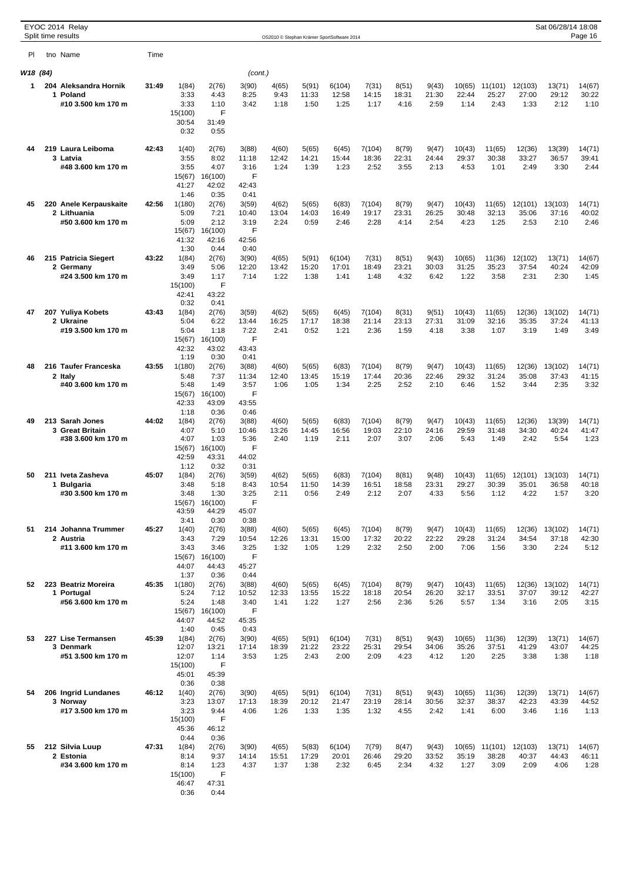|          | EYOC 2014 Relay<br>Split time results |       |                  |                  |                |                |                | OS2010 © Stephan Krämer SportSoftware 2014 |                 |                |                |                 |                  |                  | Sat 06/28/14 18:08 | Page 16         |
|----------|---------------------------------------|-------|------------------|------------------|----------------|----------------|----------------|--------------------------------------------|-----------------|----------------|----------------|-----------------|------------------|------------------|--------------------|-----------------|
|          |                                       | Time  |                  |                  |                |                |                |                                            |                 |                |                |                 |                  |                  |                    |                 |
| PI.      | tno Name                              |       |                  |                  |                |                |                |                                            |                 |                |                |                 |                  |                  |                    |                 |
| W18 (84) |                                       |       |                  |                  | (cont.)        |                |                |                                            |                 |                |                |                 |                  |                  |                    |                 |
| 1        | 204 Aleksandra Hornik<br>1 Poland     | 31:49 | 1(84)<br>3:33    | 2(76)<br>4:43    | 3(90)<br>8:25  | 4(65)<br>9:43  | 5(91)<br>11:33 | 6(104)<br>12:58                            | 7(31)<br>14:15  | 8(51)<br>18:31 | 9(43)<br>21:30 | 10(65)<br>22:44 | 11(101)<br>25:27 | 12(103)<br>27:00 | 13(71)<br>29:12    | 14(67)<br>30:22 |
|          | #10 3.500 km 170 m                    |       | 3:33             | 1:10             | 3:42           | 1:18           | 1:50           | 1:25                                       | 1:17            | 4:16           | 2:59           | 1:14            | 2:43             | 1:33             | 2:12               | 1:10            |
|          |                                       |       | 15(100)          | F                |                |                |                |                                            |                 |                |                |                 |                  |                  |                    |                 |
|          |                                       |       | 30:54<br>0:32    | 31:49<br>0:55    |                |                |                |                                            |                 |                |                |                 |                  |                  |                    |                 |
| 44       | 219 Laura Leiboma                     | 42:43 | 1(40)            | 2(76)            | 3(88)          | 4(60)          | 5(65)          | 6(45)                                      | 7(104)          | 8(79)          | 9(47)          | 10(43)          | 11(65)           | 12(36)           | 13(39)             | 14(71)          |
|          | 3 Latvia                              |       | 3:55             | 8:02             | 11:18          | 12:42          | 14:21          | 15:44                                      | 18:36           | 22:31          | 24:44          | 29:37           | 30:38            | 33:27            | 36:57              | 39:41           |
|          | #48 3.600 km 170 m                    |       | 3:55<br>15(67)   | 4:07<br>16(100)  | 3:16<br>F      | 1:24           | 1:39           | 1:23                                       | 2:52            | 3:55           | 2:13           | 4:53            | 1:01             | 2:49             | 3:30               | 2:44            |
|          |                                       |       | 41:27            | 42:02            | 42:43          |                |                |                                            |                 |                |                |                 |                  |                  |                    |                 |
|          |                                       |       | 1:46             | 0:35             | 0:41           |                |                |                                            |                 |                |                |                 |                  |                  |                    |                 |
| 45       | 220 Anele Kerpauskaite<br>2 Lithuania | 42:56 | 1(180)<br>5:09   | 2(76)<br>7:21    | 3(59)<br>10:40 | 4(62)<br>13:04 | 5(65)<br>14:03 | 6(83)<br>16:49                             | 7(104)<br>19:17 | 8(79)<br>23:31 | 9(47)<br>26:25 | 10(43)<br>30:48 | 11(65)<br>32:13  | 12(101)<br>35:06 | 13(103)<br>37:16   | 14(71)<br>40:02 |
|          | #50 3.600 km 170 m                    |       | 5:09             | 2:12             | 3:19           | 2:24           | 0:59           | 2:46                                       | 2:28            | 4:14           | 2:54           | 4:23            | 1:25             | 2:53             | 2:10               | 2:46            |
|          |                                       |       | 15(67)<br>41:32  | 16(100)<br>42:16 | F<br>42:56     |                |                |                                            |                 |                |                |                 |                  |                  |                    |                 |
|          |                                       |       | 1:30             | 0:44             | 0:40           |                |                |                                            |                 |                |                |                 |                  |                  |                    |                 |
| 46       | 215 Patricia Siegert<br>2 Germany     | 43:22 | 1(84)<br>3:49    | 2(76)<br>5:06    | 3(90)<br>12:20 | 4(65)<br>13:42 | 5(91)<br>15:20 | 6(104)<br>17:01                            | 7(31)<br>18:49  | 8(51)<br>23:21 | 9(43)<br>30:03 | 10(65)<br>31:25 | 11(36)<br>35:23  | 12(102)<br>37:54 | 13(71)<br>40:24    | 14(67)<br>42:09 |
|          | #24 3.500 km 170 m                    |       | 3:49             | 1:17             | 7:14           | 1:22           | 1:38           | 1:41                                       | 1:48            | 4:32           | 6:42           | 1:22            | 3:58             | 2:31             | 2:30               | 1:45            |
|          |                                       |       | 15(100)          | F                |                |                |                |                                            |                 |                |                |                 |                  |                  |                    |                 |
|          |                                       |       | 42:41<br>0:32    | 43:22<br>0:41    |                |                |                |                                            |                 |                |                |                 |                  |                  |                    |                 |
| 47       | 207 Yuliya Kobets                     | 43:43 | 1(84)            | 2(76)            | 3(59)          | 4(62)          | 5(65)          | 6(45)                                      | 7(104)          | 8(31)          | 9(51)          | 10(43)          | 11(65)           | 12(36)           | 13(102)            | 14(71)          |
|          | 2 Ukraine<br>#19 3.500 km 170 m       |       | 5:04<br>5:04     | 6:22<br>1:18     | 13:44<br>7:22  | 16:25<br>2:41  | 17:17<br>0:52  | 18:38<br>1:21                              | 21:14<br>2:36   | 23:13<br>1:59  | 27:31<br>4:18  | 31:09<br>3:38   | 32:16<br>1:07    | 35:35<br>3:19    | 37:24<br>1:49      | 41:13<br>3:49   |
|          |                                       |       | 15(67)           | 16(100)          | F              |                |                |                                            |                 |                |                |                 |                  |                  |                    |                 |
|          |                                       |       | 42:32            | 43:02            | 43:43          |                |                |                                            |                 |                |                |                 |                  |                  |                    |                 |
| 48       | 216 Taufer Franceska                  | 43:55 | 1:19<br>1(180)   | 0:30<br>2(76)    | 0:41<br>3(88)  | 4(60)          | 5(65)          | 6(83)                                      | 7(104)          | 8(79)          | 9(47)          | 10(43)          | 11(65)           | 12(36)           | 13(102)            | 14(71)          |
|          | 2 Italy                               |       | 5:48             | 7:37             | 11:34          | 12:40          | 13:45          | 15:19                                      | 17:44           | 20:36          | 22:46          | 29:32           | 31:24            | 35:08            | 37:43              | 41:15           |
|          | #40 3.600 km 170 m                    |       | 5:48<br>15(67)   | 1:49<br>16(100)  | 3:57<br>F      | 1:06           | 1:05           | 1:34                                       | 2:25            | 2:52           | 2:10           | 6:46            | 1:52             | 3:44             | 2:35               | 3:32            |
|          |                                       |       | 42:33            | 43:09            | 43:55          |                |                |                                            |                 |                |                |                 |                  |                  |                    |                 |
| 49       | 213 Sarah Jones                       | 44:02 | 1:18             | 0:36             | 0:46           |                |                |                                            |                 |                |                |                 |                  |                  |                    | 14(71)          |
|          | 3 Great Britain                       |       | 1(84)<br>4:07    | 2(76)<br>5:10    | 3(88)<br>10:46 | 4(60)<br>13:26 | 5(65)<br>14:45 | 6(83)<br>16:56                             | 7(104)<br>19:03 | 8(79)<br>22:10 | 9(47)<br>24:16 | 10(43)<br>29:59 | 11(65)<br>31:48  | 12(36)<br>34:30  | 13(39)<br>40:24    | 41:47           |
|          | #38 3.600 km 170 m                    |       | 4:07             | 1:03             | 5:36           | 2:40           | 1:19           | 2:11                                       | 2:07            | 3:07           | 2:06           | 5:43            | 1:49             | 2:42             | 5:54               | 1:23            |
|          |                                       |       | 15(67)<br>42:59  | 16(100)<br>43:31 | F<br>44:02     |                |                |                                            |                 |                |                |                 |                  |                  |                    |                 |
|          |                                       |       | 1:12             | 0:32             | 0:31           |                |                |                                            |                 |                |                |                 |                  |                  |                    |                 |
| 50       | 211 Iveta Zasheva<br>1 Bulgaria       | 45:07 | 1(84)<br>3:48    | 2(76)<br>5:18    | 3(59)<br>8:43  | 4(62)<br>10:54 | 5(65)<br>11:50 | 6(83)<br>14:39                             | 7(104)<br>16:51 | 8(81)<br>18:58 | 9(48)<br>23:31 | 10(43)<br>29:27 | 11(65)<br>30:39  | 12(101)<br>35:01 | 13(103)<br>36:58   | 14(71)<br>40:18 |
|          | #30 3.500 km 170 m                    |       | 3:48             | 1:30             | 3:25           | 2:11           | 0:56           | 2:49                                       | 2:12            | 2:07           | 4:33           | 5:56            | 1:12             | 4:22             | 1:57               | 3:20            |
|          |                                       |       | 15(67)           | 16(100)          | F              |                |                |                                            |                 |                |                |                 |                  |                  |                    |                 |
|          |                                       |       | 43:59<br>3:41    | 44:29<br>0:30    | 45:07<br>0:38  |                |                |                                            |                 |                |                |                 |                  |                  |                    |                 |
| 51       | 214 Johanna Trummer                   | 45:27 | 1(40)            | 2(76)            | 3(88)          | 4(60)          | 5(65)          | 6(45)                                      | 7(104)          | 8(79)          | 9(47)          | 10(43)          | 11(65)           | 12(36)           | 13(102)            | 14(71)          |
|          | 2 Austria<br>#11 3.600 km 170 m       |       | 3:43<br>3:43     | 7:29<br>3:46     | 10:54<br>3:25  | 12:26<br>1:32  | 13:31<br>1:05  | 15:00<br>1:29                              | 17:32<br>2:32   | 20:22<br>2:50  | 22:22<br>2:00  | 29:28<br>7:06   | 31:24<br>1:56    | 34:54<br>3:30    | 37:18<br>2:24      | 42:30<br>5:12   |
|          |                                       |       | 15(67)           | 16(100)          | F              |                |                |                                            |                 |                |                |                 |                  |                  |                    |                 |
|          |                                       |       | 44:07<br>1:37    | 44:43<br>0:36    | 45:27<br>0:44  |                |                |                                            |                 |                |                |                 |                  |                  |                    |                 |
| 52       | 223 Beatriz Moreira                   | 45:35 | 1(180)           | 2(76)            | 3(88)          | 4(60)          | 5(65)          | 6(45)                                      | 7(104)          | 8(79)          | 9(47)          | 10(43)          | 11(65)           | 12(36)           | 13(102)            | 14(71)          |
|          | 1 Portugal                            |       | 5:24             | 7:12             | 10:52          | 12:33          | 13:55          | 15:22                                      | 18:18           | 20:54          | 26:20          | 32:17           | 33:51            | 37:07            | 39:12              | 42:27           |
|          | #56 3.600 km 170 m                    |       | 5:24<br>15(67)   | 1:48<br>16(100)  | 3:40<br>F      | 1:41           | 1:22           | 1:27                                       | 2:56            | 2:36           | 5:26           | 5:57            | 1:34             | 3:16             | 2:05               | 3:15            |
|          |                                       |       | 44:07            | 44:52            | 45:35          |                |                |                                            |                 |                |                |                 |                  |                  |                    |                 |
| 53       | 227 Lise Termansen                    | 45:39 | 1:40<br>1(84)    | 0:45<br>2(76)    | 0:43<br>3(90)  | 4(65)          | 5(91)          | 6(104)                                     | 7(31)           | 8(51)          | 9(43)          | 10(65)          | 11(36)           | 12(39)           | 13(71)             | 14(67)          |
|          | 3 Denmark                             |       | 12:07            | 13:21            | 17:14          | 18:39          | 21:22          | 23:22                                      | 25:31           | 29:54          | 34:06          | 35:26           | 37:51            | 41:29            | 43:07              | 44:25           |
|          | #51 3.500 km 170 m                    |       | 12:07<br>15(100) | 1:14<br>F        | 3:53           | 1:25           | 2:43           | 2:00                                       | 2:09            | 4:23           | 4:12           | 1:20            | 2:25             | 3:38             | 1:38               | 1:18            |
|          |                                       |       | 45:01            | 45:39            |                |                |                |                                            |                 |                |                |                 |                  |                  |                    |                 |
|          |                                       |       | 0:36             | 0:38             |                |                |                |                                            |                 |                |                |                 |                  |                  |                    |                 |
| 54       | 206 Ingrid Lundanes<br>3 Norway       | 46:12 | 1(40)<br>3:23    | 2(76)<br>13:07   | 3(90)<br>17:13 | 4(65)<br>18:39 | 5(91)<br>20:12 | 6(104)<br>21:47                            | 7(31)<br>23:19  | 8(51)<br>28:14 | 9(43)<br>30:56 | 10(65)<br>32:37 | 11(36)<br>38:37  | 12(39)<br>42:23  | 13(71)<br>43:39    | 14(67)<br>44:52 |
|          | #17 3.500 km 170 m                    |       | 3:23             | 9:44             | 4:06           | 1:26           | 1:33           | 1:35                                       | 1:32            | 4:55           | 2:42           | 1:41            | 6:00             | 3:46             | 1:16               | 1:13            |
|          |                                       |       | 15(100)<br>45:36 | F<br>46:12       |                |                |                |                                            |                 |                |                |                 |                  |                  |                    |                 |
|          |                                       |       | 0:44             | 0:36             |                |                |                |                                            |                 |                |                |                 |                  |                  |                    |                 |
| 55       | 212 Silvia Luup                       | 47:31 | 1(84)            | 2(76)            | 3(90)          | 4(65)          | 5(83)          | 6(104)                                     | 7(79)           | 8(47)          | 9(43)          | 10(65)          | 11(101)          | 12(103)          | 13(71)             | 14(67)          |
|          | 2 Estonia<br>#34 3.600 km 170 m       |       | 8:14<br>8:14     | 9:37<br>1:23     | 14:14<br>4:37  | 15:51<br>1:37  | 17:29<br>1:38  | 20:01<br>2:32                              | 26:46<br>6:45   | 29:20<br>2:34  | 33:52<br>4:32  | 35:19<br>1:27   | 38:28<br>3:09    | 40:37<br>2:09    | 44:43<br>4:06      | 46:11<br>1:28   |
|          |                                       |       | 15(100)          | F                |                |                |                |                                            |                 |                |                |                 |                  |                  |                    |                 |
|          |                                       |       | 46:47<br>0:36    | 47:31<br>0:44    |                |                |                |                                            |                 |                |                |                 |                  |                  |                    |                 |
|          |                                       |       |                  |                  |                |                |                |                                            |                 |                |                |                 |                  |                  |                    |                 |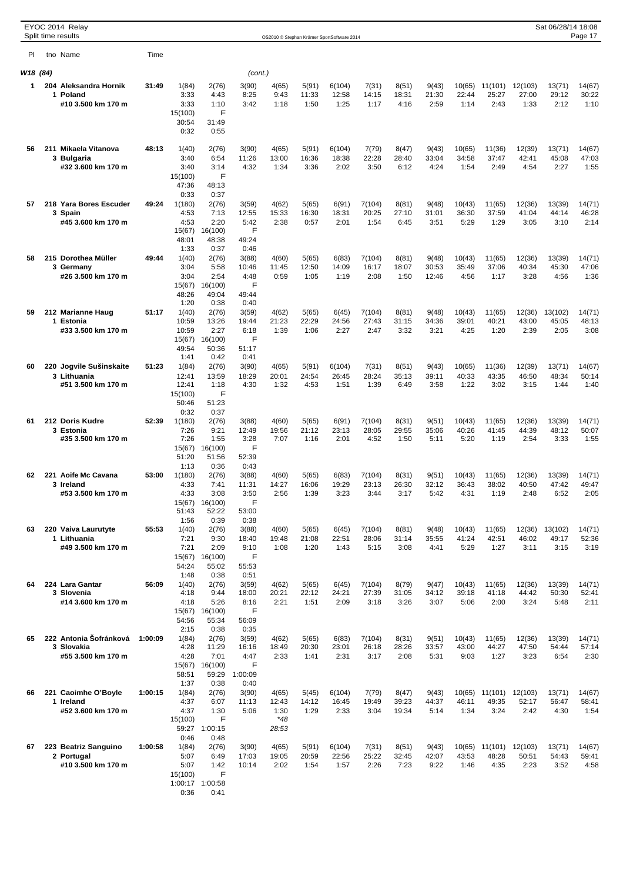|          |   | EYOC 2014 Relay<br>Split time results |         |                  |                         |                |                |                | OS2010 © Stephan Krämer SportSoftware 2014 |                 |                |                |                 |                  |                  | Sat 06/28/14 18:08 | Page 17         |
|----------|---|---------------------------------------|---------|------------------|-------------------------|----------------|----------------|----------------|--------------------------------------------|-----------------|----------------|----------------|-----------------|------------------|------------------|--------------------|-----------------|
| PI.      |   | tno Name                              | Time    |                  |                         |                |                |                |                                            |                 |                |                |                 |                  |                  |                    |                 |
| W18 (84) |   |                                       |         |                  |                         | (cont.)        |                |                |                                            |                 |                |                |                 |                  |                  |                    |                 |
| 1        |   | 204 Aleksandra Hornik                 | 31:49   | 1(84)            | 2(76)                   | 3(90)          | 4(65)          | 5(91)          | 6(104)                                     |                 | 8(51)          | 9(43)          | 10(65)          |                  |                  |                    |                 |
|          |   | 1 Poland                              |         | 3:33             | 4:43                    | 8:25           | 9:43           | 11:33          | 12:58                                      | 7(31)<br>14:15  | 18:31          | 21:30          | 22:44           | 11(101)<br>25:27 | 12(103)<br>27:00 | 13(71)<br>29:12    | 14(67)<br>30:22 |
|          |   | #10 3.500 km 170 m                    |         | 3:33             | 1:10                    | 3:42           | 1:18           | 1:50           | 1:25                                       | 1:17            | 4:16           | 2:59           | 1:14            | 2:43             | 1:33             | 2:12               | 1:10            |
|          |   |                                       |         | 15(100)<br>30:54 | F<br>31:49              |                |                |                |                                            |                 |                |                |                 |                  |                  |                    |                 |
|          |   |                                       |         | 0:32             | 0:55                    |                |                |                |                                            |                 |                |                |                 |                  |                  |                    |                 |
| 56       |   | 211 Mikaela Vitanova                  | 48:13   | 1(40)            | 2(76)                   | 3(90)          | 4(65)          | 5(91)          | 6(104)                                     | 7(79)           | 8(47)          | 9(43)          | 10(65)          | 11(36)           | 12(39)           | 13(71)             | 14(67)          |
|          |   | 3 Bulgaria                            |         | 3:40             | 6:54                    | 11:26          | 13:00          | 16:36          | 18:38                                      | 22:28           | 28:40          | 33:04          | 34:58           | 37:47            | 42:41            | 45:08              | 47:03           |
|          |   | #32 3.600 km 170 m                    |         | 3:40<br>15(100)  | 3:14<br>F               | 4:32           | 1:34           | 3:36           | 2:02                                       | 3:50            | 6:12           | 4:24           | 1:54            | 2:49             | 4:54             | 2:27               | 1:55            |
|          |   |                                       |         | 47:36            | 48:13                   |                |                |                |                                            |                 |                |                |                 |                  |                  |                    |                 |
|          |   |                                       |         | 0:33             | 0:37                    |                |                |                |                                            |                 |                |                |                 |                  |                  |                    |                 |
| 57       | 3 | 218 Yara Bores Escuder<br>Spain       | 49:24   | 1(180)<br>4:53   | 2(76)<br>7:13           | 3(59)<br>12:55 | 4(62)<br>15:33 | 5(65)<br>16:30 | 6(91)<br>18:31                             | 7(104)<br>20:25 | 8(81)<br>27:10 | 9(48)<br>31:01 | 10(43)<br>36:30 | 11(65)<br>37:59  | 12(36)<br>41:04  | 13(39)<br>44:14    | 14(71)<br>46:28 |
|          |   | #45 3.600 km 170 m                    |         | 4:53             | 2:20                    | 5:42           | 2:38           | 0:57           | 2:01                                       | 1:54            | 6:45           | 3:51           | 5:29            | 1:29             | 3:05             | 3:10               | 2:14            |
|          |   |                                       |         | 15(67)<br>48:01  | 16(100)<br>48:38        | F<br>49:24     |                |                |                                            |                 |                |                |                 |                  |                  |                    |                 |
|          |   |                                       |         | 1:33             | 0:37                    | 0:46           |                |                |                                            |                 |                |                |                 |                  |                  |                    |                 |
| 58       |   | 215 Dorothea Müller                   | 49:44   | 1(40)            | 2(76)                   | 3(88)          | 4(60)          | 5(65)          | 6(83)                                      | 7(104)          | 8(81)          | 9(48)          | 10(43)          | 11(65)           | 12(36)           | 13(39)             | 14(71)          |
|          |   | 3 Germany<br>#26 3.500 km 170 m       |         | 3:04<br>3:04     | 5:58<br>2:54            | 10:46<br>4:48  | 11:45<br>0:59  | 12:50<br>1:05  | 14:09<br>1:19                              | 16:17<br>2:08   | 18:07<br>1:50  | 30:53<br>12:46 | 35:49<br>4:56   | 37:06<br>1:17    | 40:34<br>3:28    | 45:30<br>4:56      | 47:06<br>1:36   |
|          |   |                                       |         | 15(67)           | 16(100)                 | F              |                |                |                                            |                 |                |                |                 |                  |                  |                    |                 |
|          |   |                                       |         | 48:26<br>1:20    | 49:04<br>0:38           | 49:44<br>0:40  |                |                |                                            |                 |                |                |                 |                  |                  |                    |                 |
| 59       |   | 212 Marianne Haug                     | 51:17   | 1(40)            | 2(76)                   | 3(59)          | 4(62)          | 5(65)          | 6(45)                                      | 7(104)          | 8(81)          | 9(48)          | 10(43)          | 11(65)           | 12(36)           | 13(102)            | 14(71)          |
|          |   | 1 Estonia<br>#33 3.500 km 170 m       |         | 10:59<br>10:59   | 13:26<br>2:27           | 19:44<br>6:18  | 21:23<br>1:39  | 22:29<br>1:06  | 24:56<br>2:27                              | 27:43<br>2:47   | 31:15<br>3:32  | 34:36<br>3:21  | 39:01<br>4:25   | 40:21<br>1:20    | 43:00<br>2:39    | 45:05<br>2:05      | 48:13<br>3:08   |
|          |   |                                       |         | 15(67)           | 16(100)                 | F              |                |                |                                            |                 |                |                |                 |                  |                  |                    |                 |
|          |   |                                       |         | 49:54            | 50:36                   | 51:17          |                |                |                                            |                 |                |                |                 |                  |                  |                    |                 |
| 60       |   | 220 Jogvile Sušinskaite               | 51:23   | 1:41<br>1(84)    | 0:42<br>2(76)           | 0:41<br>3(90)  | 4(65)          | 5(91)          | 6(104)                                     | 7(31)           | 8(51)          | 9(43)          | 10(65)          | 11(36)           | 12(39)           | 13(71)             | 14(67)          |
|          |   | 3 Lithuania                           |         | 12:41            | 13:59                   | 18:29          | 20:01          | 24:54          | 26:45                                      | 28:24           | 35:13          | 39:11          | 40:33           | 43:35            | 46:50            | 48:34              | 50:14           |
|          |   | #51 3.500 km 170 m                    |         | 12:41<br>15(100) | 1:18<br>F               | 4:30           | 1:32           | 4:53           | 1:51                                       | 1:39            | 6:49           | 3:58           | 1:22            | 3:02             | 3:15             | 1:44               | 1:40            |
|          |   |                                       |         | 50:46            | 51:23                   |                |                |                |                                            |                 |                |                |                 |                  |                  |                    |                 |
|          |   |                                       |         | 0:32             | 0:37                    |                |                |                |                                            |                 |                |                |                 |                  |                  |                    |                 |
| 61       |   | 212 Doris Kudre<br>3 Estonia          | 52:39   | 1(180)<br>7:26   | 2(76)<br>9:21           | 3(88)<br>12:49 | 4(60)<br>19:56 | 5(65)<br>21:12 | 6(91)<br>23:13                             | 7(104)<br>28:05 | 8(31)<br>29:55 | 9(51)<br>35:06 | 10(43)<br>40:26 | 11(65)<br>41:45  | 12(36)<br>44:39  | 13(39)<br>48:12    | 14(71)<br>50:07 |
|          |   | #35 3.500 km 170 m                    |         | 7:26             | 1:55                    | 3:28           | 7:07           | 1:16           | 2:01                                       | 4:52            | 1:50           | 5:11           | 5:20            | 1:19             | 2:54             | 3:33               | 1:55            |
|          |   |                                       |         | 15(67)<br>51:20  | 16(100)<br>51:56        | F<br>52:39     |                |                |                                            |                 |                |                |                 |                  |                  |                    |                 |
|          |   |                                       |         | 1:13             | 0:36                    | 0:43           |                |                |                                            |                 |                |                |                 |                  |                  |                    |                 |
| 62       |   | 221 Aoife Mc Cavana<br>3 Ireland      | 53:00   | 1(180)<br>4:33   | 2(76)<br>7:41           | 3(88)<br>11:31 | 4(60)<br>14:27 | 5(65)<br>16:06 | 6(83)<br>19:29                             | 7(104)<br>23:13 | 8(31)<br>26:30 | 9(51)<br>32:12 | 10(43)<br>36:43 | 11(65)<br>38:02  | 12(36)<br>40:50  | 13(39)<br>47:42    | 14(71)<br>49:47 |
|          |   | #53 3.500 km 170 m                    |         | 4:33             | 3:08                    | 3:50           | 2:56           | 1:39           | 3:23                                       | 3:44            | 3:17           | 5:42           | 4:31            | 1:19             | 2:48             | 6:52               | 2:05            |
|          |   |                                       |         | 15(67)           | 16(100)                 | F              |                |                |                                            |                 |                |                |                 |                  |                  |                    |                 |
|          |   |                                       |         | 51:43<br>1:56    | 52:22<br>0:39           | 53:00<br>0:38  |                |                |                                            |                 |                |                |                 |                  |                  |                    |                 |
| 63       |   | 220 Vaiva Laurutyte                   | 55:53   | 1(40)            | 2(76)                   | 3(88)          | 4(60)          | 5(65)          | 6(45)                                      | 7(104)          | 8(81)          | 9(48)          | 10(43)          | 11(65)           | 12(36)           | 13(102)            | 14(71)          |
|          |   | 1 Lithuania<br>#49 3.500 km 170 m     |         | 7:21<br>7:21     | 9:30<br>2:09            | 18:40<br>9:10  | 19:48<br>1:08  | 21:08<br>1:20  | 22:51<br>1:43                              | 28:06<br>5:15   | 31:14<br>3:08  | 35:55<br>4:41  | 41:24<br>5:29   | 42:51<br>1:27    | 46:02<br>3:11    | 49:17<br>3:15      | 52:36<br>3:19   |
|          |   |                                       |         | 15(67)           | 16(100)                 | F              |                |                |                                            |                 |                |                |                 |                  |                  |                    |                 |
|          |   |                                       |         | 54:24<br>1:48    | 55:02<br>0:38           | 55:53          |                |                |                                            |                 |                |                |                 |                  |                  |                    |                 |
| 64       |   | 224 Lara Gantar                       | 56:09   | 1(40)            | 2(76)                   | 0:51<br>3(59)  | 4(62)          | 5(65)          | 6(45)                                      | 7(104)          | 8(79)          | 9(47)          | 10(43)          | 11(65)           | 12(36)           | 13(39)             | 14(71)          |
|          |   | 3 Slovenia                            |         | 4:18             | 9:44                    | 18:00          | 20:21          | 22:12          | 24:21                                      | 27:39           | 31:05          | 34:12          | 39:18           | 41:18            | 44:42            | 50:30              | 52:41           |
|          |   | #14 3.600 km 170 m                    |         | 4:18<br>15(67)   | 5:26<br>16(100)         | 8:16<br>F      | 2:21           | 1:51           | 2:09                                       | 3:18            | 3:26           | 3:07           | 5:06            | 2:00             | 3:24             | 5:48               | 2:11            |
|          |   |                                       |         | 54:56            | 55:34                   | 56:09          |                |                |                                            |                 |                |                |                 |                  |                  |                    |                 |
| 65       |   | 222 Antonia Šofránková                | 1:00:09 | 2:15<br>1(84)    | 0:38<br>2(76)           | 0:35<br>3(59)  | 4(62)          | 5(65)          | 6(83)                                      | 7(104)          | 8(31)          | 9(51)          | 10(43)          | 11(65)           | 12(36)           | 13(39)             | 14(71)          |
|          |   | 3 Slovakia                            |         | 4:28             | 11:29                   | 16:16          | 18:49          | 20:30          | 23:01                                      | 26:18           | 28:26          | 33:57          | 43:00           | 44:27            | 47:50            | 54:44              | 57:14           |
|          |   | #55 3.500 km 170 m                    |         | 4:28             | 7:01                    | 4:47           | 2:33           | 1:41           | 2:31                                       | 3:17            | 2:08           | 5:31           | 9:03            | 1:27             | 3:23             | 6:54               | 2:30            |
|          |   |                                       |         | 15(67)<br>58:51  | 16(100)<br>59:29        | F<br>1:00:09   |                |                |                                            |                 |                |                |                 |                  |                  |                    |                 |
|          |   |                                       |         | 1:37             | 0:38                    | 0:40           |                |                |                                            |                 |                |                |                 |                  |                  |                    |                 |
| 66       |   | 221 Caoimhe O'Boyle<br>1 Ireland      | 1:00:15 | 1(84)<br>4:37    | 2(76)<br>6:07           | 3(90)<br>11:13 | 4(65)<br>12:43 | 5(45)<br>14:12 | 6(104)<br>16:45                            | 7(79)<br>19:49  | 8(47)<br>39:23 | 9(43)<br>44:37 | 10(65)<br>46:11 | 11(101)<br>49:35 | 12(103)<br>52:17 | 13(71)<br>56:47    | 14(67)<br>58:41 |
|          |   | #52 3.600 km 170 m                    |         | 4:37             | 1:30                    | 5:06           | 1:30           | 1:29           | 2:33                                       | 3:04            | 19:34          | 5:14           | 1:34            | 3:24             | 2:42             | 4:30               | 1:54            |
|          |   |                                       |         | 15(100)<br>59:27 | F<br>1:00:15            |                | $*48$<br>28:53 |                |                                            |                 |                |                |                 |                  |                  |                    |                 |
|          |   |                                       |         | 0:46             | 0:48                    |                |                |                |                                            |                 |                |                |                 |                  |                  |                    |                 |
| 67       |   | 223 Beatriz Sanguino                  | 1:00:58 | 1(84)            | 2(76)                   | 3(90)          | 4(65)          | 5(91)          | 6(104)                                     | 7(31)           | 8(51)          | 9(43)          | 10(65)          | 11(101)          | 12(103)          | 13(71)             | 14(67)          |
|          |   | 2 Portugal<br>#10 3.500 km 170 m      |         | 5:07<br>5:07     | 6:49<br>1:42            | 17:03<br>10:14 | 19:05<br>2:02  | 20:59<br>1:54  | 22:56<br>1:57                              | 25:22<br>2:26   | 32:45<br>7:23  | 42:07<br>9:22  | 43:53<br>1:46   | 48:28<br>4:35    | 50:51<br>2:23    | 54:43<br>3:52      | 59:41<br>4:58   |
|          |   |                                       |         | 15(100)          | F                       |                |                |                |                                            |                 |                |                |                 |                  |                  |                    |                 |
|          |   |                                       |         | 0:36             | 1:00:17 1:00:58<br>0:41 |                |                |                |                                            |                 |                |                |                 |                  |                  |                    |                 |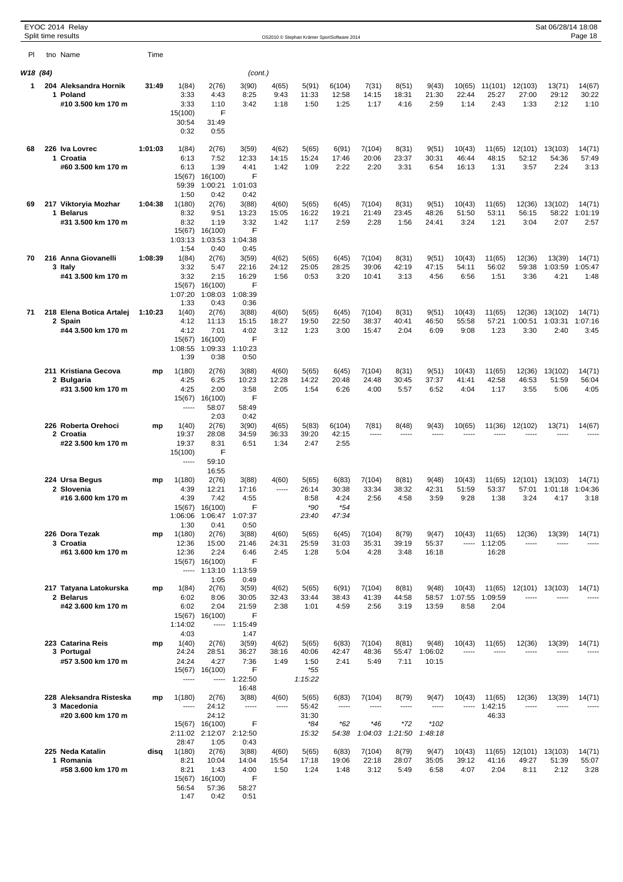|          | EYOC 2014 Relay<br>Split time results  |         |                   |                                   |                    |                |                                            |                  |                  |                  |                  |                       |                   |                  | Sat 06/28/14 18:08            | Page 18         |
|----------|----------------------------------------|---------|-------------------|-----------------------------------|--------------------|----------------|--------------------------------------------|------------------|------------------|------------------|------------------|-----------------------|-------------------|------------------|-------------------------------|-----------------|
|          |                                        |         |                   |                                   |                    |                | OS2010 © Stephan Krämer SportSoftware 2014 |                  |                  |                  |                  |                       |                   |                  |                               |                 |
| PI.      | tno Name                               | Time    |                   |                                   |                    |                |                                            |                  |                  |                  |                  |                       |                   |                  |                               |                 |
| W18 (84) |                                        |         |                   |                                   | (cont.)            |                |                                            |                  |                  |                  |                  |                       |                   |                  |                               |                 |
| 1        | 204 Aleksandra Hornik<br>1 Poland      | 31:49   | 1(84)<br>3:33     | 2(76)<br>4:43                     | 3(90)<br>8:25      | 4(65)<br>9:43  | 5(91)<br>11:33                             | 6(104)<br>12:58  | 7(31)<br>14:15   | 8(51)<br>18:31   | 9(43)<br>21:30   | 10(65)<br>22:44       | 11(101)<br>25:27  | 12(103)<br>27:00 | 13(71)<br>29:12               | 14(67)<br>30:22 |
|          | #10 3.500 km 170 m                     |         | 3:33              | 1:10                              | 3:42               | 1:18           | 1:50                                       | 1:25             | 1:17             | 4:16             | 2:59             | 1:14                  | 2:43              | 1:33             | 2:12                          | 1:10            |
|          |                                        |         | 15(100)<br>30:54  | F<br>31:49                        |                    |                |                                            |                  |                  |                  |                  |                       |                   |                  |                               |                 |
|          |                                        |         | 0:32              | 0:55                              |                    |                |                                            |                  |                  |                  |                  |                       |                   |                  |                               |                 |
| 68       | 226 Iva Lovrec                         | 1:01:03 | 1(84)             | 2(76)                             | 3(59)              | 4(62)          | 5(65)                                      | 6(91)            | 7(104)           | 8(31)            | 9(51)            | 10(43)                | 11(65)            | 12(101)          | 13(103)                       | 14(71)          |
|          | 1 Croatia                              |         | 6:13              | 7:52                              | 12:33              | 14:15          | 15:24                                      | 17:46            | 20:06            | 23:37            | 30:31            | 46:44                 | 48:15             | 52:12            | 54:36                         | 57:49           |
|          | #60 3.500 km 170 m                     |         | 6:13<br>15(67)    | 1:39<br>16(100)                   | 4:41<br>F          | 1:42           | 1:09                                       | 2:22             | 2:20             | 3:31             | 6:54             | 16:13                 | 1:31              | 3:57             | 2:24                          | 3:13            |
|          |                                        |         | 59:39             | 1:00:21                           | 1:01:03            |                |                                            |                  |                  |                  |                  |                       |                   |                  |                               |                 |
| 69       | 217 Viktoryia Mozhar                   | 1:04:38 | 1:50<br>1(180)    | 0:42<br>2(76)                     | 0:42<br>3(88)      | 4(60)          | 5(65)                                      | 6(45)            | 7(104)           | 8(31)            | 9(51)            | 10(43)                | 11(65)            | 12(36)           | 13(102)                       | 14(71)          |
|          | 1 Belarus                              |         | 8:32              | 9:51                              | 13:23              | 15:05          | 16:22                                      | 19:21            | 21:49            | 23:45            | 48:26            | 51:50                 | 53:11             | 56:15            | 58:22                         | 1:01:19         |
|          | #31 3.500 km 170 m                     |         | 8:32<br>15(67)    | 1:19<br>16(100)                   | 3:32<br>F          | 1:42           | 1:17                                       | 2:59             | 2:28             | 1:56             | 24:41            | 3:24                  | 1:21              | 3:04             | 2:07                          | 2:57            |
|          |                                        |         | 1:03:13           | 1:03:53                           | 1:04:38            |                |                                            |                  |                  |                  |                  |                       |                   |                  |                               |                 |
| 70       | 216 Anna Giovanelli                    | 1:08:39 | 1:54<br>1(84)     | 0:40<br>2(76)                     | 0:45<br>3(59)      | 4(62)          | 5(65)                                      | 6(45)            | 7(104)           | 8(31)            | 9(51)            | 10(43)                | 11(65)            | 12(36)           | 13(39)                        | 14(71)          |
|          | 3 Italy<br>#41 3.500 km 170 m          |         | 3:32<br>3:32      | 5:47<br>2:15                      | 22:16<br>16:29     | 24:12<br>1:56  | 25:05<br>0:53                              | 28:25<br>3:20    | 39:06<br>10:41   | 42:19<br>3:13    | 47:15<br>4:56    | 54:11<br>6:56         | 56:02<br>1:51     | 59:38<br>3:36    | 1:03:59<br>4:21               | 1:05:47<br>1:48 |
|          |                                        |         | 15(67)            | 16(100)                           | F                  |                |                                            |                  |                  |                  |                  |                       |                   |                  |                               |                 |
|          |                                        |         | 1:07:20<br>1:33   | 1:08:03<br>0:43                   | 1:08:39<br>0:36    |                |                                            |                  |                  |                  |                  |                       |                   |                  |                               |                 |
| 71       | 218 Elena Botica Artalej               | 1:10:23 | 1(40)             | 2(76)                             | 3(88)              | 4(60)          | 5(65)                                      | 6(45)            | 7(104)           | 8(31)            | 9(51)            | 10(43)                | 11(65)            | 12(36)           | 13(102)                       | 14(71)          |
|          | 2 Spain<br>#44 3.500 km 170 m          |         | 4:12<br>4:12      | 11:13<br>7:01                     | 15:15<br>4:02      | 18:27<br>3:12  | 19:50<br>1:23                              | 22:50<br>3:00    | 38:37<br>15:47   | 40:41<br>2:04    | 46:50<br>6:09    | 55:58<br>9:08         | 57:21<br>1:23     | 1:00:51<br>3:30  | 1:03:31<br>2:40               | 1:07:16<br>3:45 |
|          |                                        |         | 15(67)            | 16(100)                           | F                  |                |                                            |                  |                  |                  |                  |                       |                   |                  |                               |                 |
|          |                                        |         | 1:08:55<br>1:39   | 1:09:33<br>0:38                   | 1:10:23<br>0:50    |                |                                            |                  |                  |                  |                  |                       |                   |                  |                               |                 |
|          | 211 Kristiana Gecova                   | mp      | 1(180)            | 2(76)                             | 3(88)              | 4(60)          | 5(65)                                      | 6(45)            | 7(104)           | 8(31)            | 9(51)            | 10(43)                | 11(65)            | 12(36)           | 13(102)                       | 14(71)          |
|          | 2 Bulgaria                             |         | 4:25              | 6:25                              | 10:23              | 12:28          | 14:22                                      | 20:48            | 24:48            | 30:45            | 37:37            | 41:41                 | 42:58             | 46:53            | 51:59                         | 56:04           |
|          | #31 3.500 km 170 m                     |         | 4:25<br>15(67)    | 2:00<br>16(100)                   | 3:58<br>F          | 2:05           | 1:54                                       | 6:26             | 4:00             | 5:57             | 6:52             | 4:04                  | 1:17              | 3:55             | 5:06                          | 4:05            |
|          |                                        |         | -----             | 58:07                             | 58:49              |                |                                            |                  |                  |                  |                  |                       |                   |                  |                               |                 |
|          | 226 Roberta Orehoci                    | mp      | 1(40)             | 2:03<br>2(76)                     | 0:42<br>3(90)      | 4(65)          | 5(83)                                      | 6(104)           | 7(81)            | 8(48)            | 9(43)            | 10(65)                | 11(36)            | 12(102)          | 13(71)                        | 14(67)          |
|          | 2 Croatia                              |         | 19:37             | 28:08                             | 34:59              | 36:33          | 39:20                                      | 42:15            | -----            | -----            | $- - - - -$      | $- - - - -$           |                   |                  |                               |                 |
|          | #22 3.500 km 170 m                     |         | 19:37<br>15(100)  | 8:31<br>F                         | 6:51               | 1:34           | 2:47                                       | 2:55             |                  |                  |                  |                       |                   |                  |                               |                 |
|          |                                        |         | -----             | 59:10                             |                    |                |                                            |                  |                  |                  |                  |                       |                   |                  |                               |                 |
|          | 224 Ursa Begus                         | mp      | 1(180)            | 16:55<br>2(76)                    | 3(88)              | 4(60)          | 5(65)                                      | 6(83)            | 7(104)           | 8(81)            | 9(48)            | 10(43)                | 11(65)            | 12(101) 13(103)  |                               | 14(71)          |
|          | 2 Slovenia<br>#16 3.600 km 170 m       |         | 4:39<br>4:39      | 12:21<br>7:42                     | 17:16<br>4:55      |                | 26:14<br>8:58                              | 30:38<br>4:24    | 33:34<br>2:56    | 38:32<br>4:58    | 42:31<br>3:59    | 51:59<br>9:28         | 53:37<br>1:38     | 3:24             | 57:01 1:01:18 1:04:36<br>4:17 | 3:18            |
|          |                                        |         | 15(67)            | 16(100)                           | F                  |                | *90                                        | $*54$            |                  |                  |                  |                       |                   |                  |                               |                 |
|          |                                        |         | 1:06:06<br>1:30   | 1:06:47<br>0:41                   | 1:07:37<br>0:50    |                | 23:40                                      | 47:34            |                  |                  |                  |                       |                   |                  |                               |                 |
|          | 226 Dora Tezak                         | mp      | 1(180)            | 2(76)                             | 3(88)              | 4(60)          | 5(65)                                      | 6(45)            | 7(104)           | 8(79)            | 9(47)            | 10(43)                | 11(65)            | 12(36)           | 13(39)                        | 14(71)          |
|          | 3 Croatia<br>#61 3.600 km 170 m        |         | 12:36<br>12:36    | 15:00<br>2:24                     | 21:46<br>6:46      | 24:31<br>2:45  | 25:59<br>1:28                              | 31:03<br>5:04    | 35:31<br>4:28    | 39:19<br>3:48    | 55:37<br>16:18   | -----                 | 1:12:05<br>16:28  | $- - - -$        |                               |                 |
|          |                                        |         |                   | 15(67) 16(100)                    | F                  |                |                                            |                  |                  |                  |                  |                       |                   |                  |                               |                 |
|          |                                        |         | -----             | 1:13:10<br>1:05                   | 1:13:59<br>0:49    |                |                                            |                  |                  |                  |                  |                       |                   |                  |                               |                 |
|          | 217 Tatyana Latokurska                 | mp      | 1(84)             | 2(76)                             | 3(59)              | 4(62)          | 5(65)                                      | 6(91)            | 7(104)           | 8(81)            | 9(48)            | 10(43)                | 11(65)            | 12(101)          | 13(103)                       | 14(71)          |
|          | 2 Belarus<br>#42 3.600 km 170 m        |         | 6:02<br>6:02      | 8:06<br>2:04                      | 30:05<br>21:59     | 32:43<br>2:38  | 33:44<br>1:01                              | 38:43<br>4:59    | 41:39<br>2:56    | 44:58<br>3:19    | 58:57<br>13:59   | 1:07:55<br>8:58       | 1:09:59<br>2:04   |                  |                               |                 |
|          |                                        |         | 15(67)<br>1:14:02 | 16(100)                           | F<br>$--- 1:15:49$ |                |                                            |                  |                  |                  |                  |                       |                   |                  |                               |                 |
|          |                                        |         | 4:03              |                                   | 1:47               |                |                                            |                  |                  |                  |                  |                       |                   |                  |                               |                 |
|          | 223 Catarina Reis<br>3 Portugal        | mp      | 1(40)<br>24:24    | 2(76)<br>28:51                    | 3(59)<br>36:27     | 4(62)<br>38:16 | 5(65)<br>40:06                             | 6(83)<br>42:47   | 7(104)<br>48:36  | 8(81)<br>55:47   | 9(48)<br>1:06:02 | 10(43)<br>$- - - - -$ | 11(65)<br>1.1.1.1 | 12(36)<br>-----  | 13(39)                        | 14(71)          |
|          | #57 3.500 km 170 m                     |         | 24:24             | 4:27                              | 7:36               | 1:49           | 1:50                                       | 2:41             | 5:49             | 7:11             | 10:15            |                       |                   |                  |                               |                 |
|          |                                        |         | 15(67)<br>1.1.1.1 | 16(100)<br>-----                  | F<br>1:22:50       |                | *55<br>1:15:22                             |                  |                  |                  |                  |                       |                   |                  |                               |                 |
|          |                                        |         |                   |                                   | 16:48              |                |                                            |                  |                  |                  |                  |                       |                   |                  |                               |                 |
|          | 228 Aleksandra Risteska<br>3 Macedonia | mp      | 1(180)<br>-----   | 2(76)<br>24:12                    | 3(88)<br>1.1.1.1   | 4(60)          | 5(65)<br>55:42                             | 6(83)<br>1.1.1.1 | 7(104)<br>-----  | 8(79)<br>-----   | 9(47)<br>-----   | 10(43)<br>-----       | 11(65)<br>1:42:15 | 12(36)<br>-----  | 13(39)                        | 14(71)          |
|          | #20 3.600 km 170 m                     |         |                   | 24:12                             |                    |                | 31:30                                      |                  |                  |                  |                  |                       | 46:33             |                  |                               |                 |
|          |                                        |         |                   | 15(67) 16(100)<br>2:11:02 2:12:07 | F<br>2:12:50       |                | *84<br>15:32                               | $*62$<br>54:38   | $*46$<br>1:04:03 | $*72$<br>1:21:50 | *102<br>1:48:18  |                       |                   |                  |                               |                 |
|          |                                        |         | 28:47             | 1:05                              | 0:43               |                |                                            |                  |                  |                  |                  |                       |                   |                  |                               |                 |
|          | 225 Neda Katalin<br>1 Romania          | disa    | 1(180)<br>8:21    | 2(76)<br>10:04                    | 3(88)<br>14:04     | 4(60)<br>15:54 | 5(65)<br>17:18                             | 6(83)<br>19:06   | 7(104)<br>22:18  | 8(79)<br>28:07   | 9(47)<br>35:05   | 10(43)<br>39:12       | 11(65)<br>41:16   | 12(101)<br>49:27 | 13(103)<br>51:39              | 14(71)<br>55:07 |
|          | #58 3.600 km 170 m                     |         | 8:21              | 1:43                              | 4:00               | 1:50           | 1:24                                       | 1:48             | 3:12             | 5:49             | 6:58             | 4:07                  | 2:04              | 8:11             | 2:12                          | 3:28            |
|          |                                        |         | 15(67)<br>56:54   | 16(100)<br>57:36                  | F<br>58:27         |                |                                            |                  |                  |                  |                  |                       |                   |                  |                               |                 |
|          |                                        |         | 1:47              | 0:42                              | 0:51               |                |                                            |                  |                  |                  |                  |                       |                   |                  |                               |                 |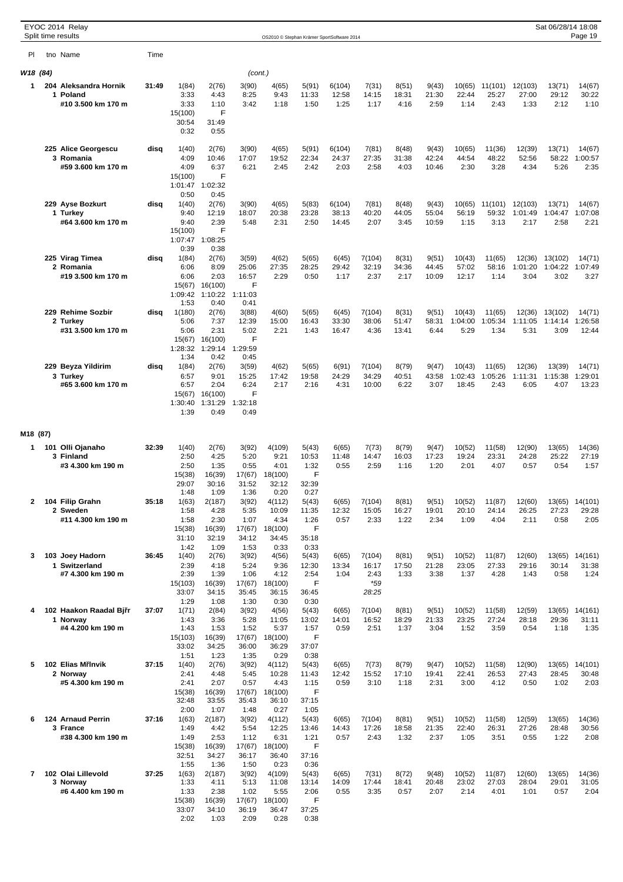|              | EYOC 2014 Relay<br>Split time results |       |                    |                            |                |                 |                |                                            |                 |                |                |                   |                   |                    | Sat 06/28/14 18:08 | Page 19           |
|--------------|---------------------------------------|-------|--------------------|----------------------------|----------------|-----------------|----------------|--------------------------------------------|-----------------|----------------|----------------|-------------------|-------------------|--------------------|--------------------|-------------------|
|              |                                       |       |                    |                            |                |                 |                | OS2010 © Stephan Krämer SportSoftware 2014 |                 |                |                |                   |                   |                    |                    |                   |
| PI.          | tho Name                              | Time  |                    |                            |                |                 |                |                                            |                 |                |                |                   |                   |                    |                    |                   |
| W18 (84)     |                                       |       |                    |                            | (cont.)        |                 |                |                                            |                 |                |                |                   |                   |                    |                    |                   |
| 1            | 204 Aleksandra Hornik<br>1 Poland     | 31:49 | 1(84)<br>3:33      | 2(76)<br>4:43              | 3(90)<br>8:25  | 4(65)<br>9:43   | 5(91)<br>11:33 | 6(104)<br>12:58                            | 7(31)<br>14:15  | 8(51)<br>18:31 | 9(43)<br>21:30 | 10(65)<br>22:44   | 11(101)<br>25:27  | 12(103)<br>27:00   | 13(71)<br>29:12    | 14(67)<br>30:22   |
|              | #10 3.500 km 170 m                    |       | 3:33               | 1:10                       | 3:42           | 1:18            | 1:50           | 1:25                                       | 1:17            | 4:16           | 2:59           | 1:14              | 2:43              | 1:33               | 2:12               | 1:10              |
|              |                                       |       | 15(100)            | F                          |                |                 |                |                                            |                 |                |                |                   |                   |                    |                    |                   |
|              |                                       |       | 30:54<br>0:32      | 31:49<br>0:55              |                |                 |                |                                            |                 |                |                |                   |                   |                    |                    |                   |
|              | 225 Alice Georgescu                   | disq  |                    |                            |                |                 |                |                                            |                 |                |                |                   |                   |                    |                    |                   |
|              | 3 Romania                             |       | 1(40)<br>4:09      | 2(76)<br>10:46             | 3(90)<br>17:07 | 4(65)<br>19:52  | 5(91)<br>22:34 | 6(104)<br>24:37                            | 7(81)<br>27:35  | 8(48)<br>31:38 | 9(43)<br>42:24 | 10(65)<br>44:54   | 11(36)<br>48:22   | 12(39)<br>52:56    | 13(71)<br>58:22    | 14(67)<br>1:00:57 |
|              | #59 3.600 km 170 m                    |       | 4:09               | 6:37                       | 6:21           | 2:45            | 2:42           | 2:03                                       | 2:58            | 4:03           | 10:46          | 2:30              | 3:28              | 4:34               | 5:26               | 2:35              |
|              |                                       |       | 15(100)<br>1:01:47 | F<br>1:02:32               |                |                 |                |                                            |                 |                |                |                   |                   |                    |                    |                   |
|              |                                       |       | 0:50               | 0:45                       |                |                 |                |                                            |                 |                |                |                   |                   |                    |                    |                   |
|              | 229 Ayse Bozkurt<br>1 Turkey          | disq  | 1(40)<br>9:40      | 2(76)<br>12:19             | 3(90)<br>18:07 | 4(65)<br>20:38  | 5(83)<br>23:28 | 6(104)<br>38:13                            | 7(81)<br>40:20  | 8(48)<br>44:05 | 9(43)<br>55:04 | 10(65)<br>56:19   | 11(101)<br>59:32  | 12(103)<br>1:01:49 | 13(71)<br>1:04:47  | 14(67)<br>1:07:08 |
|              | #64 3.600 km 170 m                    |       | 9:40               | 2:39                       | 5:48           | 2:31            | 2:50           | 14:45                                      | 2:07            | 3:45           | 10:59          | 1:15              | 3:13              | 2:17               | 2:58               | 2:21              |
|              |                                       |       | 15(100)<br>1:07:47 | F<br>1:08:25               |                |                 |                |                                            |                 |                |                |                   |                   |                    |                    |                   |
|              |                                       |       | 0:39               | 0:38                       |                |                 |                |                                            |                 |                |                |                   |                   |                    |                    |                   |
|              | 225 Virag Timea<br>2 Romania          | disq  | 1(84)<br>6:06      | 2(76)<br>8:09              | 3(59)<br>25:06 | 4(62)<br>27:35  | 5(65)<br>28:25 | 6(45)<br>29:42                             | 7(104)<br>32:19 | 8(31)<br>34:36 | 9(51)<br>44:45 | 10(43)<br>57:02   | 11(65)<br>58:16   | 12(36)<br>1:01:20  | 13(102)<br>1:04:22 | 14(71)<br>1:07:49 |
|              | #19 3.500 km 170 m                    |       | 6:06               | 2:03                       | 16:57          | 2:29            | 0:50           | 1:17                                       | 2:37            | 2:17           | 10:09          | 12:17             | 1:14              | 3:04               | 3:02               | 3:27              |
|              |                                       |       | 15(67)<br>1:09:42  | 16(100)<br>1:10:22         | F<br>1:11:03   |                 |                |                                            |                 |                |                |                   |                   |                    |                    |                   |
|              |                                       |       | 1:53               | 0:40                       | 0:41           |                 |                |                                            |                 |                |                |                   |                   |                    |                    |                   |
|              | 229 Rehime Sozbir<br>2 Turkey         | disa  | 1(180)<br>5:06     | 2(76)<br>7:37              | 3(88)<br>12:39 | 4(60)<br>15:00  | 5(65)<br>16:43 | 6(45)<br>33:30                             | 7(104)<br>38:06 | 8(31)<br>51:47 | 9(51)<br>58:31 | 10(43)<br>1:04:00 | 11(65)<br>1:05:34 | 12(36)<br>1:11:05  | 13(102)<br>1:14:14 | 14(71)<br>1:26:58 |
|              | #31 3.500 km 170 m                    |       | 5:06               | 2:31                       | 5:02           | 2:21            | 1:43           | 16:47                                      | 4:36            | 13:41          | 6:44           | 5:29              | 1:34              | 5:31               | 3:09               | 12:44             |
|              |                                       |       | 15(67)<br>1:28:32  | 16(100)<br>1:29:14         | F<br>1:29:59   |                 |                |                                            |                 |                |                |                   |                   |                    |                    |                   |
|              |                                       |       | 1:34               | 0:42                       | 0:45           |                 |                |                                            |                 |                |                |                   |                   |                    |                    |                   |
|              | 229 Beyza Yildirim<br>3 Turkey        | disq  | 1(84)<br>6:57      | 2(76)<br>9:01              | 3(59)<br>15:25 | 4(62)<br>17:42  | 5(65)<br>19:58 | 6(91)<br>24:29                             | 7(104)<br>34:29 | 8(79)<br>40:51 | 9(47)<br>43:58 | 10(43)<br>1:02:43 | 11(65)<br>1:05:26 | 12(36)<br>1:11:31  | 13(39)<br>1:15:38  | 14(71)<br>1:29:01 |
|              | #65 3.600 km 170 m                    |       | 6:57               | 2:04                       | 6:24           | 2:17            | 2:16           | 4:31                                       | 10:00           | 6:22           | 3:07           | 18:45             | 2:43              | 6:05               | 4:07               | 13:23             |
|              |                                       |       | 15(67)             | 16(100)<br>1:30:40 1:31:29 | F<br>1:32:18   |                 |                |                                            |                 |                |                |                   |                   |                    |                    |                   |
|              |                                       |       | 1:39               | 0:49                       | 0:49           |                 |                |                                            |                 |                |                |                   |                   |                    |                    |                   |
| M18 (87)     |                                       |       |                    |                            |                |                 |                |                                            |                 |                |                |                   |                   |                    |                    |                   |
| 1.           | 101 Olli Ojanaho                      | 32:39 | 1(40)              | 2(76)                      | 3(92)          | 4(109)          | 5(43)          | 6(65)                                      | 7(73)           | 8(79)          | 9(47)          | 10(52)            | 11(58)            | 12(90)             | 13(65)             | 14(36)            |
|              | 3 Finland<br>#3 4.300 km 190 m        |       | 2:50<br>2:50       | 4:25<br>1:35               | 5:20<br>0:55   | 9:21<br>4:01    | 10:53<br>1:32  | 11:48<br>0:55                              | 14:47<br>2:59   | 16:03<br>1:16  | 17:23<br>1:20  | 19:24<br>2:01     | 23:31<br>4:07     | 24:28<br>0:57      | 25:22<br>0:54      | 27:19<br>1:57     |
|              |                                       |       | 15(38)             | 16(39)                     | 17(67)         | 18(100)         | F              |                                            |                 |                |                |                   |                   |                    |                    |                   |
|              |                                       |       | 29:07              | 30:16                      | 31:52          | 32:12           | 32:39          |                                            |                 |                |                |                   |                   |                    |                    |                   |
| $\mathbf{2}$ | 104 Filip Grahn                       | 35:18 | 1:48<br>1(63)      | 1:09<br>2(187)             | 1:36<br>3(92)  | 0:20<br>4(112)  | 0:27<br>5(43)  | 6(65)                                      | 7(104)          | 8(81)          | 9(51)          | 10(52)            | 11(87)            | 12(60)             | 13(65)             | 14(101)           |
|              | 2 Sweden                              |       | 1:58               | 4:28                       | 5:35           | 10:09           | 11:35          | 12:32                                      | 15:05           | 16:27          | 19:01          | 20:10             | 24:14             | 26:25              | 27:23              | 29:28             |
|              | #11 4.300 km 190 m                    |       | 1:58<br>15(38)     | 2:30<br>16(39)             | 1:07<br>17(67) | 4:34<br>18(100) | 1:26<br>F      | 0:57                                       | 2:33            | 1:22           | 2:34           | 1:09              | 4:04              | 2:11               | 0:58               | 2:05              |
|              |                                       |       | 31:10              | 32:19                      | 34:12          | 34:45           | 35:18          |                                            |                 |                |                |                   |                   |                    |                    |                   |
| 3            | 103 Joey Hadorn                       | 36:45 | 1:42<br>1(40)      | 1:09<br>2(76)              | 1:53<br>3(92)  | 0:33<br>4(56)   | 0:33<br>5(43)  | 6(65)                                      | 7(104)          | 8(81)          | 9(51)          | 10(52)            | 11(87)            | 12(60)             | 13(65)             | 14(161)           |
|              | 1 Switzerland                         |       | 2:39               | 4:18                       | 5:24           | 9:36            | 12:30          | 13:34                                      | 16:17           | 17:50          | 21:28          | 23:05             | 27:33             | 29:16              | 30:14              | 31:38             |
|              | #7 4.300 km 190 m                     |       | 2:39<br>15(103)    | 1:39<br>16(39)             | 1:06<br>17(67) | 4:12<br>18(100) | 2:54<br>F      | 1:04                                       | 2:43<br>*59     | 1:33           | 3:38           | 1:37              | 4:28              | 1:43               | 0:58               | 1:24              |
|              |                                       |       | 33:07              | 34:15                      | 35:45          | 36:15           | 36:45          |                                            | 28:25           |                |                |                   |                   |                    |                    |                   |
| 4            | 102 Haakon Raadal Bj r                | 37:07 | 1:29<br>1(71)      | 1:08<br>2(84)              | 1:30<br>3(92)  | 0:30<br>4(56)   | 0:30<br>5(43)  | 6(65)                                      | 7(104)          | 8(81)          | 9(51)          | 10(52)            | 11(58)            | 12(59)             | 13(65)             | 14(161)           |
|              | 1 Norway                              |       | 1:43               | 3:36                       | 5:28           | 11:05           | 13:02          | 14:01                                      | 16:52           | 18:29          | 21:33          | 23:25             | 27:24             | 28:18              | 29:36              | 31:11             |
|              | #4 4.200 km 190 m                     |       | 1:43<br>15(103)    | 1:53<br>16(39)             | 1:52<br>17(67) | 5:37<br>18(100) | 1:57<br>F      | 0:59                                       | 2:51            | 1:37           | 3:04           | 1:52              | 3:59              | 0:54               | 1:18               | 1:35              |
|              |                                       |       | 33:02              | 34:25                      | 36:00          | 36:29           | 37:07          |                                            |                 |                |                |                   |                   |                    |                    |                   |
| 5            | 102 Elias M Invik                     | 37:15 | 1:51<br>1(40)      | 1:23<br>2(76)              | 1:35<br>3(92)  | 0:29<br>4(112)  | 0:38<br>5(43)  | 6(65)                                      | 7(73)           | 8(79)          | 9(47)          | 10(52)            | 11(58)            | 12(90)             | 13(65)             | 14(101)           |
|              | 2 Norway                              |       | 2:41               | 4:48                       | 5:45           | 10:28           | 11:43          | 12:42                                      | 15:52           | 17:10          | 19:41          | 22:41             | 26:53             | 27:43              | 28:45              | 30:48             |
|              | #5 4.300 km 190 m                     |       | 2:41<br>15(38)     | 2:07<br>16(39)             | 0:57<br>17(67) | 4:43<br>18(100) | 1:15<br>F      | 0:59                                       | 3:10            | 1:18           | 2:31           | 3:00              | 4:12              | 0:50               | 1:02               | 2:03              |
|              |                                       |       | 32:48              | 33:55                      | 35:43          | 36:10           | 37:15          |                                            |                 |                |                |                   |                   |                    |                    |                   |
| 6            | 124 Arnaud Perrin                     | 37:16 | 2:00<br>1(63)      | 1:07<br>2(187)             | 1:48<br>3(92)  | 0:27<br>4(112)  | 1:05<br>5(43)  | 6(65)                                      | 7(104)          | 8(81)          | 9(51)          | 10(52)            | 11(58)            | 12(59)             | 13(65)             | 14(36)            |
|              | 3 France                              |       | 1:49               | 4:42                       | 5:54           | 12:25           | 13:46          | 14:43                                      | 17:26           | 18:58          | 21:35          | 22:40             | 26:31             | 27:26              | 28:48              | 30:56             |
|              | #38 4.300 km 190 m                    |       | 1:49<br>15(38)     | 2:53<br>16(39)             | 1:12<br>17(67) | 6:31<br>18(100) | 1:21<br>F      | 0:57                                       | 2:43            | 1:32           | 2:37           | 1:05              | 3:51              | 0:55               | 1:22               | 2:08              |
|              |                                       |       | 32:51              | 34:27                      | 36:17          | 36:40           | 37:16          |                                            |                 |                |                |                   |                   |                    |                    |                   |
| 7            | 102 Olai Lillevold                    | 37:25 | 1:55<br>1(63)      | 1:36<br>2(187)             | 1:50<br>3(92)  | 0:23<br>4(109)  | 0:36<br>5(43)  | 6(65)                                      | 7(31)           | 8(72)          | 9(48)          | 10(52)            | 11(87)            | 12(60)             | 13(65)             | 14(36)            |
|              | 3 Norway                              |       | 1:33               | 4:11                       | 5:13           | 11:08           | 13:14          | 14:09                                      | 17:44           | 18:41          | 20:48          | 23:02             | 27:03             | 28:04              | 29:01              | 31:05             |
|              | #6 4.400 km 190 m                     |       | 1:33<br>15(38)     | 2:38<br>16(39)             | 1:02<br>17(67) | 5:55<br>18(100) | 2:06<br>F      | 0:55                                       | 3:35            | 0:57           | 2:07           | 2:14              | 4:01              | 1:01               | 0:57               | 2:04              |
|              |                                       |       | 33:07              | 34:10                      | 36:19          | 36:47           | 37:25          |                                            |                 |                |                |                   |                   |                    |                    |                   |
|              |                                       |       | 2:02               | 1:03                       | 2:09           | 0:28            | 0:38           |                                            |                 |                |                |                   |                   |                    |                    |                   |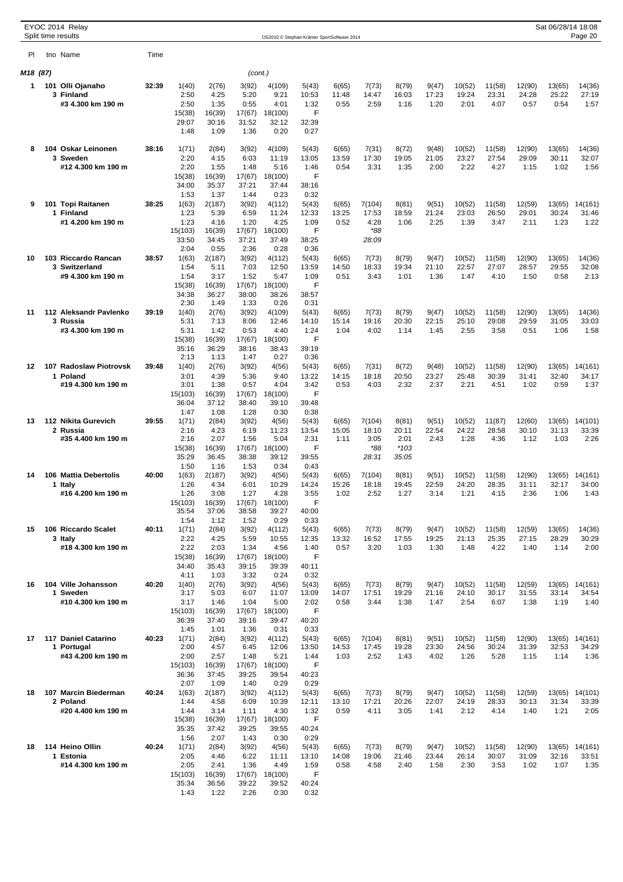|          | EYOC 2014 Relay<br>Split time results |       |                  |                 |                 |                  | OS2010 © Stephan Krämer SportSoftware 2014 |                |                 |                |                |                 |                 |                 | Sat 06/28/14 18:08 | Page 20          |
|----------|---------------------------------------|-------|------------------|-----------------|-----------------|------------------|--------------------------------------------|----------------|-----------------|----------------|----------------|-----------------|-----------------|-----------------|--------------------|------------------|
| PI.      | tno Name                              | Time  |                  |                 |                 |                  |                                            |                |                 |                |                |                 |                 |                 |                    |                  |
| M18 (87) |                                       |       |                  |                 | (cont.)         |                  |                                            |                |                 |                |                |                 |                 |                 |                    |                  |
| 1        | 101 Olli Ojanaho                      | 32:39 | 1(40)            | 2(76)           | 3(92)           | 4(109)           | 5(43)                                      | 6(65)          | 7(73)           | 8(79)          | 9(47)          | 10(52)          | 11(58)          | 12(90)          | 13(65)             | 14(36)           |
|          | 3 Finland                             |       | 2:50             | 4:25            | 5:20            | 9:21             | 10:53                                      | 11:48          | 14:47           | 16:03          | 17:23          | 19:24           | 23:31           | 24:28           | 25:22              | 27:19            |
|          | #3 4.300 km 190 m                     |       | 2:50             | 1:35            | 0:55            | 4:01             | 1:32                                       | 0:55           | 2:59            | 1:16           | 1:20           | 2:01            | 4:07            | 0:57            | 0:54               | 1:57             |
|          |                                       |       | 15(38)<br>29:07  | 16(39)          | 17(67)          | 18(100)<br>32:12 | F<br>32:39                                 |                |                 |                |                |                 |                 |                 |                    |                  |
|          |                                       |       | 1:48             | 30:16<br>1:09   | 31:52<br>1:36   | 0:20             | 0:27                                       |                |                 |                |                |                 |                 |                 |                    |                  |
| 8        | 104 Oskar Leinonen                    | 38:16 | 1(71)            | 2(84)           | 3(92)           | 4(109)           | 5(43)                                      | 6(65)          | 7(31)           | 8(72)          | 9(48)          | 10(52)          | 11(58)          | 12(90)          | 13(65)             | 14(36)           |
|          | 3 Sweden                              |       | 2:20             | 4:15            | 6:03            | 11:19            | 13:05                                      | 13:59          | 17:30           | 19:05          | 21:05          | 23:27           | 27:54           | 29:09           | 30:11              | 32:07            |
|          | #12 4.300 km 190 m                    |       | 2:20<br>15(38)   | 1:55<br>16(39)  | 1:48<br>17(67)  | 5:16<br>18(100)  | 1:46<br>F                                  | 0:54           | 3:31            | 1:35           | 2:00           | 2:22            | 4:27            | 1:15            | 1:02               | 1:56             |
|          |                                       |       | 34:00            | 35:37           | 37:21           | 37:44            | 38:16                                      |                |                 |                |                |                 |                 |                 |                    |                  |
|          |                                       |       | 1:53             | 1:37            | 1:44            | 0:23             | 0:32                                       |                |                 |                |                |                 |                 |                 |                    |                  |
| 9        | 101 Topi Raitanen<br>1 Finland        | 38:25 | 1(63)<br>1:23    | 2(187)<br>5:39  | 3(92)<br>6:59   | 4(112)<br>11:24  | 5(43)<br>12:33                             | 6(65)<br>13:25 | 7(104)<br>17:53 | 8(81)<br>18:59 | 9(51)<br>21:24 | 10(52)<br>23:03 | 11(58)<br>26:50 | 12(59)<br>29:01 | 13(65)<br>30:24    | 14(161)<br>31:46 |
|          | #1 4.200 km 190 m                     |       | 1:23             | 4:16            | 1:20            | 4:25             | 1:09                                       | 0:52           | 4:28            | 1:06           | 2:25           | 1:39            | 3:47            | 2:11            | 1:23               | 1:22             |
|          |                                       |       | 15(103)          | 16(39)          | 17(67)          | 18(100)          | F                                          |                | *88             |                |                |                 |                 |                 |                    |                  |
|          |                                       |       | 33:50<br>2:04    | 34:45<br>0:55   | 37:21<br>2:36   | 37:49<br>0:28    | 38:25<br>0:36                              |                | 28:09           |                |                |                 |                 |                 |                    |                  |
| 10       | 103 Riccardo Rancan                   | 38:57 | 1(63)            | 2(187)          | 3(92)           | 4(112)           | 5(43)                                      | 6(65)          | 7(73)           | 8(79)          | 9(47)          | 10(52)          | 11(58)          | 12(90)          | 13(65)             | 14(36)           |
|          | 3 Switzerland                         |       | 1:54             | 5:11            | 7:03            | 12:50            | 13:59                                      | 14:50          | 18:33           | 19:34          | 21:10          | 22:57           | 27:07           | 28:57           | 29:55              | 32:08            |
|          | #9 4.300 km 190 m                     |       | 1:54<br>15(38)   | 3:17<br>16(39)  | 1:52<br>17(67)  | 5:47<br>18(100)  | 1:09<br>F                                  | 0:51           | 3:43            | 1:01           | 1:36           | 1:47            | 4:10            | 1:50            | 0:58               | 2:13             |
|          |                                       |       | 34:38            | 36:27           | 38:00           | 38:26            | 38:57                                      |                |                 |                |                |                 |                 |                 |                    |                  |
|          |                                       |       | 2:30             | 1:49            | 1:33            | 0:26             | 0:31                                       |                |                 |                |                |                 |                 |                 |                    |                  |
| 11       | 112 Aleksandr Pavlenko<br>3 Russia    | 39:19 | 1(40)<br>5:31    | 2(76)<br>7:13   | 3(92)<br>8:06   | 4(109)<br>12:46  | 5(43)<br>14:10                             | 6(65)<br>15:14 | 7(73)<br>19:16  | 8(79)<br>20:30 | 9(47)<br>22:15 | 10(52)<br>25:10 | 11(58)<br>29:08 | 12(90)<br>29:59 | 13(65)<br>31:05    | 14(36)<br>33:03  |
|          | #3 4.300 km 190 m                     |       | 5:31             | 1:42            | 0:53            | 4:40             | 1:24                                       | 1:04           | 4:02            | 1:14           | 1:45           | 2:55            | 3:58            | 0:51            | 1:06               | 1:58             |
|          |                                       |       | 15(38)           | 16(39)          | 17(67)          | 18(100)          | F                                          |                |                 |                |                |                 |                 |                 |                    |                  |
|          |                                       |       | 35:16<br>2:13    | 36:29<br>1:13   | 38:16<br>1:47   | 38:43<br>0:27    | 39:19<br>0:36                              |                |                 |                |                |                 |                 |                 |                    |                  |
| 12       | 107 Radoslaw Piotrovsk                | 39:48 | 1(40)            | 2(76)           | 3(92)           | 4(56)            | 5(43)                                      | 6(65)          | 7(31)           | 8(72)          | 9(48)          | 10(52)          | 11(58)          | 12(90)          | 13(65)             | 14(161)          |
|          | 1 Poland                              |       | 3:01             | 4:39            | 5:36            | 9:40             | 13:22                                      | 14:15          | 18:18           | 20:50          | 23:27          | 25:48           | 30:39           | 31:41           | 32:40              | 34:17            |
|          | #19 4.300 km 190 m                    |       | 3:01             | 1:38            | 0:57            | 4:04             | 3:42<br>F                                  | 0:53           | 4:03            | 2:32           | 2:37           | 2:21            | 4:51            | 1:02            | 0:59               | 1:37             |
|          |                                       |       | 15(103)<br>36:04 | 16(39)<br>37:12 | 17(67)<br>38:40 | 18(100)<br>39:10 | 39:48                                      |                |                 |                |                |                 |                 |                 |                    |                  |
|          |                                       |       | 1:47             | 1:08            | 1:28            | 0:30             | 0:38                                       |                |                 |                |                |                 |                 |                 |                    |                  |
| 13       | 112 Nikita Gurevich<br>2 Russia       | 39:55 | 1(71)<br>2:16    | 2(84)<br>4:23   | 3(92)<br>6:19   | 4(56)<br>11:23   | 5(43)<br>13:54                             | 6(65)<br>15:05 | 7(104)<br>18:10 | 8(81)<br>20:11 | 9(51)<br>22:54 | 10(52)<br>24:22 | 11(87)<br>28:58 | 12(60)<br>30:10 | 13(65)<br>31:13    | 14(101)<br>33:39 |
|          | #35 4.400 km 190 m                    |       | 2:16             | 2:07            | 1:56            | 5:04             | 2:31                                       | 1:11           | 3:05            | 2:01           | 2:43           | 1:28            | 4:36            | 1:12            | 1:03               | 2:26             |
|          |                                       |       | 15(38)           | 16(39)          | 17(67)          | 18(100)          | F                                          |                | *88             | $*103$         |                |                 |                 |                 |                    |                  |
|          |                                       |       | 35:29<br>1:50    | 36:45<br>1:16   | 38:38<br>1:53   | 39:12<br>0:34    | 39:55<br>0:43                              |                | 28:31           | 35:05          |                |                 |                 |                 |                    |                  |
| 14       | 106 Mattia Debertolis                 | 40:00 | 1(63)            | 2(187)          | 3(92)           | 4(56)            | 5(43)                                      | 6(65)          | 7(104)          | 8(81)          | 9(51)          | 10(52)          | 11(58)          | 12(90)          | 13(65)             | 14(161)          |
|          | 1 Italy                               |       | 1:26             | 4:34            | 6:01            | 10:29            | 14:24                                      | 15:26          | 18:18           | 19:45          | 22:59          | 24:20           | 28:35           | 31:11           | 32:17              | 34:00            |
|          | #16 4.200 km 190 m                    |       | 1:26<br>15(103)  | 3:08<br>16(39)  | 1:27<br>17(67)  | 4:28<br>18(100)  | 3:55<br>F                                  | 1:02           | 2:52            | 1:27           | 3:14           | 1:21            | 4:15            | 2:36            | 1:06               | 1:43             |
|          |                                       |       | 35:54            | 37:06           | 38:58           | 39:27            | 40:00                                      |                |                 |                |                |                 |                 |                 |                    |                  |
|          |                                       |       | 1:54             | 1:12            | 1:52            | 0:29             | 0:33                                       |                |                 |                |                |                 |                 |                 |                    |                  |
| 15       | 106 Riccardo Scalet<br>3 Italv        | 40:11 | 1(71)<br>2:22    | 2(84)<br>4:25   | 3(92)<br>5:59   | 4(112)<br>10:55  | 5(43)<br>12:35                             | 6(65)<br>13:32 | 7(73)<br>16:52  | 8(79)<br>17:55 | 9(47)<br>19:25 | 10(52)<br>21:13 | 11(58)<br>25:35 | 12(59)<br>27:15 | 13(65)<br>28:29    | 14(36)<br>30:29  |
|          | #18 4.300 km 190 m                    |       | 2:22             | 2:03            | 1:34            | 4:56             | 1:40                                       | 0:57           | 3:20            | 1:03           | 1:30           | 1:48            | 4:22            | 1:40            | 1:14               | 2:00             |
|          |                                       |       | 15(38)           | 16(39)          | 17(67)          | 18(100)          | F                                          |                |                 |                |                |                 |                 |                 |                    |                  |
|          |                                       |       | 34:40<br>4:11    | 35:43<br>1:03   | 39:15<br>3:32   | 39:39<br>0:24    | 40:11<br>0:32                              |                |                 |                |                |                 |                 |                 |                    |                  |
| 16       | 104 Ville Johansson                   | 40:20 | 1(40)            | 2(76)           | 3(92)           | 4(56)            | 5(43)                                      | 6(65)          | 7(73)           | 8(79)          | 9(47)          | 10(52)          | 11(58)          | 12(59)          | 13(65)             | 14(161)          |
|          | 1 Sweden                              |       | 3:17             | 5:03            | 6:07            | 11:07            | 13:09                                      | 14:07          | 17:51           | 19:29          | 21:16          | 24:10           | 30:17           | 31:55           | 33:14              | 34:54            |
|          | #10 4.300 km 190 m                    |       | 3:17<br>15(103)  | 1:46<br>16(39)  | 1:04<br>17(67)  | 5:00<br>18(100)  | 2:02<br>F                                  | 0:58           | 3:44            | 1:38           | 1:47           | 2:54            | 6:07            | 1:38            | 1:19               | 1:40             |
|          |                                       |       | 36:39            | 37:40           | 39:16           | 39:47            | 40:20                                      |                |                 |                |                |                 |                 |                 |                    |                  |
|          |                                       |       | 1:45             | 1:01            | 1:36            | 0:31             | 0:33                                       |                |                 |                |                |                 |                 |                 |                    |                  |
| 17       | 117 Daniel Catarino<br>1 Portugal     | 40:23 | 1(71)<br>2:00    | 2(84)<br>4:57   | 3(92)<br>6:45   | 4(112)<br>12:06  | 5(43)<br>13:50                             | 6(65)<br>14:53 | 7(104)<br>17:45 | 8(81)<br>19:28 | 9(51)<br>23:30 | 10(52)<br>24:56 | 11(58)<br>30:24 | 12(90)<br>31:39 | 13(65)<br>32:53    | 14(161)<br>34:29 |
|          | #43 4.200 km 190 m                    |       | 2:00             | 2:57            | 1:48            | 5:21             | 1:44                                       | 1:03           | 2:52            | 1:43           | 4:02           | 1:26            | 5:28            | 1:15            | 1:14               | 1:36             |
|          |                                       |       | 15(103)          | 16(39)          | 17(67)          | 18(100)          | F                                          |                |                 |                |                |                 |                 |                 |                    |                  |
|          |                                       |       | 36:36<br>2:07    | 37:45<br>1:09   | 39:25<br>1:40   | 39:54<br>0:29    | 40:23<br>0:29                              |                |                 |                |                |                 |                 |                 |                    |                  |
| 18       | 107 Marcin Biederman                  | 40:24 | 1(63)            | 2(187)          | 3(92)           | 4(112)           | 5(43)                                      | 6(65)          | 7(73)           | 8(79)          | 9(47)          | 10(52)          | 11(58)          | 12(59)          | 13(65)             | 14(101)          |
|          | 2 Poland                              |       | 1:44             | 4:58            | 6:09            | 10:39            | 12:11                                      | 13:10          | 17:21           | 20:26          | 22:07          | 24:19           | 28:33           | 30:13           | 31:34              | 33:39            |
|          | #20 4.400 km 190 m                    |       | 1:44<br>15(38)   | 3:14<br>16(39)  | 1:11<br>17(67)  | 4:30<br>18(100)  | 1:32<br>F                                  | 0:59           | 4:11            | 3:05           | 1:41           | 2:12            | 4:14            | 1:40            | 1:21               | 2:05             |
|          |                                       |       | 35:35            | 37:42           | 39:25           | 39:55            | 40:24                                      |                |                 |                |                |                 |                 |                 |                    |                  |
|          |                                       |       | 1:56             | 2:07            | 1:43            | 0:30             | 0:29                                       |                |                 |                |                |                 |                 |                 |                    |                  |
| 18       | 114 Heino Ollin<br>1 Estonia          | 40:24 | 1(71)<br>2:05    | 2(84)<br>4:46   | 3(92)<br>6:22   | 4(56)<br>11:11   | 5(43)<br>13:10                             | 6(65)<br>14:08 | 7(73)<br>19:06  | 8(79)<br>21:46 | 9(47)<br>23:44 | 10(52)<br>26:14 | 11(58)<br>30:07 | 12(90)<br>31:09 | 13(65)<br>32:16    | 14(161)<br>33:51 |
|          | #14 4.300 km 190 m                    |       | 2:05             | 2:41            | 1:36            | 4:49             | 1:59                                       | 0:58           | 4:58            | 2:40           | 1:58           | 2:30            | 3:53            | 1:02            | 1:07               | 1:35             |
|          |                                       |       | 15(103)<br>35:34 | 16(39)          | 17(67)          | 18(100)          | F                                          |                |                 |                |                |                 |                 |                 |                    |                  |
|          |                                       |       | 1:43             | 36:56<br>1:22   | 39:22<br>2:26   | 39:52<br>0:30    | 40:24<br>0:32                              |                |                 |                |                |                 |                 |                 |                    |                  |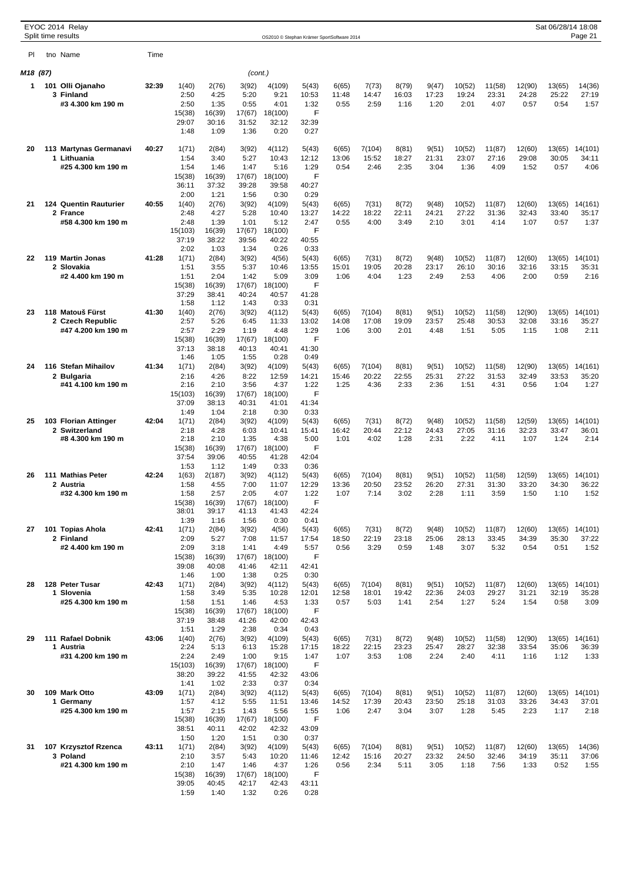|          |  | EYOC 2014 Relay<br>Split time results    |       |                  |                 |                 |                  | OS2010 © Stephan Krämer SportSoftware 2014 |                |                 |                |                |                 |                 |                 | Sat 06/28/14 18:08 | Page 21          |
|----------|--|------------------------------------------|-------|------------------|-----------------|-----------------|------------------|--------------------------------------------|----------------|-----------------|----------------|----------------|-----------------|-----------------|-----------------|--------------------|------------------|
| PI       |  | tno Name                                 | Time  |                  |                 |                 |                  |                                            |                |                 |                |                |                 |                 |                 |                    |                  |
| M18 (87) |  |                                          |       |                  |                 | (cont.)         |                  |                                            |                |                 |                |                |                 |                 |                 |                    |                  |
| 1        |  | 101 Olli Ojanaho                         | 32:39 | 1(40)            | 2(76)           | 3(92)           | 4(109)           | 5(43)                                      | 6(65)          | 7(73)           | 8(79)          | 9(47)          | 10(52)          | 11(58)          | 12(90)          | 13(65)             | 14(36)           |
|          |  | 3 Finland                                |       | 2:50             | 4:25            | 5:20            | 9:21             | 10:53                                      | 11:48          | 14:47           | 16:03          | 17:23          | 19:24           | 23:31           | 24:28           | 25:22              | 27:19            |
|          |  | #3 4.300 km 190 m                        |       | 2:50             | 1:35            | 0:55            | 4:01             | 1:32                                       | 0:55           | 2:59            | 1:16           | 1:20           | 2:01            | 4:07            | 0:57            | 0:54               | 1:57             |
|          |  |                                          |       | 15(38)<br>29:07  | 16(39)<br>30:16 | 17(67)<br>31:52 | 18(100)<br>32:12 | F<br>32:39                                 |                |                 |                |                |                 |                 |                 |                    |                  |
|          |  |                                          |       | 1:48             | 1:09            | 1:36            | 0:20             | 0:27                                       |                |                 |                |                |                 |                 |                 |                    |                  |
| 20       |  | 113 Martynas Germanavi                   | 40:27 | 1(71)            | 2(84)           | 3(92)           | 4(112)           | 5(43)                                      | 6(65)          | 7(104)          | 8(81)          | 9(51)          | 10(52)          | 11(87)          | 12(60)          | 13(65)             | 14(101)          |
|          |  | 1 Lithuania                              |       | 1:54             | 3:40            | 5:27            | 10:43            | 12:12                                      | 13:06          | 15:52           | 18:27          | 21:31          | 23:07           | 27:16           | 29:08           | 30:05              | 34:11            |
|          |  | #25 4.300 km 190 m                       |       | 1:54<br>15(38)   | 1:46<br>16(39)  | 1:47<br>17(67)  | 5:16<br>18(100)  | 1:29<br>F                                  | 0:54           | 2:46            | 2:35           | 3:04           | 1:36            | 4:09            | 1:52            | 0:57               | 4:06             |
|          |  |                                          |       | 36:11            | 37:32           | 39:28           | 39:58            | 40:27                                      |                |                 |                |                |                 |                 |                 |                    |                  |
|          |  |                                          |       | 2:00             | 1:21            | 1:56            | 0:30             | 0:29                                       |                |                 |                |                |                 |                 |                 |                    |                  |
| 21       |  | <b>124 Quentin Rauturier</b><br>2 France | 40:55 | 1(40)<br>2:48    | 2(76)<br>4:27   | 3(92)<br>5:28   | 4(109)<br>10:40  | 5(43)<br>13:27                             | 6(65)<br>14:22 | 7(31)<br>18:22  | 8(72)<br>22:11 | 9(48)<br>24:21 | 10(52)<br>27:22 | 11(87)<br>31:36 | 12(60)<br>32:43 | 13(65)<br>33:40    | 14(161)<br>35:17 |
|          |  | #58 4.300 km 190 m                       |       | 2:48             | 1:39            | 1:01            | 5:12             | 2:47                                       | 0:55           | 4:00            | 3:49           | 2:10           | 3:01            | 4:14            | 1:07            | 0:57               | 1:37             |
|          |  |                                          |       | 15(103)          | 16(39)          | 17(67)          | 18(100)          | F                                          |                |                 |                |                |                 |                 |                 |                    |                  |
|          |  |                                          |       | 37:19<br>2:02    | 38:22<br>1:03   | 39:56<br>1:34   | 40:22<br>0:26    | 40:55<br>0:33                              |                |                 |                |                |                 |                 |                 |                    |                  |
| 22       |  | 119 Martin Jonas                         | 41:28 | 1(71)            | 2(84)           | 3(92)           | 4(56)            | 5(43)                                      | 6(65)          | 7(31)           | 8(72)          | 9(48)          | 10(52)          | 11(87)          | 12(60)          | 13(65)             | 14(101)          |
|          |  | 2 Slovakia                               |       | 1:51             | 3:55            | 5:37            | 10:46            | 13:55                                      | 15:01          | 19:05           | 20:28          | 23:17          | 26:10           | 30:16           | 32:16           | 33:15              | 35:31            |
|          |  | #2 4.400 km 190 m                        |       | 1:51             | 2:04            | 1:42            | 5:09             | 3:09<br>F                                  | 1:06           | 4:04            | 1:23           | 2:49           | 2:53            | 4:06            | 2:00            | 0:59               | 2:16             |
|          |  |                                          |       | 15(38)<br>37:29  | 16(39)<br>38:41 | 17(67)<br>40:24 | 18(100)<br>40:57 | 41:28                                      |                |                 |                |                |                 |                 |                 |                    |                  |
|          |  |                                          |       | 1:58             | 1:12            | 1:43            | 0:33             | 0:31                                       |                |                 |                |                |                 |                 |                 |                    |                  |
| 23       |  | 118 Matouš Fürst                         | 41:30 | 1(40)<br>2:57    | 2(76)<br>5:26   | 3(92)<br>6:45   | 4(112)<br>11:33  | 5(43)<br>13:02                             | 6(65)<br>14:08 | 7(104)<br>17:08 | 8(81)<br>19:09 | 9(51)<br>23:57 | 10(52)<br>25:48 | 11(58)<br>30:53 | 12(90)<br>32:08 | 13(65)<br>33:16    | 14(101)          |
|          |  | 2 Czech Republic<br>#47 4.200 km 190 m   |       | 2:57             | 2:29            | 1:19            | 4:48             | 1:29                                       | 1:06           | 3:00            | 2:01           | 4:48           | 1:51            | 5:05            | 1:15            | 1:08               | 35:27<br>2:11    |
|          |  |                                          |       | 15(38)           | 16(39)          | 17(67)          | 18(100)          | F                                          |                |                 |                |                |                 |                 |                 |                    |                  |
|          |  |                                          |       | 37:13            | 38:18           | 40:13           | 40:41            | 41:30<br>0:49                              |                |                 |                |                |                 |                 |                 |                    |                  |
| 24       |  | 116 Stefan Mihailov                      | 41:34 | 1:46<br>1(71)    | 1:05<br>2(84)   | 1:55<br>3(92)   | 0:28<br>4(109)   | 5(43)                                      | 6(65)          | 7(104)          | 8(81)          | 9(51)          | 10(52)          | 11(58)          | 12(90)          | 13(65)             | 14(161)          |
|          |  | 2 Bulgaria                               |       | 2:16             | 4:26            | 8:22            | 12:59            | 14:21                                      | 15:46          | 20:22           | 22:55          | 25:31          | 27:22           | 31:53           | 32:49           | 33:53              | 35:20            |
|          |  | #41 4.100 km 190 m                       |       | 2:16             | 2:10            | 3:56            | 4:37             | 1:22                                       | 1:25           | 4:36            | 2:33           | 2:36           | 1:51            | 4:31            | 0:56            | 1:04               | 1:27             |
|          |  |                                          |       | 15(103)<br>37:09 | 16(39)<br>38:13 | 17(67)<br>40:31 | 18(100)<br>41:01 | F<br>41:34                                 |                |                 |                |                |                 |                 |                 |                    |                  |
|          |  |                                          |       | 1:49             | 1:04            | 2:18            | 0:30             | 0:33                                       |                |                 |                |                |                 |                 |                 |                    |                  |
| 25       |  | 103 Florian Attinger                     | 42:04 | 1(71)            | 2(84)           | 3(92)           | 4(109)           | 5(43)                                      | 6(65)          | 7(31)           | 8(72)          | 9(48)          | 10(52)          | 11(58)          | 12(59)          | 13(65)             | 14(101)          |
|          |  | 2 Switzerland<br>#8 4.300 km 190 m       |       | 2:18<br>2:18     | 4:28<br>2:10    | 6:03<br>1:35    | 10:41<br>4:38    | 15:41<br>5:00                              | 16:42<br>1:01  | 20:44<br>4:02   | 22:12<br>1:28  | 24:43<br>2:31  | 27:05<br>2:22   | 31:16<br>4:11   | 32:23<br>1:07   | 33:47<br>1:24      | 36:01<br>2:14    |
|          |  |                                          |       | 15(38)           | 16(39)          | 17(67)          | 18(100)          | F                                          |                |                 |                |                |                 |                 |                 |                    |                  |
|          |  |                                          |       | 37:54            | 39:06           | 40:55           | 41:28            | 42:04                                      |                |                 |                |                |                 |                 |                 |                    |                  |
| 26       |  | 111 Mathias Peter                        | 42:24 | 1:53<br>1(63)    | 1:12<br>2(187)  | 1:49<br>3(92)   | 0:33<br>4(112)   | 0:36<br>5(43)                              | 6(65)          | 7(104)          | 8(81)          | 9(51)          | 10(52)          | 11(58)          | 12(59)          | 13(65)             | 14(101)          |
|          |  | 2 Austria                                |       | 1:58             | 4:55            | 7:00            | 11:07            | 12:29                                      | 13:36          | 20:50           | 23:52          | 26:20          | 27:31           | 31:30           | 33:20           | 34:30              | 36:22            |
|          |  | #32 4.300 km 190 m                       |       | 1:58             | 2:57            | 2:05            | 4:07             | 1:22                                       | 1:07           | 7:14            | 3:02           | 2:28           | 1:11            | 3:59            | 1:50            | 1:10               | 1:52             |
|          |  |                                          |       | 15(38)<br>38:01  | 16(39)<br>39:17 | 17(67)<br>41:13 | 18(100)<br>41:43 | F<br>42:24                                 |                |                 |                |                |                 |                 |                 |                    |                  |
|          |  |                                          |       | 1:39             | 1:16            | 1:56            | 0:30             | 0:41                                       |                |                 |                |                |                 |                 |                 |                    |                  |
| 27       |  | 101 Topias Ahola<br>2 Finland            | 42:41 | 1(71)            | 2(84)           | 3(92)           | 4(56)            | 5(43)                                      | 6(65)          | 7(31)           | 8(72)          | 9(48)<br>25:06 | 10(52)          | 11(87)          | 12(60)          | 13(65)             | 14(101)          |
|          |  | #2 4.400 km 190 m                        |       | 2:09<br>2:09     | 5:27<br>3:18    | 7:08<br>1:41    | 11:57<br>4:49    | 17:54<br>5:57                              | 18:50<br>0:56  | 22:19<br>3:29   | 23:18<br>0:59  | 1:48           | 28:13<br>3:07   | 33:45<br>5:32   | 34:39<br>0:54   | 35:30<br>0:51      | 37:22<br>1:52    |
|          |  |                                          |       | 15(38)           | 16(39)          | 17(67)          | 18(100)          | F                                          |                |                 |                |                |                 |                 |                 |                    |                  |
|          |  |                                          |       | 39:08<br>1:46    | 40:08<br>1:00   | 41:46<br>1:38   | 42:11<br>0:25    | 42:41<br>0:30                              |                |                 |                |                |                 |                 |                 |                    |                  |
| 28       |  | 128 Peter Tusar                          | 42:43 | 1(71)            | 2(84)           | 3(92)           | 4(112)           | 5(43)                                      | 6(65)          | 7(104)          | 8(81)          | 9(51)          | 10(52)          | 11(87)          | 12(60)          | 13(65)             | 14(101)          |
|          |  | 1 Slovenia                               |       | 1:58             | 3:49            | 5:35            | 10:28            | 12:01                                      | 12:58          | 18:01           | 19:42          | 22:36          | 24:03           | 29:27           | 31:21           | 32:19              | 35:28            |
|          |  | #25 4.300 km 190 m                       |       | 1:58<br>15(38)   | 1:51<br>16(39)  | 1:46<br>17(67)  | 4:53<br>18(100)  | 1:33<br>F                                  | 0:57           | 5:03            | 1:41           | 2:54           | 1:27            | 5:24            | 1:54            | 0:58               | 3:09             |
|          |  |                                          |       | 37:19            | 38:48           | 41:26           | 42:00            | 42:43                                      |                |                 |                |                |                 |                 |                 |                    |                  |
|          |  |                                          |       | 1:51             | 1:29            | 2:38            | 0:34             | 0:43                                       |                |                 |                |                |                 |                 |                 |                    |                  |
| 29       |  | 111 Rafael Dobnik<br>1 Austria           | 43:06 | 1(40)<br>2:24    | 2(76)<br>5:13   | 3(92)<br>6:13   | 4(109)<br>15:28  | 5(43)<br>17:15                             | 6(65)<br>18:22 | 7(31)<br>22:15  | 8(72)<br>23:23 | 9(48)<br>25:47 | 10(52)<br>28:27 | 11(58)<br>32:38 | 12(90)<br>33:54 | 13(65)<br>35:06    | 14(161)<br>36:39 |
|          |  | #31 4.200 km 190 m                       |       | 2:24             | 2:49            | 1:00            | 9:15             | 1:47                                       | 1:07           | 3:53            | 1:08           | 2:24           | 2:40            | 4:11            | 1:16            | 1:12               | 1:33             |
|          |  |                                          |       | 15(103)          | 16(39)          | 17(67)          | 18(100)          | F                                          |                |                 |                |                |                 |                 |                 |                    |                  |
|          |  |                                          |       | 38:20<br>1:41    | 39:22<br>1:02   | 41:55           | 42:32<br>0:37    | 43:06                                      |                |                 |                |                |                 |                 |                 |                    |                  |
| 30       |  | 109 Mark Otto                            | 43:09 | 1(71)            | 2(84)           | 2:33<br>3(92)   | 4(112)           | 0:34<br>5(43)                              | 6(65)          | 7(104)          | 8(81)          | 9(51)          | 10(52)          | 11(87)          | 12(60)          | 13(65)             | 14(101)          |
|          |  | 1 Germany                                |       | 1:57             | 4:12            | 5:55            | 11:51            | 13:46                                      | 14:52          | 17:39           | 20:43          | 23:50          | 25:18           | 31:03           | 33:26           | 34:43              | 37:01            |
|          |  | #25 4.300 km 190 m                       |       | 1:57<br>15(38)   | 2:15<br>16(39)  | 1:43<br>17(67)  | 5:56<br>18(100)  | 1:55<br>F                                  | 1:06           | 2:47            | 3:04           | 3:07           | 1:28            | 5:45            | 2:23            | 1:17               | 2:18             |
|          |  |                                          |       | 38:51            | 40:11           | 42:02           | 42:32            | 43:09                                      |                |                 |                |                |                 |                 |                 |                    |                  |
|          |  |                                          |       | 1:50             | 1:20            | 1:51            | 0:30             | 0:37                                       |                |                 |                |                |                 |                 |                 |                    |                  |
| 31       |  | 107 Krzysztof Rzenca<br>3 Poland         | 43:11 | 1(71)<br>2:10    | 2(84)<br>3:57   | 3(92)<br>5:43   | 4(109)<br>10:20  | 5(43)<br>11:46                             | 6(65)<br>12:42 | 7(104)<br>15:16 | 8(81)<br>20:27 | 9(51)<br>23:32 | 10(52)<br>24:50 | 11(87)<br>32:46 | 12(60)<br>34:19 | 13(65)<br>35:11    | 14(36)<br>37:06  |
|          |  | #21 4.300 km 190 m                       |       | 2:10             | 1:47            | 1:46            | 4:37             | 1:26                                       | 0:56           | 2:34            | 5:11           | 3:05           | 1:18            | 7:56            | 1:33            | 0:52               | 1:55             |
|          |  |                                          |       | 15(38)           | 16(39)          | 17(67)          | 18(100)          | F                                          |                |                 |                |                |                 |                 |                 |                    |                  |
|          |  |                                          |       | 39:05<br>1:59    | 40:45<br>1:40   | 42:17<br>1:32   | 42:43<br>0:26    | 43:11<br>0:28                              |                |                 |                |                |                 |                 |                 |                    |                  |
|          |  |                                          |       |                  |                 |                 |                  |                                            |                |                 |                |                |                 |                 |                 |                    |                  |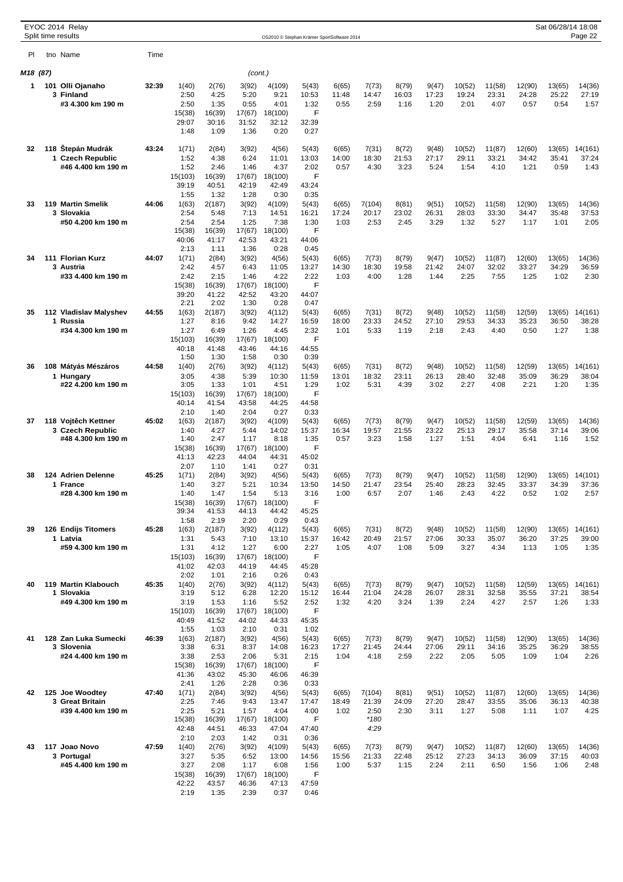|          |              | EYOC 2014 Relay<br>Split time results |       |                  |                 |                 |                  | OS2010 © Stephan Krämer SportSoftware 2014 |                |                |                |                |                 |                 |                 | Sat 06/28/14 18:08 | Page 22          |
|----------|--------------|---------------------------------------|-------|------------------|-----------------|-----------------|------------------|--------------------------------------------|----------------|----------------|----------------|----------------|-----------------|-----------------|-----------------|--------------------|------------------|
| PI       |              | tno Name                              | Time  |                  |                 |                 |                  |                                            |                |                |                |                |                 |                 |                 |                    |                  |
| M18 (87) |              |                                       |       |                  |                 | (cont.)         |                  |                                            |                |                |                |                |                 |                 |                 |                    |                  |
| 1        | 101          | Olli Ojanaho                          | 32:39 | 1(40)            | 2(76)           | 3(92)           | 4(109)           | 5(43)                                      | 6(65)          | 7(73)          | 8(79)          | 9(47)          | 10(52)          | 11(58)          | 12(90)          | 13(65)             | 14(36)           |
|          |              | 3 Finland                             |       | 2:50             | 4:25            | 5:20            | 9:21             | 10:53                                      | 11:48          | 14:47          | 16:03          | 17:23          | 19:24           | 23:31           | 24:28           | 25:22              | 27:19            |
|          |              | #3 4.300 km 190 m                     |       | 2:50             | 1:35            | 0:55            | 4:01             | 1:32<br>F                                  | 0:55           | 2:59           | 1:16           | 1:20           | 2:01            | 4:07            | 0:57            | 0:54               | 1:57             |
|          |              |                                       |       | 15(38)<br>29:07  | 16(39)<br>30:16 | 17(67)<br>31:52 | 18(100)<br>32:12 | 32:39                                      |                |                |                |                |                 |                 |                 |                    |                  |
|          |              |                                       |       | 1:48             | 1:09            | 1:36            | 0:20             | 0:27                                       |                |                |                |                |                 |                 |                 |                    |                  |
| 32       | 118          | Štepán Mudrák                         | 43:24 | 1(71)            | 2(84)           | 3(92)           | 4(56)            | 5(43)                                      | 6(65)          | 7(31)          | 8(72)          | 9(48)          | 10(52)          | 11(87)          | 12(60)          | 13(65)             | 14(161)          |
|          | $\mathbf{1}$ | <b>Czech Republic</b>                 |       | 1:52             | 4:38            | 6:24            | 11:01            | 13:03                                      | 14:00          | 18:30          | 21:53          | 27:17          | 29:11           | 33:21           | 34:42           | 35:41              | 37:24            |
|          |              | #46 4.400 km 190 m                    |       | 1:52<br>15(103)  | 2:46<br>16(39)  | 1:46<br>17(67)  | 4:37<br>18(100)  | 2:02<br>F                                  | 0:57           | 4:30           | 3:23           | 5:24           | 1:54            | 4:10            | 1:21            | 0:59               | 1:43             |
|          |              |                                       |       | 39:19            | 40:51           | 42:19           | 42:49            | 43:24                                      |                |                |                |                |                 |                 |                 |                    |                  |
| 33       |              | 119 Martin Smelik                     | 44:06 | 1:55<br>1(63)    | 1:32<br>2(187)  | 1:28<br>3(92)   | 0:30<br>4(109)   | 0:35<br>5(43)                              | 6(65)          | 7(104)         | 8(81)          | 9(51)          | 10(52)          | 11(58)          | 12(90)          | 13(65)             | 14(36)           |
|          |              | 3 Slovakia                            |       | 2:54             | 5:48            | 7:13            | 14:51            | 16:21                                      | 17:24          | 20:17          | 23:02          | 26:31          | 28:03           | 33:30           | 34:47           | 35:48              | 37:53            |
|          |              | #50 4.200 km 190 m                    |       | 2:54             | 2:54            | 1:25            | 7:38             | 1:30<br>F                                  | 1:03           | 2:53           | 2:45           | 3:29           | 1:32            | 5:27            | 1:17            | 1:01               | 2:05             |
|          |              |                                       |       | 15(38)<br>40:06  | 16(39)<br>41:17 | 17(67)<br>42:53 | 18(100)<br>43:21 | 44:06                                      |                |                |                |                |                 |                 |                 |                    |                  |
|          |              |                                       |       | 2:13             | 1:11            | 1:36            | 0:28             | 0:45                                       |                |                |                |                |                 |                 |                 |                    |                  |
| 34       |              | 111 Florian Kurz<br>3 Austria         | 44:07 | 1(71)<br>2:42    | 2(84)<br>4:57   | 3(92)<br>6:43   | 4(56)<br>11:05   | 5(43)<br>13:27                             | 6(65)<br>14:30 | 7(73)<br>18:30 | 8(79)<br>19:58 | 9(47)<br>21:42 | 10(52)<br>24:07 | 11(87)<br>32:02 | 12(60)<br>33:27 | 13(65)<br>34:29    | 14(36)<br>36:59  |
|          |              | #33 4.400 km 190 m                    |       | 2:42             | 2:15            | 1:46            | 4:22             | 2:22                                       | 1:03           | 4:00           | 1:28           | 1:44           | 2:25            | 7:55            | 1:25            | 1:02               | 2:30             |
|          |              |                                       |       | 15(38)<br>39:20  | 16(39)<br>41:22 | 17(67)<br>42:52 | 18(100)<br>43:20 | F<br>44:07                                 |                |                |                |                |                 |                 |                 |                    |                  |
|          |              |                                       |       | 2:21             | 2:02            | 1:30            | 0:28             | 0:47                                       |                |                |                |                |                 |                 |                 |                    |                  |
| 35       |              | 112 Vladislav Malyshev<br>1 Russia    | 44:55 | 1(63)            | 2(187)          | 3(92)           | 4(112)           | 5(43)                                      | 6(65)          | 7(31)          | 8(72)          | 9(48)          | 10(52)          | 11(58)          | 12(59)<br>35:23 | 13(65)             | 14(161)          |
|          |              | #34 4.300 km 190 m                    |       | 1:27<br>1:27     | 8:16<br>6:49    | 9:42<br>1:26    | 14:27<br>4:45    | 16:59<br>2:32                              | 18:00<br>1:01  | 23:33<br>5:33  | 24:52<br>1:19  | 27:10<br>2:18  | 29:53<br>2:43   | 34:33<br>4:40   | 0:50            | 36:50<br>1:27      | 38:28<br>1:38    |
|          |              |                                       |       | 15(103)          | 16(39)          | 17(67)          | 18(100)          | F                                          |                |                |                |                |                 |                 |                 |                    |                  |
|          |              |                                       |       | 40:18<br>1:50    | 41:48<br>1:30   | 43:46<br>1:58   | 44:16<br>0:30    | 44:55<br>0:39                              |                |                |                |                |                 |                 |                 |                    |                  |
| 36       |              | 108 Mátyás Mészáros                   | 44:58 | 1(40)            | 2(76)           | 3(92)           | 4(112)           | 5(43)                                      | 6(65)          | 7(31)          | 8(72)          | 9(48)          | 10(52)          | 11(58)          | 12(59)          | 13(65)             | 14(161)          |
|          |              | 1 Hungary<br>#22 4.200 km 190 m       |       | 3:05<br>3:05     | 4:38<br>1:33    | 5:39<br>1:01    | 10:30<br>4:51    | 11:59<br>1:29                              | 13:01<br>1:02  | 18:32<br>5:31  | 23:11<br>4:39  | 26:13<br>3:02  | 28:40<br>2:27   | 32:48<br>4:08   | 35:09<br>2:21   | 36:29<br>1:20      | 38:04<br>1:35    |
|          |              |                                       |       | 15(103)          | 16(39)          | 17(67)          | 18(100)          | F                                          |                |                |                |                |                 |                 |                 |                    |                  |
|          |              |                                       |       | 40:14            | 41:54           | 43:58           | 44:25            | 44:58                                      |                |                |                |                |                 |                 |                 |                    |                  |
| 37       |              | 118 Vojt ch Kettner                   | 45:02 | 2:10<br>1(63)    | 1:40<br>2(187)  | 2:04<br>3(92)   | 0:27<br>4(109)   | 0:33<br>5(43)                              | 6(65)          | 7(73)          | 8(79)          | 9(47)          | 10(52)          | 11(58)          | 12(59)          | 13(65)             | 14(36)           |
|          |              | 3 Czech Republic                      |       | 1:40             | 4:27            | 5:44            | 14:02            | 15:37                                      | 16:34          | 19:57          | 21:55          | 23:22          | 25:13           | 29:17           | 35:58           | 37:14              | 39:06            |
|          |              | #48 4.300 km 190 m                    |       | 1:40<br>15(38)   | 2:47<br>16(39)  | 1:17<br>17(67)  | 8:18<br>18(100)  | 1:35<br>F                                  | 0:57           | 3:23           | 1:58           | 1:27           | 1:51            | 4:04            | 6:41            | 1:16               | 1:52             |
|          |              |                                       |       | 41:13            | 42:23           | 44:04           | 44:31            | 45:02                                      |                |                |                |                |                 |                 |                 |                    |                  |
| 38       |              | 124 Adrien Delenne                    | 45:25 | 2:07<br>1(71)    | 1:10<br>2(84)   | 1:41<br>3(92)   | 0:27<br>4(56)    | 0:31<br>5(43)                              | 6(65)          | 7(73)          | 8(79)          | 9(47)          | 10(52)          | 11(58)          | 12(90)          | 13(65)             | 14(101)          |
|          |              | 1 France                              |       | 1:40             | 3:27            | 5:21            | 10:34            | 13:50                                      | 14:50          | 21:47          | 23:54          | 25:40          | 28:23           | 32:45           | 33:37           | 34:39              | 37:36            |
|          |              | #28 4.300 km 190 m                    |       | 1:40             | 1:47            | 1:54            | 5:13             | 3:16                                       | 1:00           | 6:57           | 2:07           | 1:46           | 2:43            | 4:22            | 0:52            | 1:02               | 2:57             |
|          |              |                                       |       | 15(38)<br>39:34  | 16(39)<br>41:53 | 17(67)<br>44:13 | 18(100)<br>44:42 | F<br>45:25                                 |                |                |                |                |                 |                 |                 |                    |                  |
|          |              |                                       |       | 1:58             | 2:19            | 2:20            | 0:29             | 0:43                                       |                |                |                |                |                 |                 |                 |                    |                  |
| 39       |              | 126 Endijs Titomers<br>1 Latvia       | 45:28 | 1(63)<br>1:31    | 2(187)<br>5:43  | 3(92)<br>7:10   | 4(112)<br>13:10  | 5(43)<br>15:37                             | 6(65)<br>16:42 | 7(31)<br>20:49 | 8(72)<br>21:57 | 9(48)<br>27:06 | 10(52)<br>30:33 | 11(58)<br>35:07 | 12(90)<br>36:20 | 13(65)<br>37:25    | 14(161)<br>39:00 |
|          |              | #59 4.300 km 190 m                    |       | 1:31             | 4:12            | 1:27            | 6:00             | 2:27                                       | 1:05           | 4:07           | 1:08           | 5:09           | 3:27            | 4:34            | 1:13            | 1:05               | 1:35             |
|          |              |                                       |       | 15(103)<br>41:02 | 16(39)<br>42:03 | 17(67)<br>44:19 | 18(100)<br>44:45 | F                                          |                |                |                |                |                 |                 |                 |                    |                  |
|          |              |                                       |       | 2:02             | 1:01            | 2:16            | 0:26             | 45:28<br>0:43                              |                |                |                |                |                 |                 |                 |                    |                  |
| 40       |              | 119 Martin Klabouch                   | 45:35 | 1(40)            | 2(76)           | 3(92)           | 4(112)           | 5(43)                                      | 6(65)          | 7(73)          | 8(79)          | 9(47)          | 10(52)          | 11(58)          | 12(59)          | 13(65)             | 14(161)          |
|          |              | 1 Slovakia<br>#49 4.300 km 190 m      |       | 3:19<br>3:19     | 5:12<br>1:53    | 6:28<br>1:16    | 12:20<br>5:52    | 15:12<br>2:52                              | 16:44<br>1:32  | 21:04<br>4:20  | 24:28<br>3:24  | 26:07<br>1:39  | 28:31<br>2:24   | 32:58<br>4:27   | 35:55<br>2:57   | 37:21<br>1:26      | 38:54<br>1:33    |
|          |              |                                       |       | 15(103)          | 16(39)          | 17(67)          | 18(100)          | F                                          |                |                |                |                |                 |                 |                 |                    |                  |
|          |              |                                       |       | 40:49<br>1:55    | 41:52<br>1:03   | 44:02<br>2:10   | 44:33<br>0:31    | 45:35<br>1:02                              |                |                |                |                |                 |                 |                 |                    |                  |
| 41       |              | 128 Zan Luka Sumecki                  | 46:39 | 1(63)            | 2(187)          | 3(92)           | 4(56)            | 5(43)                                      | 6(65)          | 7(73)          | 8(79)          | 9(47)          | 10(52)          | 11(58)          | 12(90)          | 13(65)             | 14(36)           |
|          |              | 3 Slovenia<br>#24 4.400 km 190 m      |       | 3:38<br>3:38     | 6:31<br>2:53    | 8:37<br>2:06    | 14:08<br>5:31    | 16:23<br>2:15                              | 17:27<br>1:04  | 21:45<br>4:18  | 24:44<br>2:59  | 27:06<br>2:22  | 29:11<br>2:05   | 34:16<br>5:05   | 35:25<br>1:09   | 36:29<br>1:04      | 38:55<br>2:26    |
|          |              |                                       |       | 15(38)           | 16(39)          | 17(67)          | 18(100)          | F                                          |                |                |                |                |                 |                 |                 |                    |                  |
|          |              |                                       |       | 41:36            | 43:02           | 45:30           | 46:06            | 46:39                                      |                |                |                |                |                 |                 |                 |                    |                  |
| 42       |              | 125 Joe Woodtey                       | 47:40 | 2:41<br>1(71)    | 1:26<br>2(84)   | 2:28<br>3(92)   | 0:36<br>4(56)    | 0:33<br>5(43)                              | 6(65)          | 7(104)         | 8(81)          | 9(51)          | 10(52)          | 11(87)          | 12(60)          | 13(65)             | 14(36)           |
|          |              | 3 Great Britain                       |       | 2:25             | 7:46            | 9:43            | 13:47            | 17:47                                      | 18:49          | 21:39          | 24:09          | 27:20          | 28:47           | 33:55           | 35:06           | 36:13              | 40:38            |
|          |              | #39 4.400 km 190 m                    |       | 2:25<br>15(38)   | 5:21<br>16(39)  | 1:57<br>17(67)  | 4:04<br>18(100)  | 4:00<br>F                                  | 1:02           | 2:50<br>$*180$ | 2:30           | 3:11           | 1:27            | 5:08            | 1:11            | 1:07               | 4:25             |
|          |              |                                       |       | 42:48            | 44:51           | 46:33           | 47:04            | 47:40                                      |                | 4:29           |                |                |                 |                 |                 |                    |                  |
|          |              |                                       |       | 2:10             | 2:03            | 1:42            | 0:31             | 0:36                                       |                |                |                |                |                 |                 |                 |                    |                  |
| 43       |              | 117 Joao Novo<br>3 Portugal           | 47:59 | 1(40)<br>3:27    | 2(76)<br>5:35   | 3(92)<br>6:52   | 4(109)<br>13:00  | 5(43)<br>14:56                             | 6(65)<br>15:56 | 7(73)<br>21:33 | 8(79)<br>22:48 | 9(47)<br>25:12 | 10(52)<br>27:23 | 11(87)<br>34:13 | 12(60)<br>36:09 | 13(65)<br>37:15    | 14(36)<br>40:03  |
|          |              | #45 4.400 km 190 m                    |       | 3:27             | 2:08            | 1:17            | 6:08             | 1:56                                       | 1:00           | 5:37           | 1:15           | 2:24           | 2:11            | 6:50            | 1:56            | 1:06               | 2:48             |
|          |              |                                       |       | 15(38)<br>42:22  | 16(39)<br>43:57 | 17(67)<br>46:36 | 18(100)<br>47:13 | F<br>47:59                                 |                |                |                |                |                 |                 |                 |                    |                  |
|          |              |                                       |       | 2:19             | 1:35            | 2:39            | 0:37             | 0:46                                       |                |                |                |                |                 |                 |                 |                    |                  |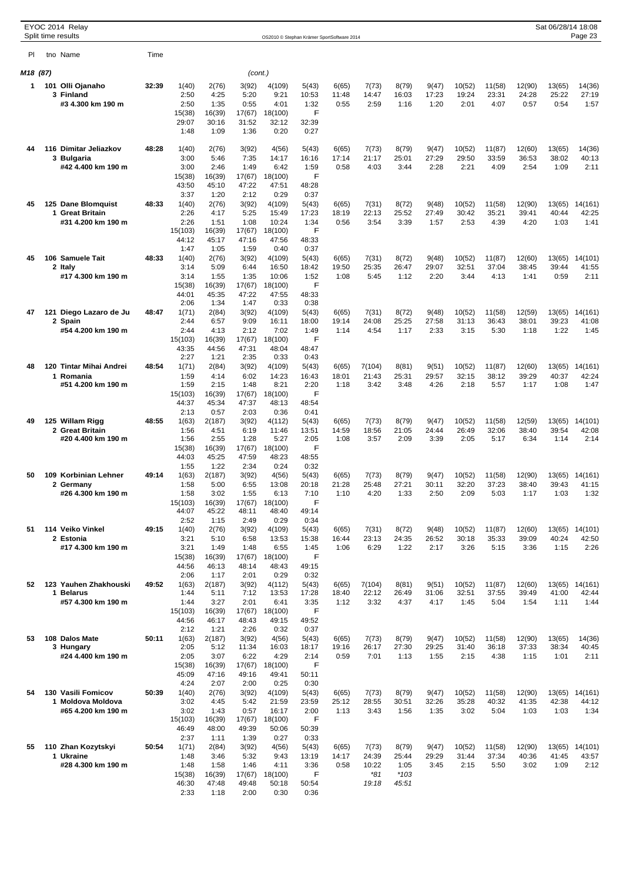|          |     | EYOC 2014 Relay<br>Split time results   |       |                  |                 |                 |                  | OS2010 © Stephan Krämer SportSoftware 2014 |                |                |                |                |                 |                 |                 | Sat 06/28/14 18:08 | Page 23          |
|----------|-----|-----------------------------------------|-------|------------------|-----------------|-----------------|------------------|--------------------------------------------|----------------|----------------|----------------|----------------|-----------------|-----------------|-----------------|--------------------|------------------|
| PI       |     | tno Name                                | Time  |                  |                 |                 |                  |                                            |                |                |                |                |                 |                 |                 |                    |                  |
| M18 (87) |     |                                         |       |                  |                 | (cont.)         |                  |                                            |                |                |                |                |                 |                 |                 |                    |                  |
| 1        | 101 | Olli Ojanaho                            | 32:39 | 1(40)            | 2(76)           | 3(92)           | 4(109)           | 5(43)                                      | 6(65)          | 7(73)          | 8(79)          | 9(47)          | 10(52)          | 11(58)          | 12(90)          | 13(65)             | 14(36)           |
|          |     | 3 Finland                               |       | 2:50             | 4:25            | 5:20            | 9:21             | 10:53                                      | 11:48          | 14:47          | 16:03          | 17:23          | 19:24           | 23:31           | 24:28           | 25:22              | 27:19            |
|          |     | #3 4.300 km 190 m                       |       | 2:50             | 1:35            | 0:55            | 4:01             | 1:32                                       | 0:55           | 2:59           | 1:16           | 1:20           | 2:01            | 4:07            | 0:57            | 0:54               | 1:57             |
|          |     |                                         |       | 15(38)<br>29:07  | 16(39)<br>30:16 | 17(67)<br>31:52 | 18(100)<br>32:12 | F<br>32:39                                 |                |                |                |                |                 |                 |                 |                    |                  |
|          |     |                                         |       | 1:48             | 1:09            | 1:36            | 0:20             | 0:27                                       |                |                |                |                |                 |                 |                 |                    |                  |
| 44       |     | 116 Dimitar Jeliazkov                   | 48:28 | 1(40)            | 2(76)           | 3(92)           | 4(56)            | 5(43)                                      | 6(65)          | 7(73)          | 8(79)          | 9(47)          | 10(52)          | 11(87)          | 12(60)          | 13(65)             | 14(36)           |
|          |     | 3 Bulgaria<br>#42 4.400 km 190 m        |       | 3:00<br>3:00     | 5:46<br>2:46    | 7:35<br>1:49    | 14:17<br>6:42    | 16:16<br>1:59                              | 17:14<br>0:58  | 21:17<br>4:03  | 25:01<br>3:44  | 27:29<br>2:28  | 29:50<br>2:21   | 33:59<br>4:09   | 36:53<br>2:54   | 38:02<br>1:09      | 40:13<br>2:11    |
|          |     |                                         |       | 15(38)           | 16(39)          | 17(67)          | 18(100)          | F                                          |                |                |                |                |                 |                 |                 |                    |                  |
|          |     |                                         |       | 43:50            | 45:10           | 47:22           | 47:51            | 48:28                                      |                |                |                |                |                 |                 |                 |                    |                  |
|          |     |                                         |       | 3:37             | 1:20            | 2:12            | 0:29             | 0:37                                       |                |                |                |                |                 |                 |                 |                    |                  |
| 45       |     | 125 Dane Blomquist<br>1 Great Britain   | 48:33 | 1(40)<br>2:26    | 2(76)<br>4:17   | 3(92)<br>5:25   | 4(109)<br>15:49  | 5(43)<br>17:23                             | 6(65)<br>18:19 | 7(31)<br>22:13 | 8(72)<br>25:52 | 9(48)<br>27:49 | 10(52)<br>30:42 | 11(58)<br>35:21 | 12(90)<br>39:41 | 13(65)<br>40:44    | 14(161)<br>42:25 |
|          |     | #31 4.200 km 190 m                      |       | 2:26             | 1:51            | 1:08            | 10:24            | 1:34                                       | 0:56           | 3:54           | 3:39           | 1:57           | 2:53            | 4:39            | 4:20            | 1:03               | 1:41             |
|          |     |                                         |       | 15(103)          | 16(39)          | 17(67)          | 18(100)          | F                                          |                |                |                |                |                 |                 |                 |                    |                  |
|          |     |                                         |       | 44:12<br>1:47    | 45:17<br>1:05   | 47:16<br>1:59   | 47:56<br>0:40    | 48:33<br>0:37                              |                |                |                |                |                 |                 |                 |                    |                  |
| 45       |     | 106 Samuele Tait                        | 48:33 | 1(40)            | 2(76)           | 3(92)           | 4(109)           | 5(43)                                      | 6(65)          | 7(31)          | 8(72)          | 9(48)          | 10(52)          | 11(87)          | 12(60)          | 13(65)             | 14(101)          |
|          |     | 2 Italy                                 |       | 3:14             | 5:09            | 6:44            | 16:50            | 18:42                                      | 19:50          | 25:35          | 26:47          | 29:07          | 32:51           | 37:04           | 38:45           | 39:44              | 41:55            |
|          |     | #17 4.300 km 190 m                      |       | 3:14<br>15(38)   | 1:55<br>16(39)  | 1:35<br>17(67)  | 10:06<br>18(100) | 1:52<br>F                                  | 1:08           | 5:45           | 1:12           | 2:20           | 3:44            | 4:13            | 1:41            | 0:59               | 2:11             |
|          |     |                                         |       | 44:01            | 45:35           | 47:22           | 47:55            | 48:33                                      |                |                |                |                |                 |                 |                 |                    |                  |
|          |     |                                         |       | 2:06             | 1:34            | 1:47            | 0:33             | 0:38                                       |                |                |                |                |                 |                 |                 |                    |                  |
| 47       | 121 | Diego Lazaro de Ju<br>2 Spain           | 48:47 | 1(71)<br>2:44    | 2(84)<br>6:57   | 3(92)<br>9:09   | 4(109)<br>16:11  | 5(43)<br>18:00                             | 6(65)<br>19:14 | 7(31)<br>24:08 | 8(72)<br>25:25 | 9(48)<br>27:58 | 10(52)<br>31:13 | 11(58)<br>36:43 | 12(59)<br>38:01 | 13(65)<br>39:23    | 14(161)<br>41:08 |
|          |     | #54 4.200 km 190 m                      |       | 2:44             | 4:13            | 2:12            | 7:02             | 1:49                                       | 1:14           | 4:54           | 1:17           | 2:33           | 3:15            | 5:30            | 1:18            | 1:22               | 1:45             |
|          |     |                                         |       | 15(103)<br>43:35 | 16(39)<br>44:56 | 17(67)<br>47:31 | 18(100)<br>48:04 | F<br>48:47                                 |                |                |                |                |                 |                 |                 |                    |                  |
|          |     |                                         |       | 2:27             | 1:21            | 2:35            | 0:33             | 0:43                                       |                |                |                |                |                 |                 |                 |                    |                  |
| 48       |     | 120 Tintar Mihai Andrei                 | 48:54 | 1(71)            | 2(84)           | 3(92)           | 4(109)           | 5(43)                                      | 6(65)          | 7(104)         | 8(81)          | 9(51)          | 10(52)          | 11(87)          | 12(60)          | 13(65)             | 14(161)          |
|          |     | 1 Romania<br>#51 4.200 km 190 m         |       | 1:59<br>1:59     | 4:14<br>2:15    | 6:02<br>1:48    | 14:23<br>8:21    | 16:43<br>2:20                              | 18:01<br>1:18  | 21:43<br>3:42  | 25:31<br>3:48  | 29:57<br>4:26  | 32:15<br>2:18   | 38:12<br>5:57   | 39:29<br>1:17   | 40:37<br>1:08      | 42:24<br>1:47    |
|          |     |                                         |       | 15(103)          | 16(39)          | 17(67)          | 18(100)          | F                                          |                |                |                |                |                 |                 |                 |                    |                  |
|          |     |                                         |       | 44:37            | 45:34           | 47:37           | 48:13            | 48:54                                      |                |                |                |                |                 |                 |                 |                    |                  |
| 49       |     | 125 Willam Rigg                         | 48:55 | 2:13<br>1(63)    | 0:57<br>2(187)  | 2:03<br>3(92)   | 0:36<br>4(112)   | 0:41<br>5(43)                              | 6(65)          | 7(73)          | 8(79)          | 9(47)          | 10(52)          | 11(58)          | 12(59)          | 13(65)             | 14(101)          |
|          |     | 2 Great Britain                         |       | 1:56             | 4:51            | 6:19            | 11:46            | 13:51                                      | 14:59          | 18:56          | 21:05          | 24:44          | 26:49           | 32:06           | 38:40           | 39:54              | 42:08            |
|          |     | #20 4.400 km 190 m                      |       | 1:56             | 2:55            | 1:28            | 5:27             | 2:05                                       | 1:08           | 3:57           | 2:09           | 3:39           | 2:05            | 5:17            | 6:34            | 1:14               | 2:14             |
|          |     |                                         |       | 15(38)<br>44:03  | 16(39)<br>45:25 | 17(67)<br>47:59 | 18(100)<br>48:23 | F<br>48:55                                 |                |                |                |                |                 |                 |                 |                    |                  |
|          |     |                                         |       | 1:55             | 1:22            | 2:34            | 0:24             | 0:32                                       |                |                |                |                |                 |                 |                 |                    |                  |
| 50       |     | 109 Korbinian Lehner                    | 49:14 | 1(63)            | 2(187)          | 3(92)           | 4(56)            | 5(43)                                      | 6(65)          | 7(73)          | 8(79)          | 9(47)          | 10(52)          | 11(58)          | 12(90)          | 13(65)             | 14(161)          |
|          |     | 2 Germany<br>#26 4.300 km 190 m         |       | 1:58<br>1:58     | 5:00<br>3:02    | 6:55<br>1:55    | 13:08<br>6:13    | 20:18<br>7:10                              | 21:28<br>1:10  | 25:48<br>4:20  | 27:21<br>1:33  | 30:11<br>2:50  | 32:20<br>2:09   | 37:23<br>5:03   | 38:40<br>1:17   | 39:43<br>1:03      | 41:15<br>1:32    |
|          |     |                                         |       | 15(103)          | 16(39)          | 17(67)          | 18(100)          | F                                          |                |                |                |                |                 |                 |                 |                    |                  |
|          |     |                                         |       | 44:07            | 45:22           | 48:11           | 48:40            | 49:14                                      |                |                |                |                |                 |                 |                 |                    |                  |
| 51       |     | 114 Veiko Vinkel                        | 49:15 | 2:52<br>1(40)    | 1:15<br>2(76)   | 2:49<br>3(92)   | 0:29<br>4(109)   | 0:34<br>5(43)                              | 6(65)          | 7(31)          | 8(72)          | 9(48)          | 10(52)          | 11(87)          | 12(60)          | 13(65)             | 14(101)          |
|          |     | 2 Estonia                               |       | 3:21             | 5:10            | 6:58            | 13:53            | 15:38                                      | 16:44          | 23:13          | 24:35          | 26:52          | 30:18           | 35:33           | 39:09           | 40:24              | 42:50            |
|          |     | #17 4.300 km 190 m                      |       | 3:21             | 1:49            | 1:48            | 6:55             | 1:45                                       | 1:06           | 6:29           | 1:22           | 2:17           | 3:26            | 5:15            | 3:36            | 1:15               | 2:26             |
|          |     |                                         |       | 15(38)<br>44:56  | 16(39)<br>46:13 | 17(67)<br>48:14 | 18(100)<br>48:43 | F<br>49:15                                 |                |                |                |                |                 |                 |                 |                    |                  |
|          |     |                                         |       | 2:06             | 1:17            | 2:01            | 0:29             | 0:32                                       |                |                |                |                |                 |                 |                 |                    |                  |
| 52       |     | 123 Yauhen Zhakhouski<br>1 Belarus      | 49:52 | 1(63)            | 2(187)          | 3(92)           | 4(112)           | 5(43)                                      | 6(65)          | 7(104)         | 8(81)          | 9(51)          | 10(52)          | 11(87)          | 12(60)          | 13(65)             | 14(161)          |
|          |     | #57 4.300 km 190 m                      |       | 1:44<br>1:44     | 5:11<br>3:27    | 7:12<br>2:01    | 13:53<br>6:41    | 17:28<br>3:35                              | 18:40<br>1:12  | 22:12<br>3:32  | 26:49<br>4:37  | 31:06<br>4:17  | 32:51<br>1:45   | 37:55<br>5:04   | 39:49<br>1:54   | 41:00<br>1:11      | 42:44<br>1:44    |
|          |     |                                         |       | 15(103)          | 16(39)          | 17(67)          | 18(100)          | F                                          |                |                |                |                |                 |                 |                 |                    |                  |
|          |     |                                         |       | 44:56            | 46:17           | 48:43           | 49:15            | 49:52                                      |                |                |                |                |                 |                 |                 |                    |                  |
| 53       |     | 108 Dalos Mate                          | 50:11 | 2:12<br>1(63)    | 1:21<br>2(187)  | 2:26<br>3(92)   | 0:32<br>4(56)    | 0:37<br>5(43)                              | 6(65)          | 7(73)          | 8(79)          | 9(47)          | 10(52)          | 11(58)          | 12(90)          | 13(65)             | 14(36)           |
|          |     | 3 Hungary                               |       | 2:05             | 5:12            | 11:34           | 16:03            | 18:17                                      | 19:16          | 26:17          | 27:30          | 29:25          | 31:40           | 36:18           | 37:33           | 38:34              | 40:45            |
|          |     | #24 4.400 km 190 m                      |       | 2:05             | 3:07            | 6:22            | 4:29             | 2:14<br>F                                  | 0:59           | 7:01           | 1:13           | 1:55           | 2:15            | 4:38            | 1:15            | 1:01               | 2:11             |
|          |     |                                         |       | 15(38)<br>45:09  | 16(39)<br>47:16 | 17(67)<br>49:16 | 18(100)<br>49:41 | 50:11                                      |                |                |                |                |                 |                 |                 |                    |                  |
|          |     |                                         |       | 4:24             | 2:07            | 2:00            | 0:25             | 0:30                                       |                |                |                |                |                 |                 |                 |                    |                  |
| 54       |     | 130 Vasili Fomicov<br>1 Moldova Moldova | 50:39 | 1(40)<br>3:02    | 2(76)<br>4:45   | 3(92)<br>5:42   | 4(109)<br>21:59  | 5(43)<br>23:59                             | 6(65)<br>25:12 | 7(73)<br>28:55 | 8(79)<br>30:51 | 9(47)<br>32:26 | 10(52)<br>35:28 | 11(58)<br>40:32 | 12(90)<br>41:35 | 13(65)<br>42:38    | 14(161)<br>44:12 |
|          |     | #65 4.200 km 190 m                      |       | 3:02             | 1:43            | 0:57            | 16:17            | 2:00                                       | 1:13           | 3:43           | 1:56           | 1:35           | 3:02            | 5:04            | 1:03            | 1:03               | 1:34             |
|          |     |                                         |       | 15(103)          | 16(39)          | 17(67)          | 18(100)          | F                                          |                |                |                |                |                 |                 |                 |                    |                  |
|          |     |                                         |       | 46:49            | 48:00           | 49:39           | 50:06            | 50:39                                      |                |                |                |                |                 |                 |                 |                    |                  |
| 55       |     | 110 Zhan Kozytskyi                      | 50:54 | 2:37<br>1(71)    | 1:11<br>2(84)   | 1:39<br>3(92)   | 0:27<br>4(56)    | 0:33<br>5(43)                              | 6(65)          | 7(73)          | 8(79)          | 9(47)          | 10(52)          | 11(58)          | 12(90)          | 13(65)             | 14(101)          |
|          |     | 1 Ukraine                               |       | 1:48             | 3:46            | 5:32            | 9:43             | 13:19                                      | 14:17          | 24:39          | 25:44          | 29:29          | 31:44           | 37:34           | 40:36           | 41:45              | 43:57            |
|          |     | #28 4.300 km 190 m                      |       | 1:48             | 1:58            | 1:46            | 4:11             | 3:36<br>F                                  | 0:58           | 10:22<br>$*81$ | 1:05<br>$*103$ | 3:45           | 2:15            | 5:50            | 3:02            | 1:09               | 2:12             |
|          |     |                                         |       | 15(38)<br>46:30  | 16(39)<br>47:48 | 17(67)<br>49:48 | 18(100)<br>50:18 | 50:54                                      |                | 19:18          | 45:51          |                |                 |                 |                 |                    |                  |
|          |     |                                         |       | 2:33             | 1:18            | 2:00            | 0:30             | 0:36                                       |                |                |                |                |                 |                 |                 |                    |                  |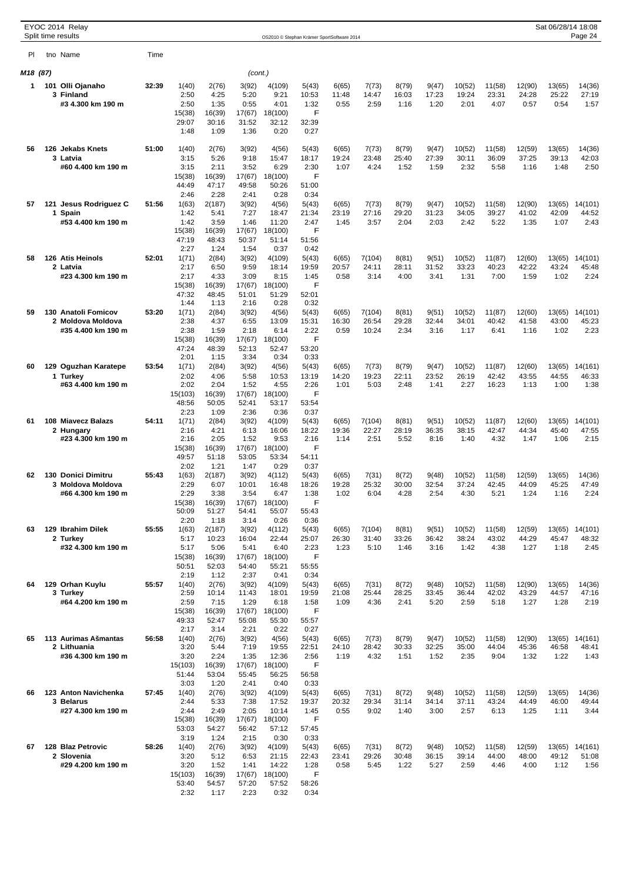|          |     | EYOC 2014 Relay<br>Split time results   |       |                  |                 |                 |                  | OS2010 © Stephan Krämer SportSoftware 2014 |                |                 |                |                |                 |                 |                 | Sat 06/28/14 18:08 | Page 24          |
|----------|-----|-----------------------------------------|-------|------------------|-----------------|-----------------|------------------|--------------------------------------------|----------------|-----------------|----------------|----------------|-----------------|-----------------|-----------------|--------------------|------------------|
| PI       |     | tno Name                                | Time  |                  |                 |                 |                  |                                            |                |                 |                |                |                 |                 |                 |                    |                  |
| M18 (87) |     |                                         |       |                  |                 | (cont.)         |                  |                                            |                |                 |                |                |                 |                 |                 |                    |                  |
| 1        |     | 101 Olli Ojanaho                        | 32:39 | 1(40)            | 2(76)           | 3(92)           | 4(109)           | 5(43)                                      | 6(65)          | 7(73)           | 8(79)          | 9(47)          | 10(52)          | 11(58)          | 12(90)          | 13(65)             | 14(36)           |
|          |     | 3 Finland                               |       | 2:50             | 4:25            | 5:20            | 9:21             | 10:53                                      | 11:48          | 14:47           | 16:03          | 17:23          | 19:24           | 23:31           | 24:28           | 25:22              | 27:19            |
|          |     | #3 4.300 km 190 m                       |       | 2:50             | 1:35            | 0:55            | 4:01             | 1:32<br>F                                  | 0:55           | 2:59            | 1:16           | 1:20           | 2:01            | 4:07            | 0:57            | 0:54               | 1:57             |
|          |     |                                         |       | 15(38)<br>29:07  | 16(39)<br>30:16 | 17(67)<br>31:52 | 18(100)<br>32:12 | 32:39                                      |                |                 |                |                |                 |                 |                 |                    |                  |
|          |     |                                         |       | 1:48             | 1:09            | 1:36            | 0:20             | 0:27                                       |                |                 |                |                |                 |                 |                 |                    |                  |
| 56       | 126 | <b>Jekabs Knets</b>                     | 51:00 | 1(40)            | 2(76)           | 3(92)           | 4(56)            | 5(43)                                      | 6(65)          | 7(73)           | 8(79)          | 9(47)          | 10(52)          | 11(58)          | 12(59)          | 13(65)             | 14(36)           |
|          |     | 3 Latvia                                |       | 3:15             | 5:26            | 9:18            | 15:47            | 18:17                                      | 19:24          | 23:48           | 25:40          | 27:39          | 30:11           | 36:09           | 37:25           | 39:13              | 42:03            |
|          |     | #60 4.400 km 190 m                      |       | 3:15<br>15(38)   | 2:11<br>16(39)  | 3:52<br>17(67)  | 6:29<br>18(100)  | 2:30<br>F                                  | 1:07           | 4:24            | 1:52           | 1:59           | 2:32            | 5:58            | 1:16            | 1:48               | 2:50             |
|          |     |                                         |       | 44:49            | 47:17           | 49:58           | 50:26            | 51:00                                      |                |                 |                |                |                 |                 |                 |                    |                  |
| 57       |     |                                         | 51:56 | 2:46<br>1(63)    | 2:28<br>2(187)  | 2:41<br>3(92)   | 0:28             | 0:34                                       |                |                 |                | 9(47)          | 10(52)          |                 | 12(90)          |                    |                  |
|          | 1.  | 121 Jesus Rodriguez C<br>Spain          |       | 1:42             | 5:41            | 7:27            | 4(56)<br>18:47   | 5(43)<br>21:34                             | 6(65)<br>23:19 | 7(73)<br>27:16  | 8(79)<br>29:20 | 31:23          | 34:05           | 11(58)<br>39:27 | 41:02           | 13(65)<br>42:09    | 14(101)<br>44:52 |
|          |     | #53 4.400 km 190 m                      |       | 1:42             | 3:59            | 1:46            | 11:20            | 2:47                                       | 1:45           | 3:57            | 2:04           | 2:03           | 2:42            | 5:22            | 1:35            | 1:07               | 2:43             |
|          |     |                                         |       | 15(38)<br>47:19  | 16(39)<br>48:43 | 17(67)<br>50:37 | 18(100)<br>51:14 | F<br>51:56                                 |                |                 |                |                |                 |                 |                 |                    |                  |
|          |     |                                         |       | 2:27             | 1:24            | 1:54            | 0:37             | 0:42                                       |                |                 |                |                |                 |                 |                 |                    |                  |
| 58       |     | 126 Atis Heinols<br>2 Latvia            | 52:01 | 1(71)<br>2:17    | 2(84)<br>6:50   | 3(92)<br>9:59   | 4(109)<br>18:14  | 5(43)<br>19:59                             | 6(65)<br>20:57 | 7(104)<br>24:11 | 8(81)<br>28:11 | 9(51)<br>31:52 | 10(52)<br>33:23 | 11(87)<br>40:23 | 12(60)<br>42:22 | 13(65)<br>43:24    | 14(101)<br>45:48 |
|          |     | #23 4.300 km 190 m                      |       | 2:17             | 4:33            | 3:09            | 8:15             | 1:45                                       | 0:58           | 3:14            | 4:00           | 3:41           | 1:31            | 7:00            | 1:59            | 1:02               | 2:24             |
|          |     |                                         |       | 15(38)           | 16(39)          | 17(67)          | 18(100)          | F                                          |                |                 |                |                |                 |                 |                 |                    |                  |
|          |     |                                         |       | 47:32<br>1:44    | 48:45<br>1:13   | 51:01<br>2:16   | 51:29<br>0:28    | 52:01<br>0:32                              |                |                 |                |                |                 |                 |                 |                    |                  |
| 59       | 130 | <b>Anatoli Fomicov</b>                  | 53:20 | 1(71)            | 2(84)           | 3(92)           | 4(56)            | 5(43)                                      | 6(65)          | 7(104)          | 8(81)          | 9(51)          | 10(52)          | 11(87)          | 12(60)          | 13(65)             | 14(101)          |
|          |     | 2 Moldova Moldova<br>#35 4.400 km 190 m |       | 2:38<br>2:38     | 4:37<br>1:59    | 6:55<br>2:18    | 13:09<br>6:14    | 15:31<br>2:22                              | 16:30<br>0:59  | 26:54<br>10:24  | 29:28<br>2:34  | 32:44<br>3:16  | 34:01<br>1:17   | 40:42<br>6:41   | 41:58<br>1:16   | 43:00<br>1:02      | 45:23<br>2:23    |
|          |     |                                         |       | 15(38)           | 16(39)          | 17(67)          | 18(100)          | F                                          |                |                 |                |                |                 |                 |                 |                    |                  |
|          |     |                                         |       | 47:24<br>2:01    | 48:39<br>1:15   | 52:13<br>3:34   | 52:47<br>0:34    | 53:20<br>0:33                              |                |                 |                |                |                 |                 |                 |                    |                  |
| 60       |     | 129 Oguzhan Karatepe                    | 53:54 | 1(71)            | 2(84)           | 3(92)           | 4(56)            | 5(43)                                      | 6(65)          | 7(73)           | 8(79)          | 9(47)          | 10(52)          | 11(87)          | 12(60)          | 13(65)             | 14(161)          |
|          |     | 1 Turkey                                |       | 2:02             | 4:06            | 5:58            | 10:53            | 13:19                                      | 14:20          | 19:23           | 22:11          | 23:52          | 26:19           | 42:42           | 43:55           | 44:55              | 46:33            |
|          |     | #63 4.400 km 190 m                      |       | 2:02<br>15(103)  | 2:04<br>16(39)  | 1:52<br>17(67)  | 4:55<br>18(100)  | 2:26<br>F                                  | 1:01           | 5:03            | 2:48           | 1:41           | 2:27            | 16:23           | 1:13            | 1:00               | 1:38             |
|          |     |                                         |       | 48:56            | 50:05           | 52:41           | 53:17            | 53:54                                      |                |                 |                |                |                 |                 |                 |                    |                  |
| 61       |     | 108 Miavecz Balazs                      | 54:11 | 2:23<br>1(71)    | 1:09<br>2(84)   | 2:36<br>3(92)   | 0:36<br>4(109)   | 0:37<br>5(43)                              | 6(65)          | 7(104)          | 8(81)          | 9(51)          | 10(52)          | 11(87)          | 12(60)          | 13(65)             | 14(101)          |
|          |     | 2 Hungary                               |       | 2:16             | 4:21            | 6:13            | 16:06            | 18:22                                      | 19:36          | 22:27           | 28:19          | 36:35          | 38:15           | 42:47           | 44:34           | 45:40              | 47:55            |
|          |     | #23 4.300 km 190 m                      |       | 2:16             | 2:05            | 1:52            | 9:53             | 2:16                                       | 1:14           | 2:51            | 5:52           | 8:16           | 1:40            | 4:32            | 1:47            | 1:06               | 2:15             |
|          |     |                                         |       | 15(38)<br>49:57  | 16(39)<br>51:18 | 17(67)<br>53:05 | 18(100)<br>53:34 | F<br>54:11                                 |                |                 |                |                |                 |                 |                 |                    |                  |
|          |     |                                         |       | 2:02             | 1:21            | 1:47            | 0:29             | 0:37                                       |                |                 |                |                |                 |                 |                 |                    |                  |
| 62       |     | 130 Donici Dimitru<br>3 Moldova Moldova | 55:43 | 1(63)<br>2:29    | 2(187)<br>6:07  | 3(92)<br>10:01  | 4(112)<br>16:48  | 5(43)<br>18:26                             | 6(65)<br>19:28 | 7(31)<br>25:32  | 8(72)<br>30:00 | 9(48)<br>32:54 | 10(52)<br>37:24 | 11(58)<br>42:45 | 12(59)<br>44:09 | 13(65)<br>45:25    | 14(36)<br>47:49  |
|          |     | #66 4.300 km 190 m                      |       | 2:29             | 3:38            | 3:54            | 6:47             | 1:38                                       | 1:02           | 6:04            | 4:28           | 2:54           | 4:30            | 5:21            | 1:24            | 1:16               | 2:24             |
|          |     |                                         |       | 15(38)<br>50:09  | 16(39)<br>51:27 | 17(67)<br>54:41 | 18(100)<br>55:07 | F<br>55:43                                 |                |                 |                |                |                 |                 |                 |                    |                  |
|          |     |                                         |       | 2:20             | 1:18            | 3:14            | 0:26             | 0:36                                       |                |                 |                |                |                 |                 |                 |                    |                  |
| 63       |     | 129 Ibrahim Dilek                       | 55:55 | 1(63)            | 2(187)          | 3(92)           | 4(112)           | 5(43)                                      | 6(65)          | 7(104)          | 8(81)          | 9(51)          | 10(52)          | 11(58)          | 12(59)          | 13(65)             | 14(101)          |
|          |     | 2 Turkey<br>#32 4.300 km 190 m          |       | 5:17<br>5:17     | 10:23<br>5:06   | 16:04<br>5:41   | 22:44<br>6:40    | 25:07<br>2:23                              | 26:30<br>1:23  | 31:40<br>5:10   | 33:26<br>1:46  | 36:42<br>3:16  | 38:24<br>1:42   | 43:02<br>4:38   | 44:29<br>1:27   | 45:47<br>1:18      | 48:32<br>2:45    |
|          |     |                                         |       | 15(38)           | 16(39)          | 17(67)          | 18(100)          | F                                          |                |                 |                |                |                 |                 |                 |                    |                  |
|          |     |                                         |       | 50:51<br>2:19    | 52:03<br>1:12   | 54:40<br>2:37   | 55:21<br>0:41    | 55:55<br>0:34                              |                |                 |                |                |                 |                 |                 |                    |                  |
| 64       |     | 129 Orhan Kuvlu                         | 55:57 | 1(40)            | 2(76)           | 3(92)           | 4(109)           | 5(43)                                      | 6(65)          | 7(31)           | 8(72)          | 9(48)          | 10(52)          | 11(58)          | 12(90)          | 13(65)             | 14(36)           |
|          |     | 3 Turkey<br>#64 4.200 km 190 m          |       | 2:59<br>2:59     | 10:14<br>7:15   | 11:43<br>1:29   | 18:01<br>6:18    | 19:59<br>1:58                              | 21:08<br>1:09  | 25:44<br>4:36   | 28:25<br>2:41  | 33:45<br>5:20  | 36:44<br>2:59   | 42:02<br>5:18   | 43:29<br>1:27   | 44:57<br>1:28      | 47:16<br>2:19    |
|          |     |                                         |       | 15(38)           | 16(39)          | 17(67)          | 18(100)          | F                                          |                |                 |                |                |                 |                 |                 |                    |                  |
|          |     |                                         |       | 49:33            | 52:47           | 55:08           | 55:30            | 55:57                                      |                |                 |                |                |                 |                 |                 |                    |                  |
| 65       |     | 113 Aurimas Ašmantas                    | 56:58 | 2:17<br>1(40)    | 3:14<br>2(76)   | 2:21<br>3(92)   | 0:22<br>4(56)    | 0:27<br>5(43)                              | 6(65)          | 7(73)           | 8(79)          | 9(47)          | 10(52)          | 11(58)          | 12(90)          | 13(65)             | 14(161)          |
|          |     | 2 Lithuania                             |       | 3:20             | 5:44            | 7:19            | 19:55            | 22:51                                      | 24:10          | 28:42           | 30:33          | 32:25          | 35:00           | 44:04           | 45:36           | 46:58              | 48:41            |
|          |     | #36 4.300 km 190 m                      |       | 3:20<br>15(103)  | 2:24<br>16(39)  | 1:35<br>17(67)  | 12:36<br>18(100) | 2:56<br>F                                  | 1:19           | 4:32            | 1:51           | 1:52           | 2:35            | 9:04            | 1:32            | 1:22               | 1:43             |
|          |     |                                         |       | 51:44            | 53:04           | 55:45           | 56:25            | 56:58                                      |                |                 |                |                |                 |                 |                 |                    |                  |
| 66       |     | 123 Anton Navichenka                    | 57:45 | 3:03             | 1:20            | 2:41            | 0:40             | 0:33                                       |                |                 |                |                |                 |                 |                 |                    |                  |
|          |     | 3 Belarus                               |       | 1(40)<br>2:44    | 2(76)<br>5:33   | 3(92)<br>7:38   | 4(109)<br>17:52  | 5(43)<br>19:37                             | 6(65)<br>20:32 | 7(31)<br>29:34  | 8(72)<br>31:14 | 9(48)<br>34:14 | 10(52)<br>37:11 | 11(58)<br>43:24 | 12(59)<br>44:49 | 13(65)<br>46:00    | 14(36)<br>49:44  |
|          |     | #27 4.300 km 190 m                      |       | 2:44             | 2:49            | 2:05            | 10:14            | 1:45                                       | 0:55           | 9:02            | 1:40           | 3:00           | 2:57            | 6:13            | 1:25            | 1:11               | 3:44             |
|          |     |                                         |       | 15(38)<br>53:03  | 16(39)<br>54:27 | 17(67)<br>56:42 | 18(100)<br>57:12 | F<br>57:45                                 |                |                 |                |                |                 |                 |                 |                    |                  |
|          |     |                                         |       | 3:19             | 1:24            | 2:15            | 0:30             | 0:33                                       |                |                 |                |                |                 |                 |                 |                    |                  |
| 67       |     | 128 Blaz Petrovic<br>2 Slovenia         | 58:26 | 1(40)<br>3:20    | 2(76)<br>5:12   | 3(92)<br>6:53   | 4(109)<br>21:15  | 5(43)<br>22:43                             | 6(65)<br>23:41 | 7(31)<br>29:26  | 8(72)<br>30:48 | 9(48)<br>36:15 | 10(52)<br>39:14 | 11(58)<br>44:00 | 12(59)<br>48:00 | 13(65)<br>49:12    | 14(161)<br>51:08 |
|          |     | #29 4.200 km 190 m                      |       | 3:20             | 1:52            | 1:41            | 14:22            | 1:28                                       | 0:58           | 5:45            | 1:22           | 5:27           | 2:59            | 4:46            | 4:00            | 1:12               | 1:56             |
|          |     |                                         |       | 15(103)<br>53:40 | 16(39)<br>54:57 | 17(67)<br>57:20 | 18(100)<br>57:52 | F<br>58:26                                 |                |                 |                |                |                 |                 |                 |                    |                  |
|          |     |                                         |       | 2:32             | 1:17            | 2:23            | 0:32             | 0:34                                       |                |                 |                |                |                 |                 |                 |                    |                  |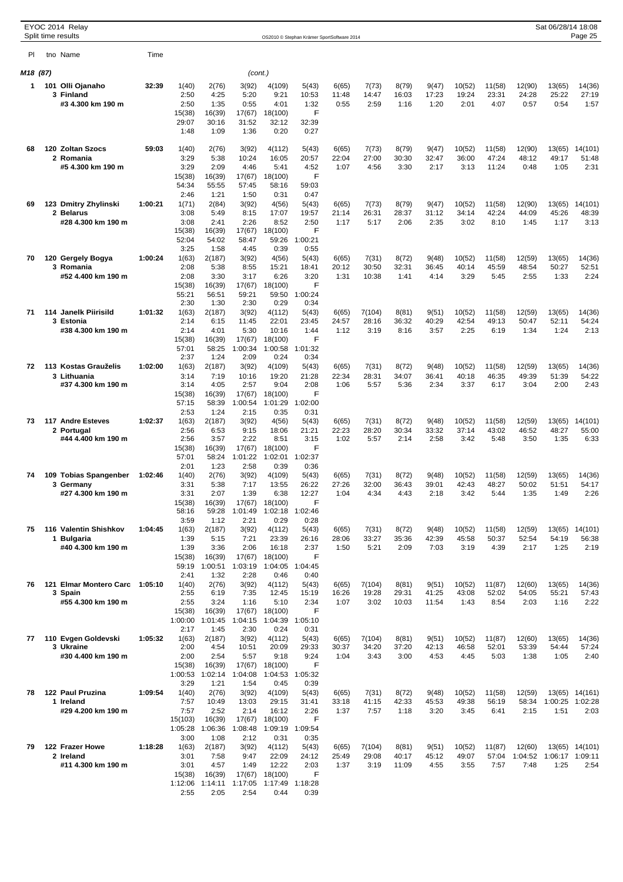| EYOC 2014 Relay<br>Split time results<br>OS2010 © Stephan Krämer SportSoftware 2014 |  |                                 |         |                   |                   |                   |                    |                      |                | Sat 06/28/14 18:08<br>Page 25 |                |                |                 |                 |                 |                 |                  |
|-------------------------------------------------------------------------------------|--|---------------------------------|---------|-------------------|-------------------|-------------------|--------------------|----------------------|----------------|-------------------------------|----------------|----------------|-----------------|-----------------|-----------------|-----------------|------------------|
| PI                                                                                  |  | tno Name                        | Time    |                   |                   |                   |                    |                      |                |                               |                |                |                 |                 |                 |                 |                  |
| M18 (87)                                                                            |  |                                 |         |                   |                   | (cont.)           |                    |                      |                |                               |                |                |                 |                 |                 |                 |                  |
| 1                                                                                   |  | 101 Olli Ojanaho                | 32:39   | 1(40)             | 2(76)             | 3(92)             | 4(109)             | 5(43)                | 6(65)          | 7(73)                         | 8(79)          | 9(47)          | 10(52)          | 11(58)          | 12(90)          | 13(65)          | 14(36)           |
|                                                                                     |  | 3 Finland                       |         | 2:50              | 4:25              | 5:20              | 9:21               | 10:53                | 11:48          | 14:47                         | 16:03          | 17:23          | 19:24           | 23:31           | 24:28           | 25:22           | 27:19            |
|                                                                                     |  | #3 4.300 km 190 m               |         | 2:50              | 1:35              | 0:55              | 4:01               | 1:32<br>F            | 0:55           | 2:59                          | 1:16           | 1:20           | 2:01            | 4:07            | 0:57            | 0:54            | 1:57             |
|                                                                                     |  |                                 |         | 15(38)<br>29:07   | 16(39)<br>30:16   | 17(67)<br>31:52   | 18(100)<br>32:12   | 32:39                |                |                               |                |                |                 |                 |                 |                 |                  |
|                                                                                     |  |                                 |         | 1:48              | 1:09              | 1:36              | 0:20               | 0:27                 |                |                               |                |                |                 |                 |                 |                 |                  |
| 68                                                                                  |  | 120 Zoltan Szocs                | 59:03   | 1(40)             | 2(76)             | 3(92)             | 4(112)             | 5(43)                | 6(65)          | 7(73)                         | 8(79)          | 9(47)          | 10(52)          | 11(58)          | 12(90)          | 13(65)          | 14(101)          |
|                                                                                     |  | 2 Romania                       |         | 3:29              | 5:38              | 10:24             | 16:05              | 20:57                | 22:04          | 27:00                         | 30:30          | 32:47          | 36:00           | 47:24           | 48:12           | 49:17           | 51:48            |
|                                                                                     |  | #5 4.300 km 190 m               |         | 3:29              | 2:09              | 4:46              | 5:41               | 4:52                 | 1:07           | 4:56                          | 3:30           | 2:17           | 3:13            | 11:24           | 0:48            | 1:05            | 2:31             |
|                                                                                     |  |                                 |         | 15(38)<br>54:34   | 16(39)<br>55:55   | 17(67)<br>57:45   | 18(100)<br>58:16   | F<br>59:03           |                |                               |                |                |                 |                 |                 |                 |                  |
|                                                                                     |  |                                 |         | 2:46              | 1:21              | 1:50              | 0:31               | 0:47                 |                |                               |                |                |                 |                 |                 |                 |                  |
| 69                                                                                  |  | 123 Dmitry Zhylinski            | 1:00:21 | 1(71)             | 2(84)             | 3(92)             | 4(56)              | 5(43)                | 6(65)          | 7(73)                         | 8(79)          | 9(47)          | 10(52)          | 11(58)          | 12(90)          | 13(65)          | 14(101)          |
|                                                                                     |  | 2 Belarus<br>#28 4.300 km 190 m |         | 3:08<br>3:08      | 5:49<br>2:41      | 8:15<br>2:26      | 17:07<br>8:52      | 19:57<br>2:50        | 21:14<br>1:17  | 26:31<br>5:17                 | 28:37<br>2:06  | 31:12<br>2:35  | 34:14<br>3:02   | 42:24<br>8:10   | 44:09<br>1:45   | 45:26<br>1:17   | 48:39<br>3:13    |
|                                                                                     |  |                                 |         | 15(38)            | 16(39)            | 17(67)            | 18(100)            | F                    |                |                               |                |                |                 |                 |                 |                 |                  |
|                                                                                     |  |                                 |         | 52:04             | 54:02             | 58:47             | 59:26              | 1:00:21              |                |                               |                |                |                 |                 |                 |                 |                  |
| 70                                                                                  |  | 120 Gergely Bogya               | 1:00:24 | 3:25<br>1(63)     | 1:58<br>2(187)    | 4:45<br>3(92)     | 0:39<br>4(56)      | 0:55<br>5(43)        | 6(65)          | 7(31)                         | 8(72)          | 9(48)          | 10(52)          | 11(58)          | 12(59)          | 13(65)          | 14(36)           |
|                                                                                     |  | 3 Romania                       |         | 2:08              | 5:38              | 8:55              | 15:21              | 18:41                | 20:12          | 30:50                         | 32:31          | 36:45          | 40:14           | 45:59           | 48:54           | 50:27           | 52:51            |
|                                                                                     |  | #52 4.400 km 190 m              |         | 2:08              | 3:30              | 3:17              | 6:26               | 3:20                 | 1:31           | 10:38                         | 1:41           | 4:14           | 3:29            | 5:45            | 2:55            | 1:33            | 2:24             |
|                                                                                     |  |                                 |         | 15(38)<br>55:21   | 16(39)<br>56:51   | 17(67)<br>59:21   | 18(100)<br>59:50   | F<br>1:00:24         |                |                               |                |                |                 |                 |                 |                 |                  |
|                                                                                     |  |                                 |         | 2:30              | 1:30              | 2:30              | 0:29               | 0:34                 |                |                               |                |                |                 |                 |                 |                 |                  |
| 71                                                                                  |  | 114 Janelk Piirisild            | 1:01:32 | 1(63)             | 2(187)            | 3(92)             | 4(112)             | 5(43)                | 6(65)          | 7(104)                        | 8(81)          | 9(51)          | 10(52)          | 11(58)          | 12(59)          | 13(65)          | 14(36)           |
|                                                                                     |  | 3 Estonia<br>#38 4.300 km 190 m |         | 2:14<br>2:14      | 6:15<br>4:01      | 11:45<br>5:30     | 22:01<br>10:16     | 23:45<br>1:44        | 24:57<br>1:12  | 28:16<br>3:19                 | 36:32<br>8:16  | 40:29<br>3:57  | 42:54<br>2:25   | 49:13<br>6:19   | 50:47<br>1:34   | 52:11<br>1:24   | 54:24<br>2:13    |
|                                                                                     |  |                                 |         | 15(38)            | 16(39)            | 17(67)            | 18(100)            | F                    |                |                               |                |                |                 |                 |                 |                 |                  |
|                                                                                     |  |                                 |         | 57:01<br>2:37     | 58:25<br>1:24     | 1:00:34<br>2:09   | 1:00:58<br>0:24    | 1:01:32<br>0:34      |                |                               |                |                |                 |                 |                 |                 |                  |
| 72                                                                                  |  | 113 Kostas Grauželis            | 1:02:00 | 1(63)             | 2(187)            | 3(92)             | 4(109)             | 5(43)                | 6(65)          | 7(31)                         | 8(72)          | 9(48)          | 10(52)          | 11(58)          | 12(59)          | 13(65)          | 14(36)           |
|                                                                                     |  | 3 Lithuania                     |         | 3:14              | 7:19              | 10:16             | 19:20              | 21:28                | 22:34          | 28:31                         | 34:07          | 36:41          | 40:18           | 46:35           | 49:39           | 51:39           | 54:22            |
|                                                                                     |  | #37 4.300 km 190 m              |         | 3:14<br>15(38)    | 4:05<br>16(39)    | 2:57<br>17(67)    | 9:04<br>18(100)    | 2:08<br>F            | 1:06           | 5:57                          | 5:36           | 2:34           | 3:37            | 6:17            | 3:04            | 2:00            | 2:43             |
|                                                                                     |  |                                 |         | 57:15             | 58:39             | 1:00:54           | 1:01:29            | 1:02:00              |                |                               |                |                |                 |                 |                 |                 |                  |
|                                                                                     |  |                                 |         | 2:53              | 1:24              | 2:15              | 0:35               | 0:31                 |                |                               |                |                |                 |                 |                 |                 |                  |
| 73                                                                                  |  | 117 Andre Esteves<br>2 Portugal | 1:02:37 | 1(63)<br>2:56     | 2(187)<br>6:53    | 3(92)<br>9:15     | 4(56)<br>18:06     | 5(43)<br>21:21       | 6(65)<br>22:23 | 7(31)<br>28:20                | 8(72)<br>30:34 | 9(48)<br>33:32 | 10(52)<br>37:14 | 11(58)<br>43:02 | 12(59)<br>46:52 | 13(65)<br>48:27 | 14(101)<br>55:00 |
|                                                                                     |  | #44 4.400 km 190 m              |         | 2:56              | 3:57              | 2:22              | 8:51               | 3:15                 | 1:02           | 5:57                          | 2:14           | 2:58           | 3:42            | 5:48            | 3:50            | 1:35            | 6:33             |
|                                                                                     |  |                                 |         | 15(38)            | 16(39)            | 17(67)            | 18(100)            | F                    |                |                               |                |                |                 |                 |                 |                 |                  |
|                                                                                     |  |                                 |         | 57:01<br>2:01     | 58:24<br>1:23     | 1:01:22<br>2:58   | 1:02:01<br>0:39    | 1:02:37<br>0:36      |                |                               |                |                |                 |                 |                 |                 |                  |
| 74                                                                                  |  | 109 Tobias Spangenber           | 1:02:46 | 1(40)             | 2(76)             | 3(92)             | 4(109)             | 5(43)                | 6(65)          | 7(31)                         | 8(72)          | 9(48)          | 10(52)          | 11(58)          | 12(59)          | 13(65)          | 14(36)           |
|                                                                                     |  | 3 Germany                       |         | 3:31              | 5:38              | 7:17              | 13:55              | 26:22                | 27:26          | 32:00                         | 36:43          | 39:01          | 42:43           | 48:27           | 50:02           | 51:51           | 54:17            |
|                                                                                     |  | #27 4.300 km 190 m              |         | 3:31<br>15(38)    | 2:07<br>16(39)    | 1:39<br>17(67)    | 6:38<br>18(100)    | 12:27<br>F           | 1:04           | 4:34                          | 4:43           | 2:18           | 3:42            | 5:44            | 1:35            | 1:49            | 2:26             |
|                                                                                     |  |                                 |         | 58:16             | 59:28             | 1:01:49           |                    | 1:02:18 1:02:46      |                |                               |                |                |                 |                 |                 |                 |                  |
| 75                                                                                  |  | 116 Valentin Shishkov           | 1:04:45 | 3:59<br>1(63)     | 1:12<br>2(187)    | 2:21<br>3(92)     | 0:29<br>4(112)     | 0:28<br>5(43)        | 6(65)          | 7(31)                         | 8(72)          | 9(48)          | 10(52)          | 11(58)          | 12(59)          | 13(65)          | 14(101)          |
|                                                                                     |  | 1 Bulgaria                      |         | 1:39              | 5:15              | 7:21              | 23:39              | 26:16                | 28:06          | 33:27                         | 35:36          | 42:39          | 45:58           | 50:37           | 52:54           | 54:19           | 56:38            |
|                                                                                     |  | #40 4.300 km 190 m              |         | 1:39              | 3:36              | 2:06              | 16:18              | 2:37                 | 1:50           | 5:21                          | 2:09           | 7:03           | 3:19            | 4:39            | 2:17            | 1:25            | 2:19             |
|                                                                                     |  |                                 |         | 15(38)<br>59:19   | 16(39)<br>1:00:51 | 17(67)<br>1:03:19 | 18(100)            | F<br>1:04:05 1:04:45 |                |                               |                |                |                 |                 |                 |                 |                  |
|                                                                                     |  |                                 |         | 2:41              | 1:32              | 2:28              | 0:46               | 0:40                 |                |                               |                |                |                 |                 |                 |                 |                  |
| 76                                                                                  |  | 121 Elmar Montero Carc 1:05:10  |         | 1(40)             | 2(76)             | 3(92)             | 4(112)             | 5(43)                | 6(65)          | 7(104)                        | 8(81)          | 9(51)          | 10(52)          | 11(87)          | 12(60)          | 13(65)          | 14(36)           |
|                                                                                     |  | 3 Spain<br>#55 4.300 km 190 m   |         | 2:55<br>2:55      | 6:19<br>3:24      | 7:35<br>1:16      | 12:45<br>5:10      | 15:19<br>2:34        | 16:26<br>1:07  | 19:28<br>3:02                 | 29:31<br>10:03 | 41:25<br>11:54 | 43:08<br>1:43   | 52:02<br>8:54   | 54:05<br>2:03   | 55:21<br>1:16   | 57:43<br>2:22    |
|                                                                                     |  |                                 |         | 15(38)            | 16(39)            | 17(67)            | 18(100)            | F                    |                |                               |                |                |                 |                 |                 |                 |                  |
|                                                                                     |  |                                 |         | 1:00:00           | 1:01:45           | 1:04:15           | 1:04:39            | 1:05:10              |                |                               |                |                |                 |                 |                 |                 |                  |
| 77                                                                                  |  | 110 Evgen Goldevski             | 1:05:32 | 2:17<br>1(63)     | 1:45<br>2(187)    | 2:30<br>3(92)     | 0:24<br>4(112)     | 0:31<br>5(43)        | 6(65)          | 7(104)                        | 8(81)          | 9(51)          | 10(52)          | 11(87)          | 12(60)          | 13(65)          | 14(36)           |
|                                                                                     |  | 3 Ukraine                       |         | 2:00              | 4:54              | 10:51             | 20:09              | 29:33                | 30:37          | 34:20                         | 37:20          | 42:13          | 46:58           | 52:01           | 53:39           | 54:44           | 57:24            |
|                                                                                     |  | #30 4.400 km 190 m              |         | 2:00              | 2:54              | 5:57              | 9:18               | 9:24                 | 1:04           | 3:43                          | 3:00           | 4:53           | 4:45            | 5:03            | 1:38            | 1:05            | 2:40             |
|                                                                                     |  |                                 |         | 15(38)<br>1:00:53 | 16(39)<br>1:02:14 | 17(67)<br>1:04:08 | 18(100)<br>1:04:53 | F<br>1:05:32         |                |                               |                |                |                 |                 |                 |                 |                  |
|                                                                                     |  |                                 |         | 3:29              | 1:21              | 1:54              | 0:45               | 0:39                 |                |                               |                |                |                 |                 |                 |                 |                  |
| 78                                                                                  |  | 122 Paul Pruzina                | 1:09:54 | 1(40)             | 2(76)             | 3(92)             | 4(109)             | 5(43)                | 6(65)          | 7(31)                         | 8(72)          | 9(48)          | 10(52)          | 11(58)          | 12(59)          | 13(65)          | 14(161)          |
|                                                                                     |  | 1 Ireland<br>#29 4.200 km 190 m |         | 7:57<br>7:57      | 10:49<br>2:52     | 13:03<br>2:14     | 29:15<br>16:12     | 31:41<br>2:26        | 33:18<br>1:37  | 41:15<br>7:57                 | 42:33<br>1:18  | 45:53<br>3:20  | 49:38<br>3:45   | 56:19<br>6:41   | 58:34<br>2:15   | 1:00:25<br>1:51 | 1:02:28<br>2:03  |
|                                                                                     |  |                                 |         | 15(103)           | 16(39)            | 17(67)            | 18(100)            | F                    |                |                               |                |                |                 |                 |                 |                 |                  |
|                                                                                     |  |                                 |         | 1:05:28           | 1:06:36           | 1:08:48           |                    | 1:09:19 1:09:54      |                |                               |                |                |                 |                 |                 |                 |                  |
| 79                                                                                  |  | 122 Frazer Howe                 | 1:18:28 | 3:00<br>1(63)     | 1:08<br>2(187)    | 2:12<br>3(92)     | 0:31<br>4(112)     | 0:35<br>5(43)        | 6(65)          | 7(104)                        | 8(81)          | 9(51)          | 10(52)          | 11(87)          | 12(60)          |                 | 13(65) 14(101)   |
|                                                                                     |  | 2 Ireland                       |         | 3:01              | 7:58              | 9:47              | 22:09              | 24:12                | 25:49          | 29:08                         | 40:17          | 45:12          | 49:07           | 57:04           | 1:04:52         | 1:06:17 1:09:11 |                  |
|                                                                                     |  | #11 4.300 km 190 m              |         | 3:01              | 4:57              | 1:49              | 12:22              | 2:03                 | 1:37           | 3:19                          | 11:09          | 4:55           | 3:55            | 7:57            | 7:48            | 1:25            | 2:54             |
|                                                                                     |  |                                 |         | 15(38)<br>1:12:06 | 16(39)<br>1:14:11 | 17(67)<br>1:17:05 | 18(100)            | F<br>1:17:49 1:18:28 |                |                               |                |                |                 |                 |                 |                 |                  |
|                                                                                     |  |                                 |         | 2:55              | 2:05              | 2:54              | 0:44               | 0:39                 |                |                               |                |                |                 |                 |                 |                 |                  |